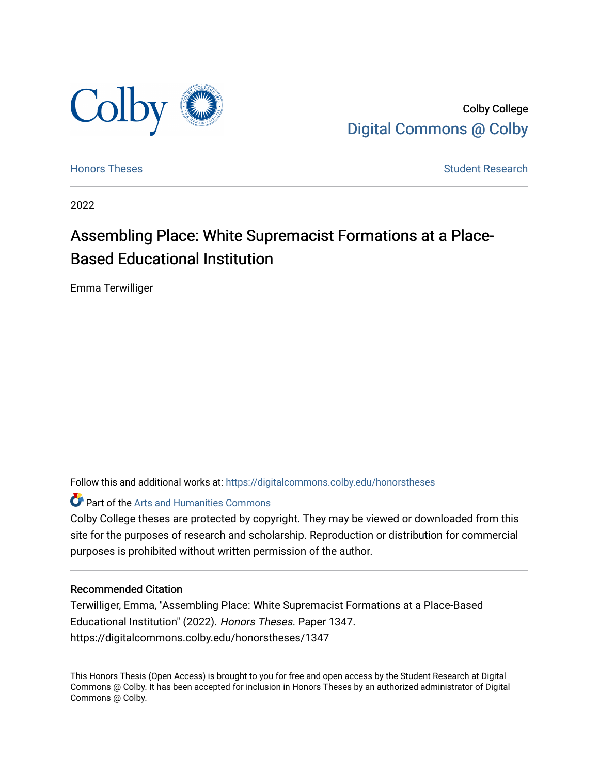

Colby College [Digital Commons @ Colby](https://digitalcommons.colby.edu/) 

[Honors Theses](https://digitalcommons.colby.edu/honorstheses) [Student Research](https://digitalcommons.colby.edu/student_research) and the Student Research Student Research

2022

# Assembling Place: White Supremacist Formations at a Place-Based Educational Institution

Emma Terwilliger

Follow this and additional works at: [https://digitalcommons.colby.edu/honorstheses](https://digitalcommons.colby.edu/honorstheses?utm_source=digitalcommons.colby.edu%2Fhonorstheses%2F1347&utm_medium=PDF&utm_campaign=PDFCoverPages) 

**Part of the Arts and Humanities Commons** 

Colby College theses are protected by copyright. They may be viewed or downloaded from this site for the purposes of research and scholarship. Reproduction or distribution for commercial purposes is prohibited without written permission of the author.

## Recommended Citation

Terwilliger, Emma, "Assembling Place: White Supremacist Formations at a Place-Based Educational Institution" (2022). Honors Theses. Paper 1347. https://digitalcommons.colby.edu/honorstheses/1347

This Honors Thesis (Open Access) is brought to you for free and open access by the Student Research at Digital Commons @ Colby. It has been accepted for inclusion in Honors Theses by an authorized administrator of Digital Commons @ Colby.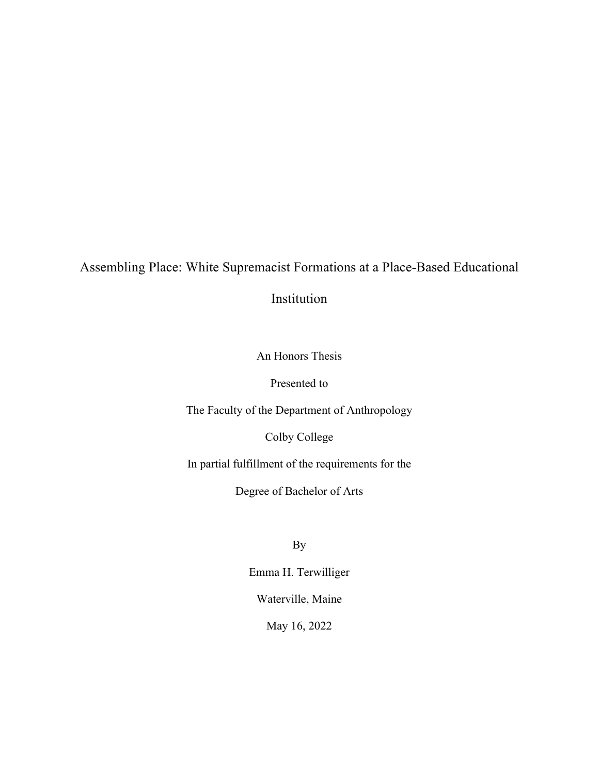## Assembling Place: White Supremacist Formations at a Place-Based Educational

Institution

An Honors Thesis

Presented to

The Faculty of the Department of Anthropology

Colby College

In partial fulfillment of the requirements for the

Degree of Bachelor of Arts

By

Emma H. Terwilliger Waterville, Maine

May 16, 2022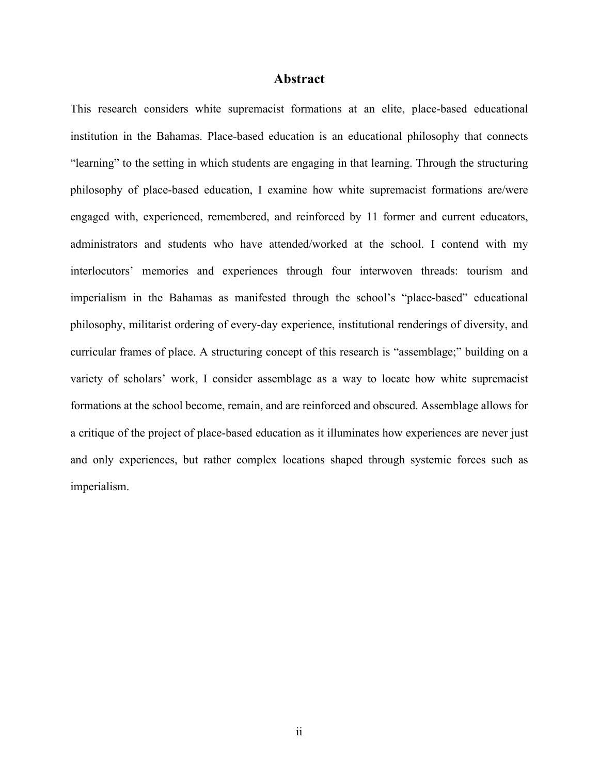## **Abstract**

This research considers white supremacist formations at an elite, place-based educational institution in the Bahamas. Place-based education is an educational philosophy that connects "learning" to the setting in which students are engaging in that learning. Through the structuring philosophy of place-based education, I examine how white supremacist formations are/were engaged with, experienced, remembered, and reinforced by 11 former and current educators, administrators and students who have attended/worked at the school. I contend with my interlocutors' memories and experiences through four interwoven threads: tourism and imperialism in the Bahamas as manifested through the school's "place-based" educational philosophy, militarist ordering of every-day experience, institutional renderings of diversity, and curricular frames of place. A structuring concept of this research is "assemblage;" building on a variety of scholars' work, I consider assemblage as a way to locate how white supremacist formations at the school become, remain, and are reinforced and obscured. Assemblage allows for a critique of the project of place-based education as it illuminates how experiences are never just and only experiences, but rather complex locations shaped through systemic forces such as imperialism.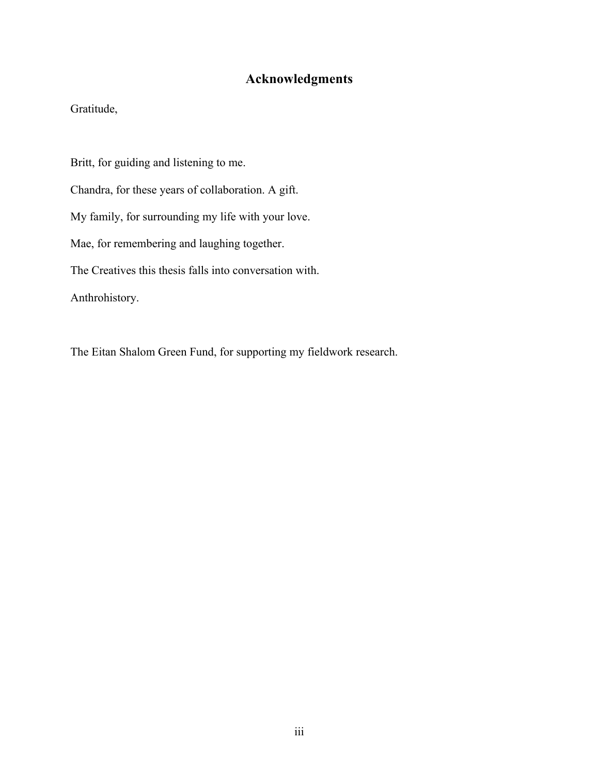## **Acknowledgments**

Gratitude,

Britt, for guiding and listening to me.

Chandra, for these years of collaboration. A gift.

My family, for surrounding my life with your love.

Mae, for remembering and laughing together.

The Creatives this thesis falls into conversation with.

Anthrohistory.

The Eitan Shalom Green Fund, for supporting my fieldwork research.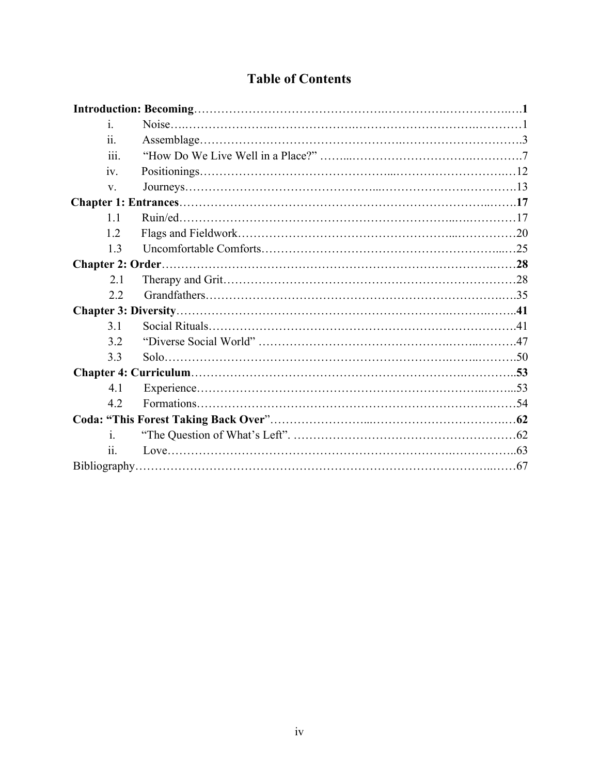| <b>Table of Contents</b> |  |
|--------------------------|--|
|                          |  |

| i.   |  |
|------|--|
| ii.  |  |
| 111. |  |
| iv.  |  |
| V.   |  |
|      |  |
| 1.1  |  |
| 1.2  |  |
| 1.3  |  |
|      |  |
| 2.1  |  |
| 2.2  |  |
|      |  |
| 3.1  |  |
| 3.2  |  |
| 3.3  |  |
|      |  |
| 4.1  |  |
| 4.2  |  |
|      |  |
| i.   |  |
| 11.  |  |
|      |  |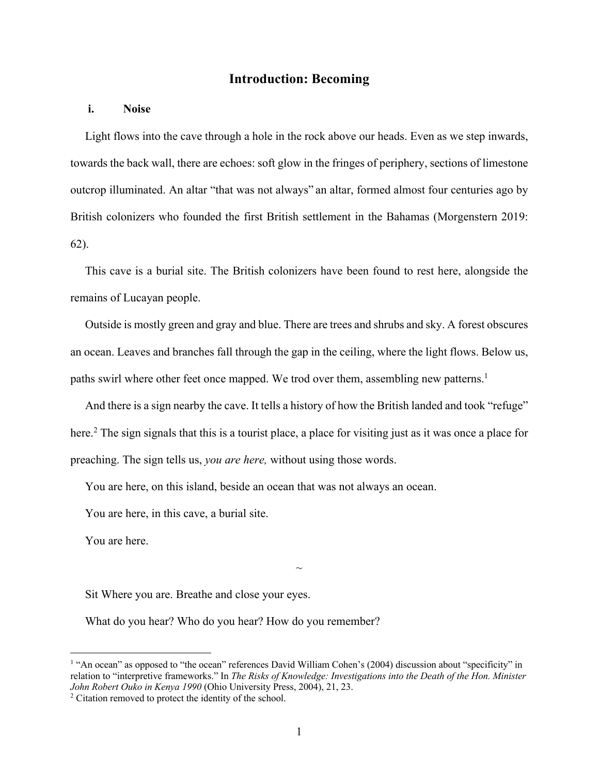## **Introduction: Becoming**

## **i. Noise**

 Light flows into the cave through a hole in the rock above our heads. Even as we step inwards, towards the back wall, there are echoes: soft glow in the fringes of periphery, sections of limestone outcrop illuminated. An altar "that was not always" an altar, formed almost four centuries ago by British colonizers who founded the first British settlement in the Bahamas (Morgenstern 2019: 62).

 This cave is a burial site. The British colonizers have been found to rest here, alongside the remains of Lucayan people.

 Outside is mostly green and gray and blue. There are trees and shrubs and sky. A forest obscures an ocean. Leaves and branches fall through the gap in the ceiling, where the light flows. Below us, paths swirl where other feet once mapped. We trod over them, assembling new patterns.<sup>1</sup>

 And there is a sign nearby the cave. It tells a history of how the British landed and took "refuge" here.<sup>2</sup> The sign signals that this is a tourist place, a place for visiting just as it was once a place for preaching. The sign tells us, *you are here,* without using those words.

You are here, on this island, beside an ocean that was not always an ocean.

You are here, in this cave, a burial site.

You are here.

Sit Where you are. Breathe and close your eyes.

What do you hear? Who do you hear? How do you remember?

 $\sim$ 

<sup>&</sup>lt;sup>1</sup> "An ocean" as opposed to "the ocean" references David William Cohen's (2004) discussion about "specificity" in relation to "interpretive frameworks." In *The Risks of Knowledge: Investigations into the Death of the Hon. Minister John Robert Ouko in Kenya 1990* (Ohio University Press, 2004), 21, 23. <sup>2</sup> Citation removed to protect the identity of the school.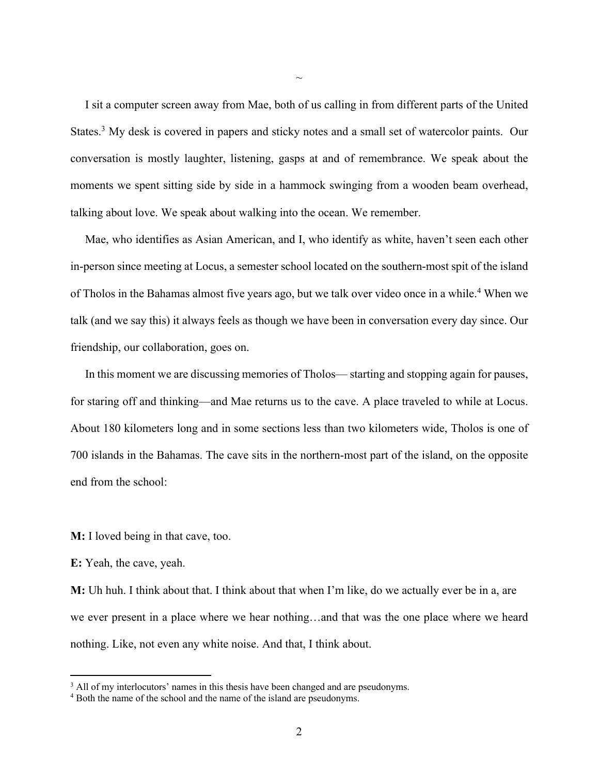I sit a computer screen away from Mae, both of us calling in from different parts of the United States.<sup>3</sup> My desk is covered in papers and sticky notes and a small set of watercolor paints. Our conversation is mostly laughter, listening, gasps at and of remembrance. We speak about the moments we spent sitting side by side in a hammock swinging from a wooden beam overhead, talking about love. We speak about walking into the ocean. We remember.

 $\sim$ 

 Mae, who identifies as Asian American, and I, who identify as white, haven't seen each other in-person since meeting at Locus, a semester school located on the southern-most spit of the island of Tholos in the Bahamas almost five years ago, but we talk over video once in a while.4 When we talk (and we say this) it always feels as though we have been in conversation every day since. Our friendship, our collaboration, goes on.

 In this moment we are discussing memories of Tholos— starting and stopping again for pauses, for staring off and thinking—and Mae returns us to the cave. A place traveled to while at Locus. About 180 kilometers long and in some sections less than two kilometers wide, Tholos is one of 700 islands in the Bahamas. The cave sits in the northern-most part of the island, on the opposite end from the school:

**M:** I loved being in that cave, too.

**E:** Yeah, the cave, yeah.

**M:** Uh huh. I think about that. I think about that when I'm like, do we actually ever be in a, are we ever present in a place where we hear nothing…and that was the one place where we heard nothing. Like, not even any white noise. And that, I think about.

<sup>&</sup>lt;sup>3</sup> All of my interlocutors' names in this thesis have been changed and are pseudonyms.<br><sup>4</sup> Both the name of the school and the name of the island are pseudonyms.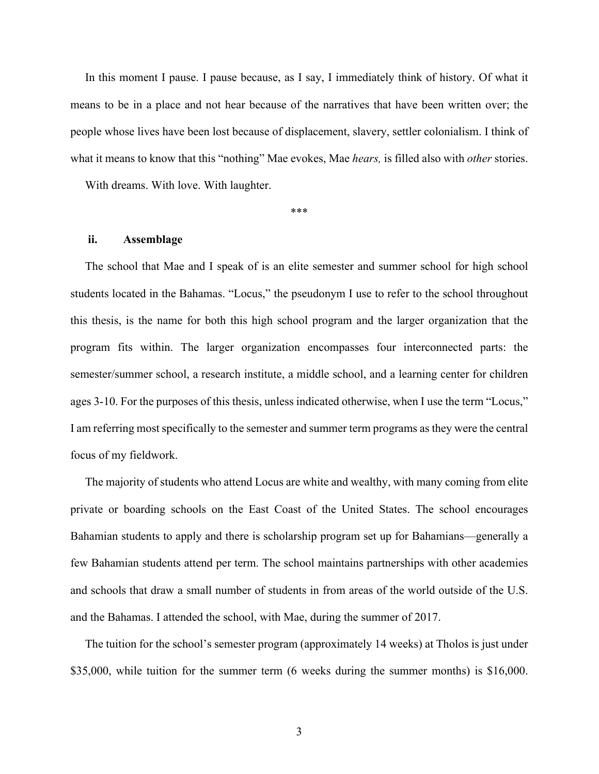In this moment I pause. I pause because, as I say, I immediately think of history. Of what it means to be in a place and not hear because of the narratives that have been written over; the people whose lives have been lost because of displacement, slavery, settler colonialism. I think of what it means to know that this "nothing" Mae evokes, Mae *hears,* is filled also with *other* stories.

With dreams. With love. With laughter.

\*\*\*

#### **ii. Assemblage**

 The school that Mae and I speak of is an elite semester and summer school for high school students located in the Bahamas. "Locus," the pseudonym I use to refer to the school throughout this thesis, is the name for both this high school program and the larger organization that the program fits within. The larger organization encompasses four interconnected parts: the semester/summer school, a research institute, a middle school, and a learning center for children ages 3-10. For the purposes of this thesis, unless indicated otherwise, when I use the term "Locus," I am referring most specifically to the semester and summer term programs as they were the central focus of my fieldwork.

 The majority of students who attend Locus are white and wealthy, with many coming from elite private or boarding schools on the East Coast of the United States. The school encourages Bahamian students to apply and there is scholarship program set up for Bahamians—generally a few Bahamian students attend per term. The school maintains partnerships with other academies and schools that draw a small number of students in from areas of the world outside of the U.S. and the Bahamas. I attended the school, with Mae, during the summer of 2017.

 The tuition for the school's semester program (approximately 14 weeks) at Tholos is just under \$35,000, while tuition for the summer term (6 weeks during the summer months) is \$16,000.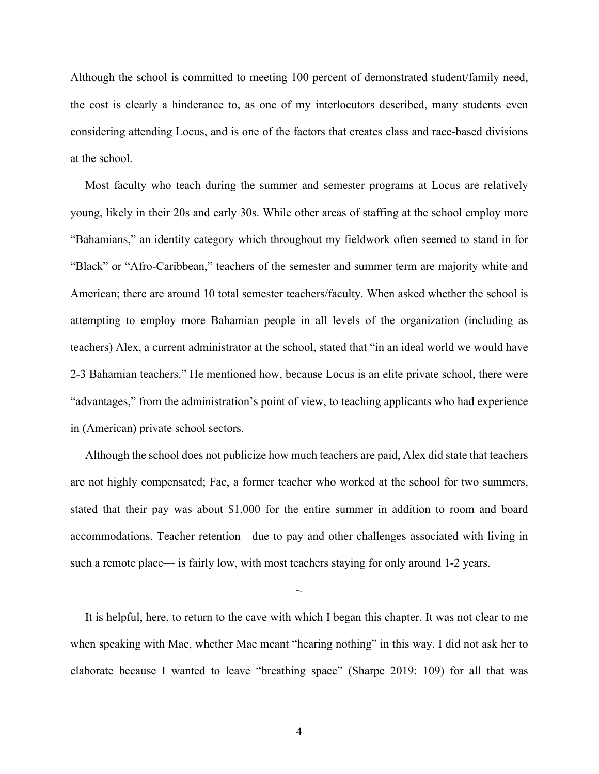Although the school is committed to meeting 100 percent of demonstrated student/family need, the cost is clearly a hinderance to, as one of my interlocutors described, many students even considering attending Locus, and is one of the factors that creates class and race-based divisions at the school.

 Most faculty who teach during the summer and semester programs at Locus are relatively young, likely in their 20s and early 30s. While other areas of staffing at the school employ more "Bahamians," an identity category which throughout my fieldwork often seemed to stand in for "Black" or "Afro-Caribbean," teachers of the semester and summer term are majority white and American; there are around 10 total semester teachers/faculty. When asked whether the school is attempting to employ more Bahamian people in all levels of the organization (including as teachers) Alex, a current administrator at the school, stated that "in an ideal world we would have 2-3 Bahamian teachers." He mentioned how, because Locus is an elite private school, there were "advantages," from the administration's point of view, to teaching applicants who had experience in (American) private school sectors.

 Although the school does not publicize how much teachers are paid, Alex did state that teachers are not highly compensated; Fae, a former teacher who worked at the school for two summers, stated that their pay was about \$1,000 for the entire summer in addition to room and board accommodations. Teacher retention—due to pay and other challenges associated with living in such a remote place— is fairly low, with most teachers staying for only around 1-2 years.

 It is helpful, here, to return to the cave with which I began this chapter. It was not clear to me when speaking with Mae, whether Mae meant "hearing nothing" in this way. I did not ask her to elaborate because I wanted to leave "breathing space" (Sharpe 2019: 109) for all that was

 $\sim$ 

4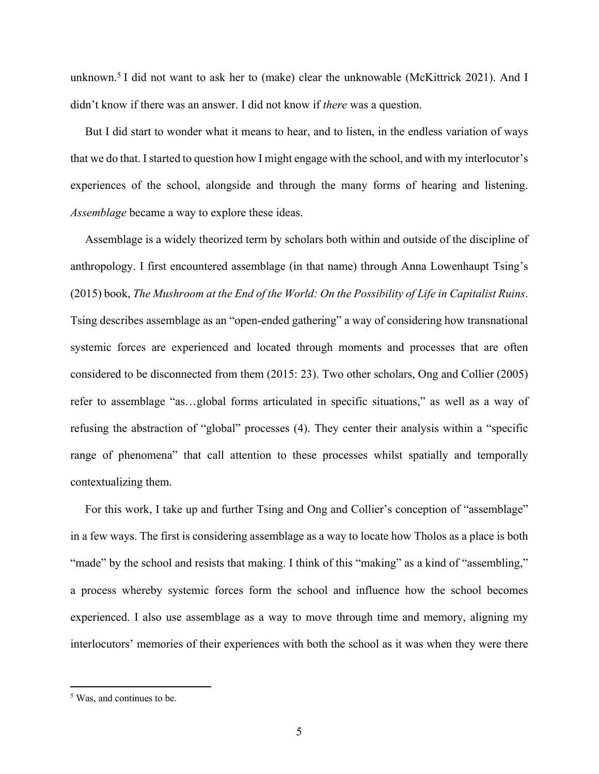unknown.<sup>5</sup> I did not want to ask her to (make) clear the unknowable (McKittrick 2021). And I didn't know if there was an answer. I did not know if *there* was a question.

 But I did start to wonder what it means to hear, and to listen, in the endless variation of ways that we do that. I started to question how I might engage with the school, and with my interlocutor's experiences of the school, alongside and through the many forms of hearing and listening. *Assemblage* became a way to explore these ideas.

 Assemblage is a widely theorized term by scholars both within and outside of the discipline of anthropology. I first encountered assemblage (in that name) through Anna Lowenhaupt Tsing's (2015) book, *The Mushroom at the End of the World: On the Possibility of Life in Capitalist Ruins*. Tsing describes assemblage as an "open-ended gathering" a way of considering how transnational systemic forces are experienced and located through moments and processes that are often considered to be disconnected from them (2015: 23). Two other scholars, Ong and Collier (2005) refer to assemblage "as…global forms articulated in specific situations," as well as a way of refusing the abstraction of "global" processes (4). They center their analysis within a "specific range of phenomena" that call attention to these processes whilst spatially and temporally contextualizing them.

 For this work, I take up and further Tsing and Ong and Collier's conception of "assemblage" in a few ways. The first is considering assemblage as a way to locate how Tholos as a place is both "made" by the school and resists that making. I think of this "making" as a kind of "assembling," a process whereby systemic forces form the school and influence how the school becomes experienced. I also use assemblage as a way to move through time and memory, aligning my interlocutors' memories of their experiences with both the school as it was when they were there

<sup>5</sup> Was, and continues to be.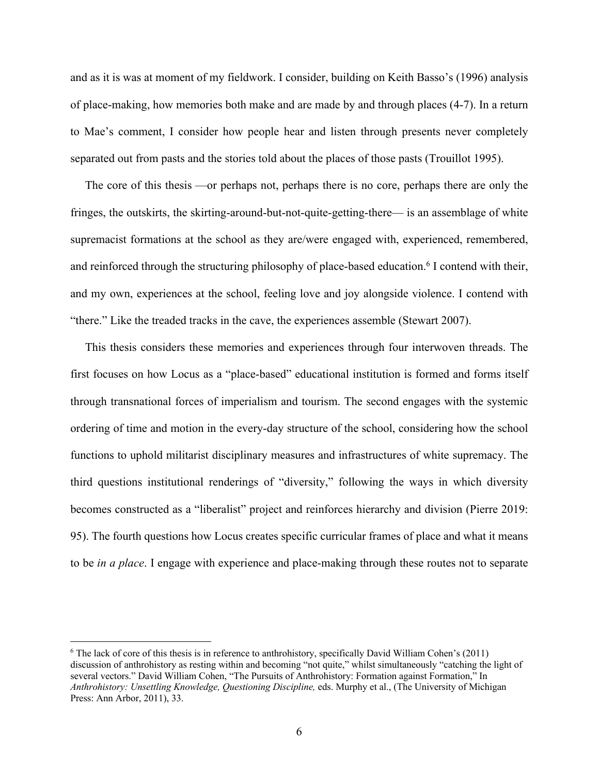and as it is was at moment of my fieldwork. I consider, building on Keith Basso's (1996) analysis of place-making, how memories both make and are made by and through places (4-7). In a return to Mae's comment, I consider how people hear and listen through presents never completely separated out from pasts and the stories told about the places of those pasts (Trouillot 1995).

 The core of this thesis —or perhaps not, perhaps there is no core, perhaps there are only the fringes, the outskirts, the skirting-around-but-not-quite-getting-there— is an assemblage of white supremacist formations at the school as they are/were engaged with, experienced, remembered, and reinforced through the structuring philosophy of place-based education.<sup>6</sup> I contend with their, and my own, experiences at the school, feeling love and joy alongside violence. I contend with "there." Like the treaded tracks in the cave, the experiences assemble (Stewart 2007).

 This thesis considers these memories and experiences through four interwoven threads. The first focuses on how Locus as a "place-based" educational institution is formed and forms itself through transnational forces of imperialism and tourism. The second engages with the systemic ordering of time and motion in the every-day structure of the school, considering how the school functions to uphold militarist disciplinary measures and infrastructures of white supremacy. The third questions institutional renderings of "diversity," following the ways in which diversity becomes constructed as a "liberalist" project and reinforces hierarchy and division (Pierre 2019: 95). The fourth questions how Locus creates specific curricular frames of place and what it means to be *in a place*. I engage with experience and place-making through these routes not to separate

<sup>6</sup> The lack of core of this thesis is in reference to anthrohistory, specifically David William Cohen's (2011) discussion of anthrohistory as resting within and becoming "not quite," whilst simultaneously "catching the light of several vectors." David William Cohen, "The Pursuits of Anthrohistory: Formation against Formation," In *Anthrohistory: Unsettling Knowledge, Questioning Discipline,* eds. Murphy et al., (The University of Michigan Press: Ann Arbor, 2011), 33.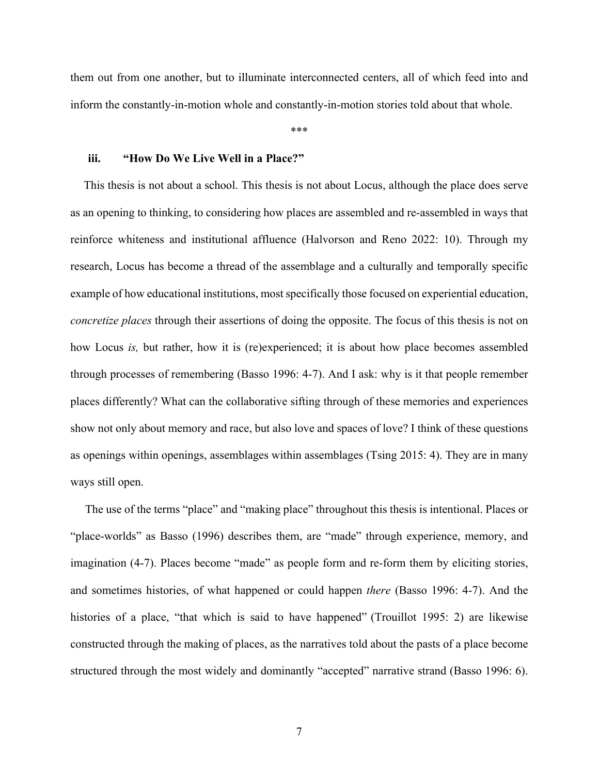them out from one another, but to illuminate interconnected centers, all of which feed into and inform the constantly-in-motion whole and constantly-in-motion stories told about that whole.

\*\*\*

## **iii. "How Do We Live Well in a Place?"**

 This thesis is not about a school. This thesis is not about Locus, although the place does serve as an opening to thinking, to considering how places are assembled and re-assembled in ways that reinforce whiteness and institutional affluence (Halvorson and Reno 2022: 10). Through my research, Locus has become a thread of the assemblage and a culturally and temporally specific example of how educational institutions, most specifically those focused on experiential education, *concretize places* through their assertions of doing the opposite. The focus of this thesis is not on how Locus *is,* but rather, how it is (re)experienced; it is about how place becomes assembled through processes of remembering (Basso 1996: 4-7). And I ask: why is it that people remember places differently? What can the collaborative sifting through of these memories and experiences show not only about memory and race, but also love and spaces of love? I think of these questions as openings within openings, assemblages within assemblages (Tsing 2015: 4). They are in many ways still open.

 The use of the terms "place" and "making place" throughout this thesis is intentional. Places or "place-worlds" as Basso (1996) describes them, are "made" through experience, memory, and imagination (4-7). Places become "made" as people form and re-form them by eliciting stories, and sometimes histories, of what happened or could happen *there* (Basso 1996: 4-7). And the histories of a place, "that which is said to have happened" (Trouillot 1995: 2) are likewise constructed through the making of places, as the narratives told about the pasts of a place become structured through the most widely and dominantly "accepted" narrative strand (Basso 1996: 6).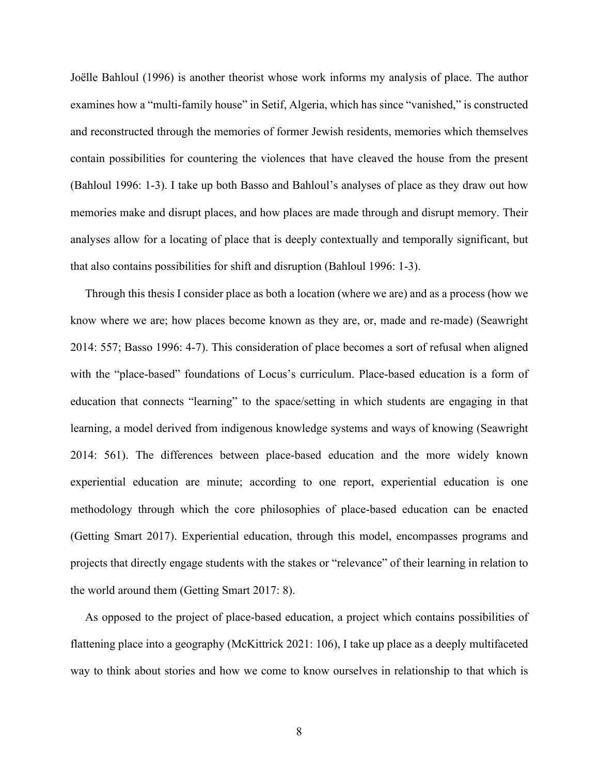Joëlle Bahloul (1996) is another theorist whose work informs my analysis of place. The author examines how a "multi-family house" in Setif, Algeria, which has since "vanished," is constructed and reconstructed through the memories of former Jewish residents, memories which themselves contain possibilities for countering the violences that have cleaved the house from the present (Bahloul 1996: 1-3). I take up both Basso and Bahloul's analyses of place as they draw out how memories make and disrupt places, and how places are made through and disrupt memory. Their analyses allow for a locating of place that is deeply contextually and temporally significant, but that also contains possibilities for shift and disruption (Bahloul 1996: 1-3).

 Through this thesis I consider place as both a location (where we are) and as a process (how we know where we are; how places become known as they are, or, made and re-made) (Seawright 2014: 557; Basso 1996: 4-7). This consideration of place becomes a sort of refusal when aligned with the "place-based" foundations of Locus's curriculum. Place-based education is a form of education that connects "learning" to the space/setting in which students are engaging in that learning, a model derived from indigenous knowledge systems and ways of knowing (Seawright 2014: 561). The differences between place-based education and the more widely known experiential education are minute; according to one report, experiential education is one methodology through which the core philosophies of place-based education can be enacted (Getting Smart 2017). Experiential education, through this model, encompasses programs and projects that directly engage students with the stakes or "relevance" of their learning in relation to the world around them (Getting Smart 2017: 8).

 As opposed to the project of place-based education, a project which contains possibilities of flattening place into a geography (McKittrick 2021: 106), I take up place as a deeply multifaceted way to think about stories and how we come to know ourselves in relationship to that which is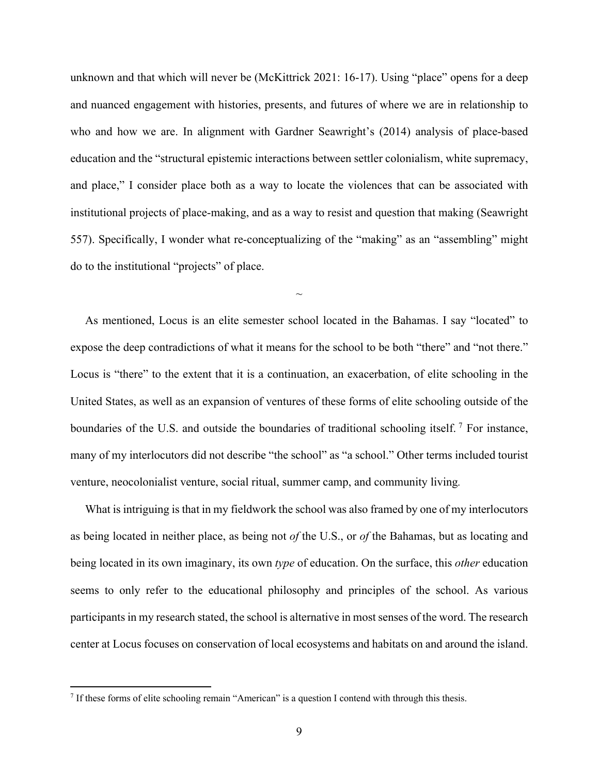unknown and that which will never be (McKittrick 2021: 16-17). Using "place" opens for a deep and nuanced engagement with histories, presents, and futures of where we are in relationship to who and how we are. In alignment with Gardner Seawright's (2014) analysis of place-based education and the "structural epistemic interactions between settler colonialism, white supremacy, and place," I consider place both as a way to locate the violences that can be associated with institutional projects of place-making, and as a way to resist and question that making (Seawright 557). Specifically, I wonder what re-conceptualizing of the "making" as an "assembling" might do to the institutional "projects" of place.

 As mentioned, Locus is an elite semester school located in the Bahamas. I say "located" to expose the deep contradictions of what it means for the school to be both "there" and "not there." Locus is "there" to the extent that it is a continuation, an exacerbation, of elite schooling in the United States, as well as an expansion of ventures of these forms of elite schooling outside of the boundaries of the U.S. and outside the boundaries of traditional schooling itself.<sup>7</sup> For instance, many of my interlocutors did not describe "the school" as "a school." Other terms included tourist venture, neocolonialist venture, social ritual, summer camp, and community living*.*

 $\sim$ 

 What is intriguing is that in my fieldwork the school was also framed by one of my interlocutors as being located in neither place, as being not *of* the U.S., or *of* the Bahamas, but as locating and being located in its own imaginary, its own *type* of education. On the surface, this *other* education seems to only refer to the educational philosophy and principles of the school. As various participants in my research stated, the school is alternative in most senses of the word. The research center at Locus focuses on conservation of local ecosystems and habitats on and around the island.

<sup>7</sup> If these forms of elite schooling remain "American" is a question I contend with through this thesis.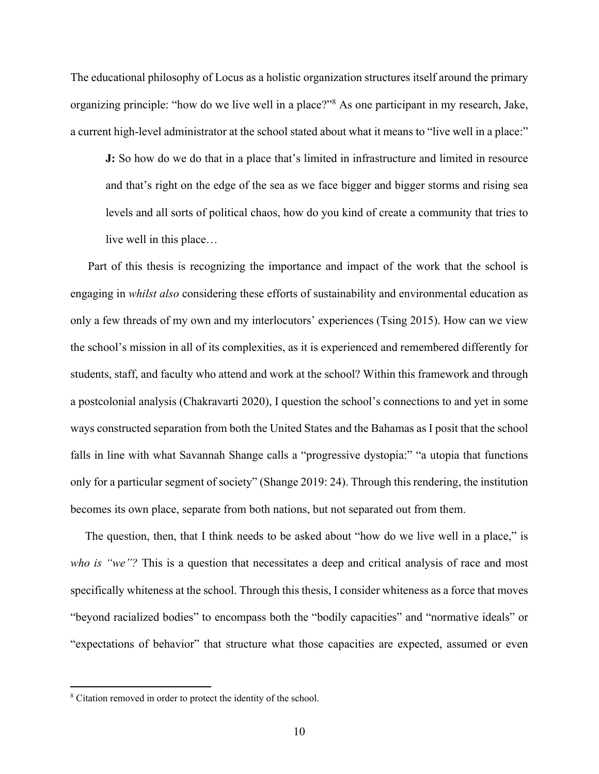The educational philosophy of Locus as a holistic organization structures itself around the primary organizing principle: "how do we live well in a place?"8 As one participant in my research, Jake, a current high-level administrator at the school stated about what it means to "live well in a place:"

**J:** So how do we do that in a place that's limited in infrastructure and limited in resource and that's right on the edge of the sea as we face bigger and bigger storms and rising sea levels and all sorts of political chaos, how do you kind of create a community that tries to live well in this place…

 Part of this thesis is recognizing the importance and impact of the work that the school is engaging in *whilst also* considering these efforts of sustainability and environmental education as only a few threads of my own and my interlocutors' experiences (Tsing 2015). How can we view the school's mission in all of its complexities, as it is experienced and remembered differently for students, staff, and faculty who attend and work at the school? Within this framework and through a postcolonial analysis (Chakravarti 2020), I question the school's connections to and yet in some ways constructed separation from both the United States and the Bahamas as I posit that the school falls in line with what Savannah Shange calls a "progressive dystopia:" "a utopia that functions only for a particular segment of society" (Shange 2019: 24). Through this rendering, the institution becomes its own place, separate from both nations, but not separated out from them.

The question, then, that I think needs to be asked about "how do we live well in a place," is *who is "we"?* This is a question that necessitates a deep and critical analysis of race and most specifically whiteness at the school. Through this thesis, I consider whiteness as a force that moves "beyond racialized bodies" to encompass both the "bodily capacities" and "normative ideals" or "expectations of behavior" that structure what those capacities are expected, assumed or even

<sup>8</sup> Citation removed in order to protect the identity of the school.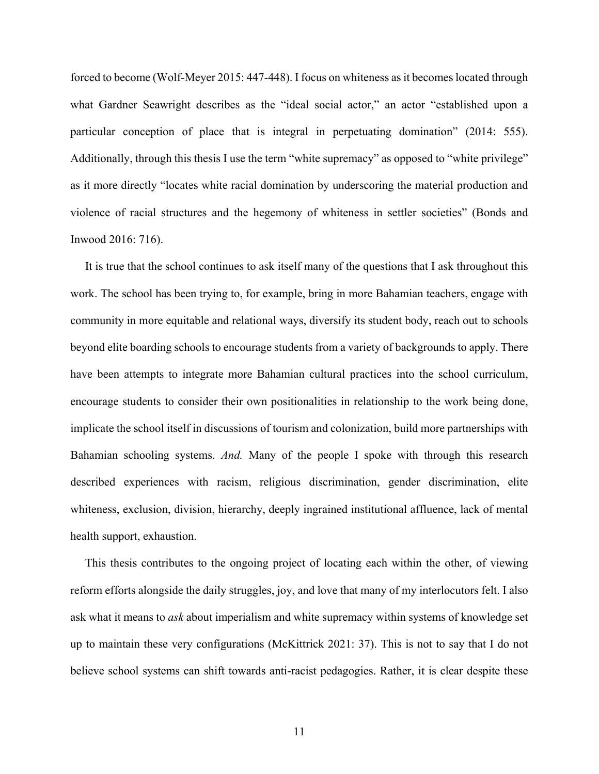forced to become (Wolf-Meyer 2015: 447-448). I focus on whiteness as it becomes located through what Gardner Seawright describes as the "ideal social actor," an actor "established upon a particular conception of place that is integral in perpetuating domination" (2014: 555). Additionally, through this thesis I use the term "white supremacy" as opposed to "white privilege" as it more directly "locates white racial domination by underscoring the material production and violence of racial structures and the hegemony of whiteness in settler societies" (Bonds and Inwood 2016: 716).

 It is true that the school continues to ask itself many of the questions that I ask throughout this work. The school has been trying to, for example, bring in more Bahamian teachers, engage with community in more equitable and relational ways, diversify its student body, reach out to schools beyond elite boarding schools to encourage students from a variety of backgrounds to apply. There have been attempts to integrate more Bahamian cultural practices into the school curriculum, encourage students to consider their own positionalities in relationship to the work being done, implicate the school itself in discussions of tourism and colonization, build more partnerships with Bahamian schooling systems. *And.* Many of the people I spoke with through this research described experiences with racism, religious discrimination, gender discrimination, elite whiteness, exclusion, division, hierarchy, deeply ingrained institutional affluence, lack of mental health support, exhaustion.

 This thesis contributes to the ongoing project of locating each within the other, of viewing reform efforts alongside the daily struggles, joy, and love that many of my interlocutors felt. I also ask what it means to *ask* about imperialism and white supremacy within systems of knowledge set up to maintain these very configurations (McKittrick 2021: 37). This is not to say that I do not believe school systems can shift towards anti-racist pedagogies. Rather, it is clear despite these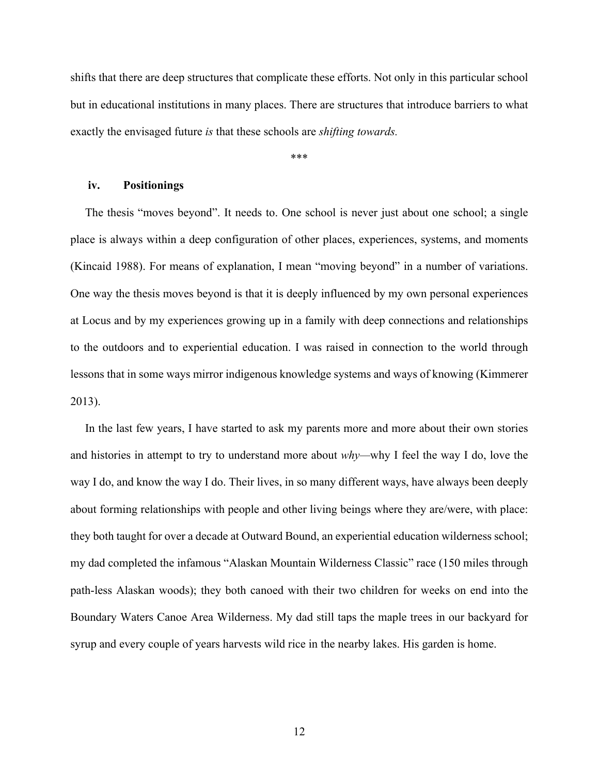shifts that there are deep structures that complicate these efforts. Not only in this particular school but in educational institutions in many places. There are structures that introduce barriers to what exactly the envisaged future *is* that these schools are *shifting towards.* 

\*\*\*

#### **iv. Positionings**

 The thesis "moves beyond". It needs to. One school is never just about one school; a single place is always within a deep configuration of other places, experiences, systems, and moments (Kincaid 1988). For means of explanation, I mean "moving beyond" in a number of variations. One way the thesis moves beyond is that it is deeply influenced by my own personal experiences at Locus and by my experiences growing up in a family with deep connections and relationships to the outdoors and to experiential education. I was raised in connection to the world through lessons that in some ways mirror indigenous knowledge systems and ways of knowing (Kimmerer 2013).

 In the last few years, I have started to ask my parents more and more about their own stories and histories in attempt to try to understand more about *why—*why I feel the way I do, love the way I do, and know the way I do. Their lives, in so many different ways, have always been deeply about forming relationships with people and other living beings where they are/were, with place: they both taught for over a decade at Outward Bound, an experiential education wilderness school; my dad completed the infamous "Alaskan Mountain Wilderness Classic" race (150 miles through path-less Alaskan woods); they both canoed with their two children for weeks on end into the Boundary Waters Canoe Area Wilderness. My dad still taps the maple trees in our backyard for syrup and every couple of years harvests wild rice in the nearby lakes. His garden is home.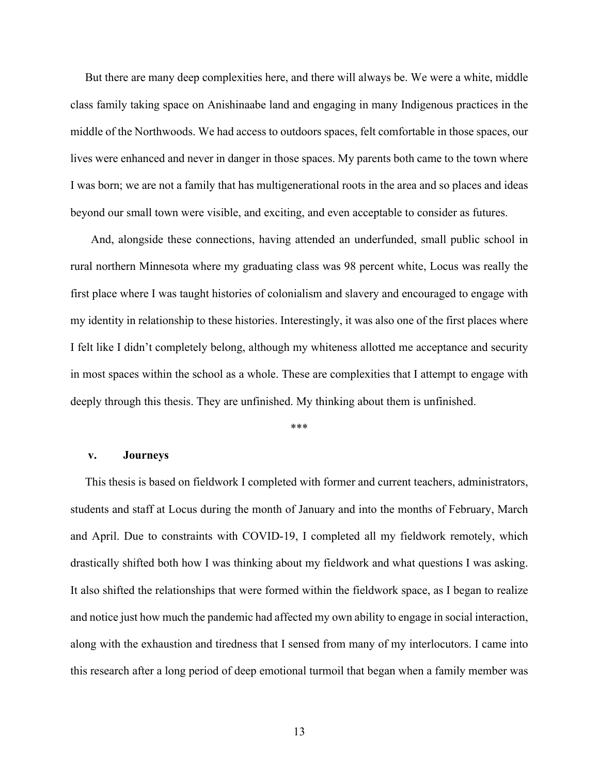But there are many deep complexities here, and there will always be. We were a white, middle class family taking space on Anishinaabe land and engaging in many Indigenous practices in the middle of the Northwoods. We had access to outdoors spaces, felt comfortable in those spaces, our lives were enhanced and never in danger in those spaces. My parents both came to the town where I was born; we are not a family that has multigenerational roots in the area and so places and ideas beyond our small town were visible, and exciting, and even acceptable to consider as futures.

 And, alongside these connections, having attended an underfunded, small public school in rural northern Minnesota where my graduating class was 98 percent white, Locus was really the first place where I was taught histories of colonialism and slavery and encouraged to engage with my identity in relationship to these histories. Interestingly, it was also one of the first places where I felt like I didn't completely belong, although my whiteness allotted me acceptance and security in most spaces within the school as a whole. These are complexities that I attempt to engage with deeply through this thesis. They are unfinished. My thinking about them is unfinished.

\*\*\*

#### **v. Journeys**

 This thesis is based on fieldwork I completed with former and current teachers, administrators, students and staff at Locus during the month of January and into the months of February, March and April. Due to constraints with COVID-19, I completed all my fieldwork remotely, which drastically shifted both how I was thinking about my fieldwork and what questions I was asking. It also shifted the relationships that were formed within the fieldwork space, as I began to realize and notice just how much the pandemic had affected my own ability to engage in social interaction, along with the exhaustion and tiredness that I sensed from many of my interlocutors. I came into this research after a long period of deep emotional turmoil that began when a family member was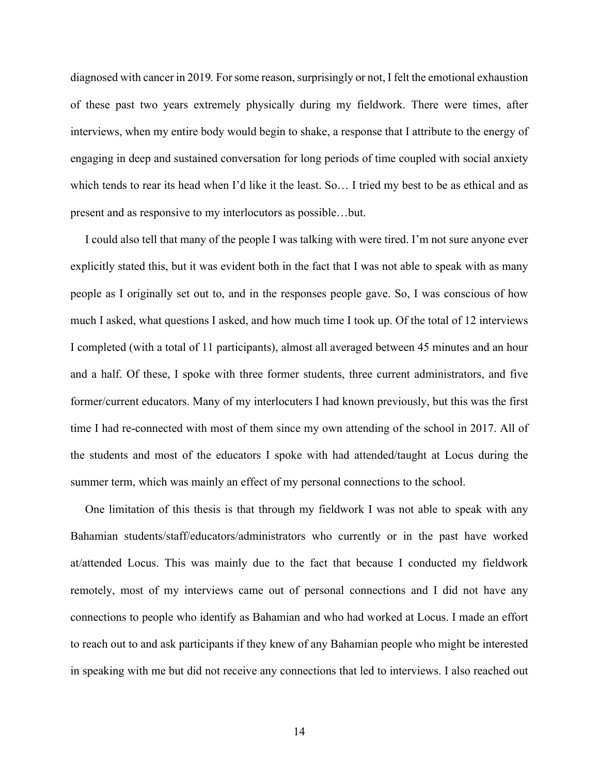diagnosed with cancer in 2019*.* For some reason, surprisingly or not, I felt the emotional exhaustion of these past two years extremely physically during my fieldwork. There were times, after interviews, when my entire body would begin to shake, a response that I attribute to the energy of engaging in deep and sustained conversation for long periods of time coupled with social anxiety which tends to rear its head when I'd like it the least. So… I tried my best to be as ethical and as present and as responsive to my interlocutors as possible…but.

 I could also tell that many of the people I was talking with were tired. I'm not sure anyone ever explicitly stated this, but it was evident both in the fact that I was not able to speak with as many people as I originally set out to, and in the responses people gave. So, I was conscious of how much I asked, what questions I asked, and how much time I took up. Of the total of 12 interviews I completed (with a total of 11 participants), almost all averaged between 45 minutes and an hour and a half. Of these, I spoke with three former students, three current administrators, and five former/current educators. Many of my interlocuters I had known previously, but this was the first time I had re-connected with most of them since my own attending of the school in 2017. All of the students and most of the educators I spoke with had attended/taught at Locus during the summer term, which was mainly an effect of my personal connections to the school.

 One limitation of this thesis is that through my fieldwork I was not able to speak with any Bahamian students/staff/educators/administrators who currently or in the past have worked at/attended Locus. This was mainly due to the fact that because I conducted my fieldwork remotely, most of my interviews came out of personal connections and I did not have any connections to people who identify as Bahamian and who had worked at Locus. I made an effort to reach out to and ask participants if they knew of any Bahamian people who might be interested in speaking with me but did not receive any connections that led to interviews. I also reached out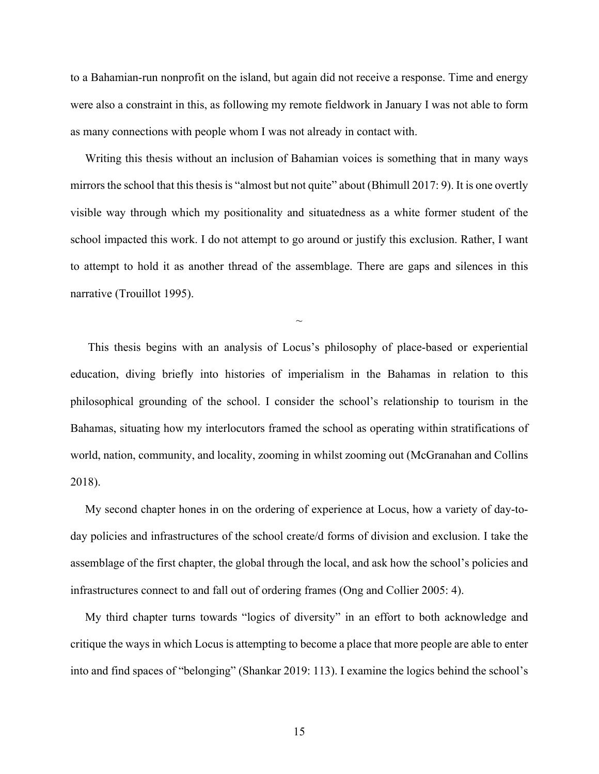to a Bahamian-run nonprofit on the island, but again did not receive a response. Time and energy were also a constraint in this, as following my remote fieldwork in January I was not able to form as many connections with people whom I was not already in contact with.

 Writing this thesis without an inclusion of Bahamian voices is something that in many ways mirrors the school that this thesis is "almost but not quite" about (Bhimull 2017: 9). It is one overtly visible way through which my positionality and situatedness as a white former student of the school impacted this work. I do not attempt to go around or justify this exclusion. Rather, I want to attempt to hold it as another thread of the assemblage. There are gaps and silences in this narrative (Trouillot 1995).

 $\sim$ 

 This thesis begins with an analysis of Locus's philosophy of place-based or experiential education, diving briefly into histories of imperialism in the Bahamas in relation to this philosophical grounding of the school. I consider the school's relationship to tourism in the Bahamas, situating how my interlocutors framed the school as operating within stratifications of world, nation, community, and locality, zooming in whilst zooming out (McGranahan and Collins 2018).

 My second chapter hones in on the ordering of experience at Locus, how a variety of day-today policies and infrastructures of the school create/d forms of division and exclusion. I take the assemblage of the first chapter, the global through the local, and ask how the school's policies and infrastructures connect to and fall out of ordering frames (Ong and Collier 2005: 4).

 My third chapter turns towards "logics of diversity" in an effort to both acknowledge and critique the ways in which Locus is attempting to become a place that more people are able to enter into and find spaces of "belonging" (Shankar 2019: 113). I examine the logics behind the school's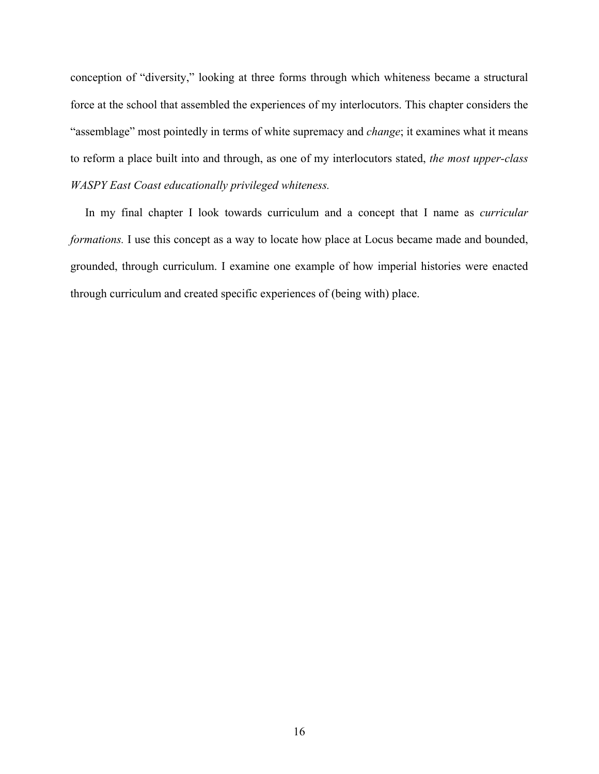conception of "diversity," looking at three forms through which whiteness became a structural force at the school that assembled the experiences of my interlocutors. This chapter considers the "assemblage" most pointedly in terms of white supremacy and *change*; it examines what it means to reform a place built into and through, as one of my interlocutors stated, *the most upper-class WASPY East Coast educationally privileged whiteness.*

 In my final chapter I look towards curriculum and a concept that I name as *curricular formations.* I use this concept as a way to locate how place at Locus became made and bounded, grounded, through curriculum. I examine one example of how imperial histories were enacted through curriculum and created specific experiences of (being with) place.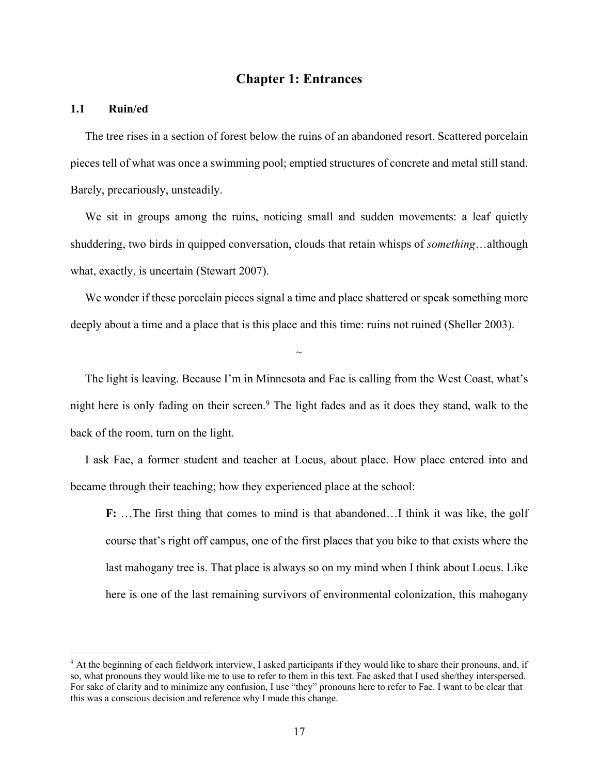## **Chapter 1: Entrances**

## **1.1 Ruin/ed**

 The tree rises in a section of forest below the ruins of an abandoned resort. Scattered porcelain pieces tell of what was once a swimming pool; emptied structures of concrete and metal still stand. Barely, precariously, unsteadily.

 We sit in groups among the ruins, noticing small and sudden movements: a leaf quietly shuddering, two birds in quipped conversation, clouds that retain whisps of *something*…although what, exactly, is uncertain (Stewart 2007).

We wonder if these porcelain pieces signal a time and place shattered or speak something more deeply about a time and a place that is this place and this time: ruins not ruined (Sheller 2003).

 $\sim$ 

 The light is leaving. Because I'm in Minnesota and Fae is calling from the West Coast, what's night here is only fading on their screen.<sup>9</sup> The light fades and as it does they stand, walk to the back of the room, turn on the light.

 I ask Fae, a former student and teacher at Locus, about place. How place entered into and became through their teaching; how they experienced place at the school:

**F:** …The first thing that comes to mind is that abandoned…I think it was like, the golf course that's right off campus, one of the first places that you bike to that exists where the last mahogany tree is. That place is always so on my mind when I think about Locus. Like here is one of the last remaining survivors of environmental colonization, this mahogany

<sup>9</sup> At the beginning of each fieldwork interview, I asked participants if they would like to share their pronouns, and, if so, what pronouns they would like me to use to refer to them in this text. Fae asked that I used she/they interspersed. For sake of clarity and to minimize any confusion, I use "they" pronouns here to refer to Fae. I want to be clear that this was a conscious decision and reference why I made this change.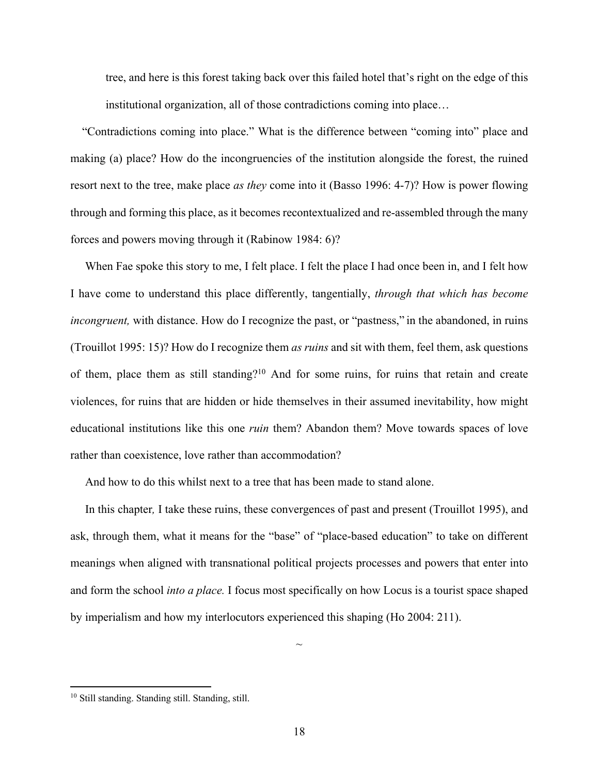tree, and here is this forest taking back over this failed hotel that's right on the edge of this institutional organization, all of those contradictions coming into place…

 "Contradictions coming into place." What is the difference between "coming into" place and making (a) place? How do the incongruencies of the institution alongside the forest, the ruined resort next to the tree, make place *as they* come into it (Basso 1996: 4-7)? How is power flowing through and forming this place, as it becomes recontextualized and re-assembled through the many forces and powers moving through it (Rabinow 1984: 6)?

 When Fae spoke this story to me, I felt place. I felt the place I had once been in, and I felt how I have come to understand this place differently, tangentially, *through that which has become incongruent*, with distance. How do I recognize the past, or "pastness," in the abandoned, in ruins (Trouillot 1995: 15)? How do I recognize them *as ruins* and sit with them, feel them, ask questions of them, place them as still standing?<sup>10</sup> And for some ruins, for ruins that retain and create violences, for ruins that are hidden or hide themselves in their assumed inevitability, how might educational institutions like this one *ruin* them? Abandon them? Move towards spaces of love rather than coexistence, love rather than accommodation?

And how to do this whilst next to a tree that has been made to stand alone.

 In this chapter*,* I take these ruins, these convergences of past and present (Trouillot 1995), and ask, through them, what it means for the "base" of "place-based education" to take on different meanings when aligned with transnational political projects processes and powers that enter into and form the school *into a place.* I focus most specifically on how Locus is a tourist space shaped by imperialism and how my interlocutors experienced this shaping (Ho 2004: 211).

 $\sim$ 

<sup>10</sup> Still standing. Standing still. Standing, still.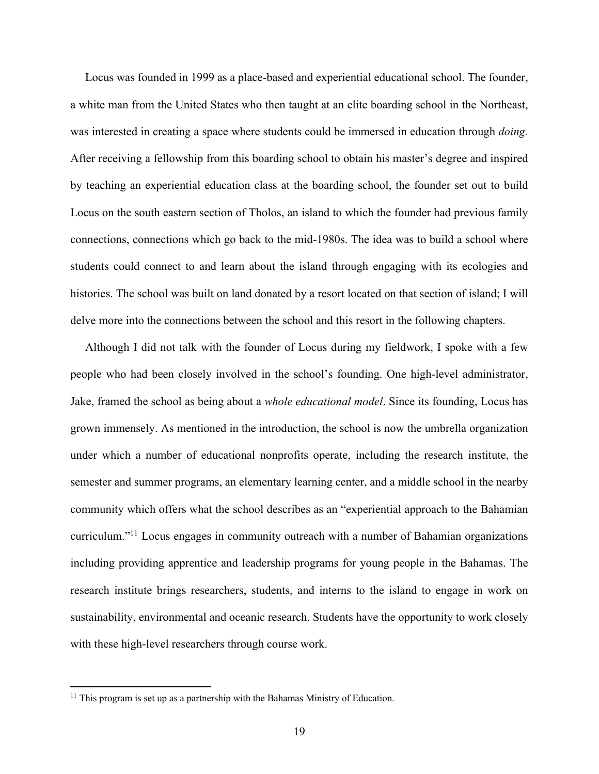Locus was founded in 1999 as a place-based and experiential educational school. The founder, a white man from the United States who then taught at an elite boarding school in the Northeast, was interested in creating a space where students could be immersed in education through *doing.* After receiving a fellowship from this boarding school to obtain his master's degree and inspired by teaching an experiential education class at the boarding school, the founder set out to build Locus on the south eastern section of Tholos, an island to which the founder had previous family connections, connections which go back to the mid-1980s. The idea was to build a school where students could connect to and learn about the island through engaging with its ecologies and histories. The school was built on land donated by a resort located on that section of island; I will delve more into the connections between the school and this resort in the following chapters.

 Although I did not talk with the founder of Locus during my fieldwork, I spoke with a few people who had been closely involved in the school's founding. One high-level administrator, Jake, framed the school as being about a *whole educational model*. Since its founding, Locus has grown immensely. As mentioned in the introduction, the school is now the umbrella organization under which a number of educational nonprofits operate, including the research institute, the semester and summer programs, an elementary learning center, and a middle school in the nearby community which offers what the school describes as an "experiential approach to the Bahamian curriculum."11 Locus engages in community outreach with a number of Bahamian organizations including providing apprentice and leadership programs for young people in the Bahamas. The research institute brings researchers, students, and interns to the island to engage in work on sustainability, environmental and oceanic research. Students have the opportunity to work closely with these high-level researchers through course work.

 $11$  This program is set up as a partnership with the Bahamas Ministry of Education.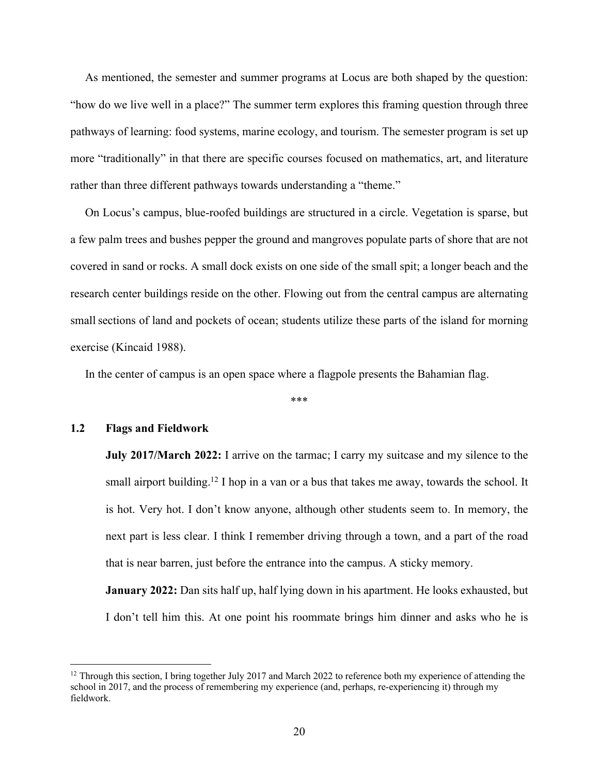As mentioned, the semester and summer programs at Locus are both shaped by the question: "how do we live well in a place?" The summer term explores this framing question through three pathways of learning: food systems, marine ecology, and tourism. The semester program is set up more "traditionally" in that there are specific courses focused on mathematics, art, and literature rather than three different pathways towards understanding a "theme."

 On Locus's campus, blue-roofed buildings are structured in a circle. Vegetation is sparse, but a few palm trees and bushes pepper the ground and mangroves populate parts of shore that are not covered in sand or rocks. A small dock exists on one side of the small spit; a longer beach and the research center buildings reside on the other. Flowing out from the central campus are alternating small sections of land and pockets of ocean; students utilize these parts of the island for morning exercise (Kincaid 1988).

In the center of campus is an open space where a flagpole presents the Bahamian flag.

\*\*\*

### **1.2 Flags and Fieldwork**

**July 2017/March 2022:** I arrive on the tarmac; I carry my suitcase and my silence to the small airport building.<sup>12</sup> I hop in a van or a bus that takes me away, towards the school. It is hot. Very hot. I don't know anyone, although other students seem to. In memory, the next part is less clear. I think I remember driving through a town, and a part of the road that is near barren, just before the entrance into the campus. A sticky memory.

**January 2022:** Dan sits half up, half lying down in his apartment. He looks exhausted, but I don't tell him this. At one point his roommate brings him dinner and asks who he is

<sup>&</sup>lt;sup>12</sup> Through this section, I bring together July 2017 and March 2022 to reference both my experience of attending the school in 2017, and the process of remembering my experience (and, perhaps, re-experiencing it) through my fieldwork.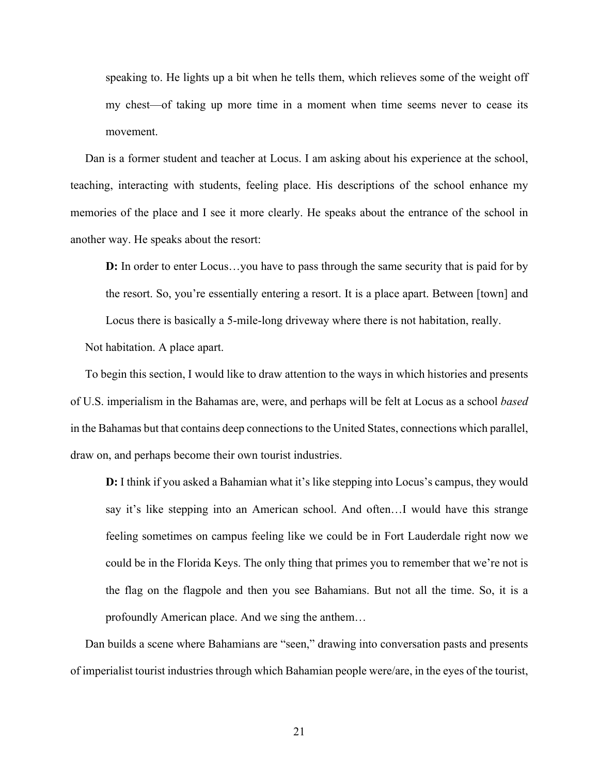speaking to. He lights up a bit when he tells them, which relieves some of the weight off my chest—of taking up more time in a moment when time seems never to cease its movement.

 Dan is a former student and teacher at Locus. I am asking about his experience at the school, teaching, interacting with students, feeling place. His descriptions of the school enhance my memories of the place and I see it more clearly. He speaks about the entrance of the school in another way. He speaks about the resort:

**D:** In order to enter Locus…you have to pass through the same security that is paid for by the resort. So, you're essentially entering a resort. It is a place apart. Between [town] and Locus there is basically a 5-mile-long driveway where there is not habitation, really.

Not habitation. A place apart.

 To begin this section, I would like to draw attention to the ways in which histories and presents of U.S. imperialism in the Bahamas are, were, and perhaps will be felt at Locus as a school *based*  in the Bahamas but that contains deep connections to the United States, connections which parallel, draw on, and perhaps become their own tourist industries.

**D:** I think if you asked a Bahamian what it's like stepping into Locus's campus, they would say it's like stepping into an American school. And often…I would have this strange feeling sometimes on campus feeling like we could be in Fort Lauderdale right now we could be in the Florida Keys. The only thing that primes you to remember that we're not is the flag on the flagpole and then you see Bahamians. But not all the time. So, it is a profoundly American place. And we sing the anthem…

Dan builds a scene where Bahamians are "seen," drawing into conversation pasts and presents of imperialist tourist industries through which Bahamian people were/are, in the eyes of the tourist,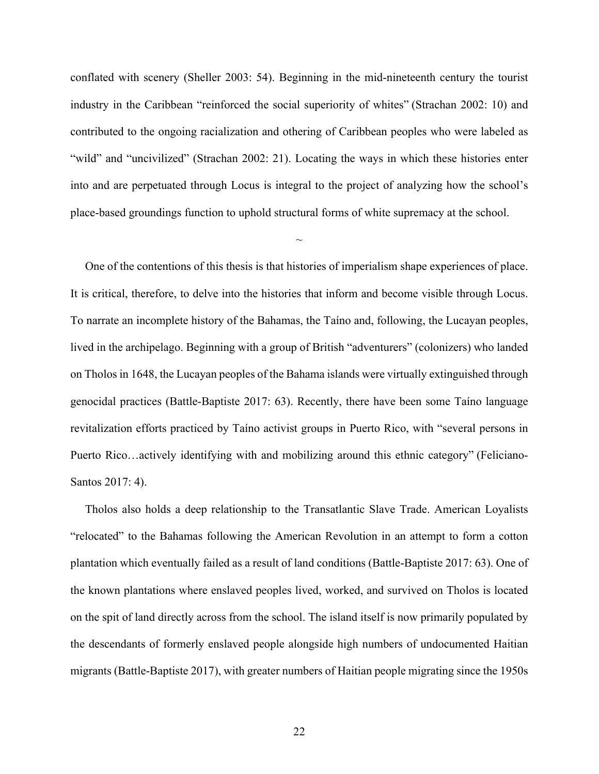conflated with scenery (Sheller 2003: 54). Beginning in the mid-nineteenth century the tourist industry in the Caribbean "reinforced the social superiority of whites" (Strachan 2002: 10) and contributed to the ongoing racialization and othering of Caribbean peoples who were labeled as "wild" and "uncivilized" (Strachan 2002: 21). Locating the ways in which these histories enter into and are perpetuated through Locus is integral to the project of analyzing how the school's place-based groundings function to uphold structural forms of white supremacy at the school.

 $\sim$ 

 One of the contentions of this thesis is that histories of imperialism shape experiences of place. It is critical, therefore, to delve into the histories that inform and become visible through Locus. To narrate an incomplete history of the Bahamas, the Taíno and, following, the Lucayan peoples, lived in the archipelago. Beginning with a group of British "adventurers" (colonizers) who landed on Tholos in 1648, the Lucayan peoples of the Bahama islands were virtually extinguished through genocidal practices (Battle-Baptiste 2017: 63). Recently, there have been some Taíno language revitalization efforts practiced by Taíno activist groups in Puerto Rico, with "several persons in Puerto Rico…actively identifying with and mobilizing around this ethnic category" (Feliciano-Santos 2017: 4).

 Tholos also holds a deep relationship to the Transatlantic Slave Trade. American Loyalists "relocated" to the Bahamas following the American Revolution in an attempt to form a cotton plantation which eventually failed as a result of land conditions (Battle-Baptiste 2017: 63). One of the known plantations where enslaved peoples lived, worked, and survived on Tholos is located on the spit of land directly across from the school. The island itself is now primarily populated by the descendants of formerly enslaved people alongside high numbers of undocumented Haitian migrants (Battle-Baptiste 2017), with greater numbers of Haitian people migrating since the 1950s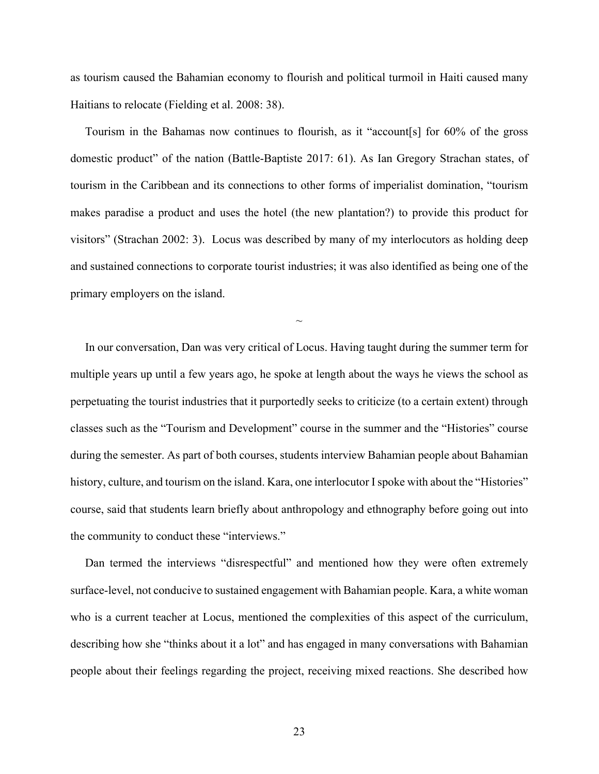as tourism caused the Bahamian economy to flourish and political turmoil in Haiti caused many Haitians to relocate (Fielding et al. 2008: 38).

 Tourism in the Bahamas now continues to flourish, as it "account[s] for 60% of the gross domestic product" of the nation (Battle-Baptiste 2017: 61). As Ian Gregory Strachan states, of tourism in the Caribbean and its connections to other forms of imperialist domination, "tourism makes paradise a product and uses the hotel (the new plantation?) to provide this product for visitors" (Strachan 2002: 3). Locus was described by many of my interlocutors as holding deep and sustained connections to corporate tourist industries; it was also identified as being one of the primary employers on the island.

 $\sim$ 

 In our conversation, Dan was very critical of Locus. Having taught during the summer term for multiple years up until a few years ago, he spoke at length about the ways he views the school as perpetuating the tourist industries that it purportedly seeks to criticize (to a certain extent) through classes such as the "Tourism and Development" course in the summer and the "Histories" course during the semester. As part of both courses, students interview Bahamian people about Bahamian history, culture, and tourism on the island. Kara, one interlocutor I spoke with about the "Histories" course, said that students learn briefly about anthropology and ethnography before going out into the community to conduct these "interviews."

 Dan termed the interviews "disrespectful" and mentioned how they were often extremely surface-level, not conducive to sustained engagement with Bahamian people. Kara, a white woman who is a current teacher at Locus, mentioned the complexities of this aspect of the curriculum, describing how she "thinks about it a lot" and has engaged in many conversations with Bahamian people about their feelings regarding the project, receiving mixed reactions. She described how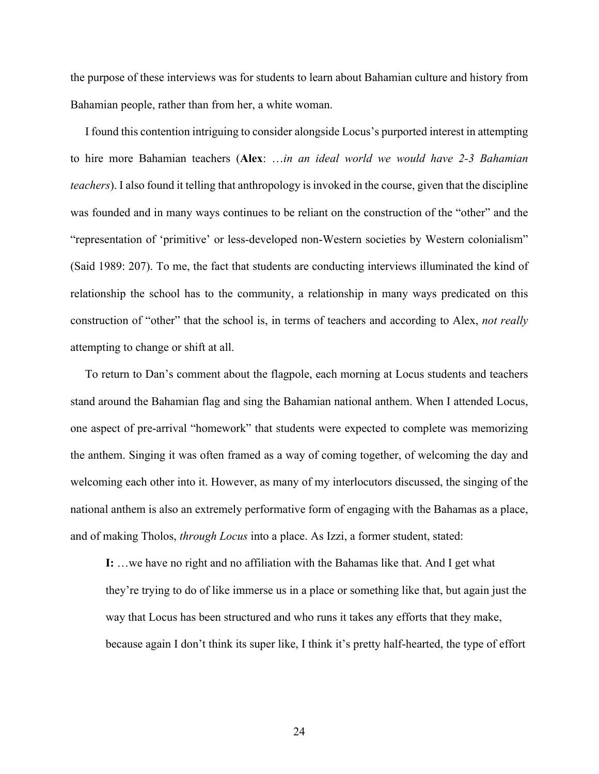the purpose of these interviews was for students to learn about Bahamian culture and history from Bahamian people, rather than from her, a white woman.

 I found this contention intriguing to consider alongside Locus's purported interest in attempting to hire more Bahamian teachers (**Alex**: …*in an ideal world we would have 2-3 Bahamian teachers*). I also found it telling that anthropology is invoked in the course, given that the discipline was founded and in many ways continues to be reliant on the construction of the "other" and the "representation of 'primitive' or less-developed non-Western societies by Western colonialism" (Said 1989: 207). To me, the fact that students are conducting interviews illuminated the kind of relationship the school has to the community, a relationship in many ways predicated on this construction of "other" that the school is, in terms of teachers and according to Alex, *not really* attempting to change or shift at all.

 To return to Dan's comment about the flagpole, each morning at Locus students and teachers stand around the Bahamian flag and sing the Bahamian national anthem. When I attended Locus, one aspect of pre-arrival "homework" that students were expected to complete was memorizing the anthem. Singing it was often framed as a way of coming together, of welcoming the day and welcoming each other into it. However, as many of my interlocutors discussed, the singing of the national anthem is also an extremely performative form of engaging with the Bahamas as a place, and of making Tholos, *through Locus* into a place. As Izzi, a former student, stated:

**I:** …we have no right and no affiliation with the Bahamas like that. And I get what they're trying to do of like immerse us in a place or something like that, but again just the way that Locus has been structured and who runs it takes any efforts that they make, because again I don't think its super like, I think it's pretty half-hearted, the type of effort

24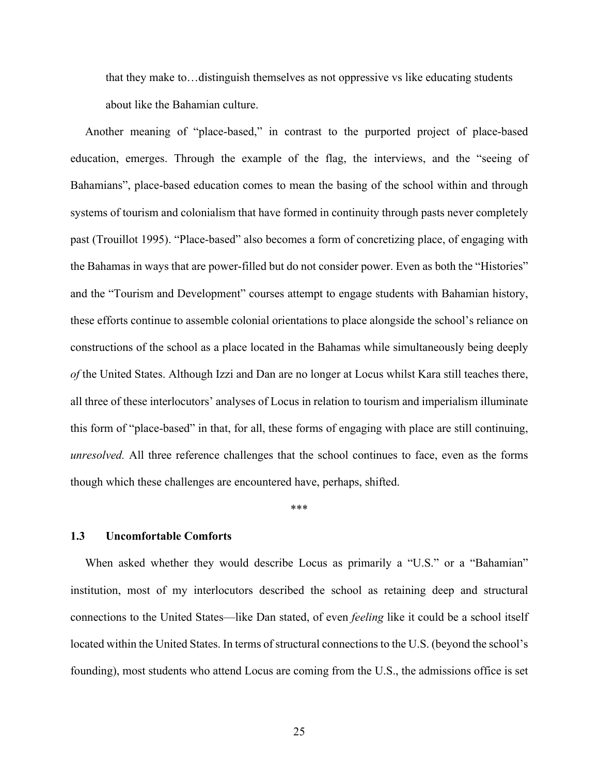that they make to…distinguish themselves as not oppressive vs like educating students about like the Bahamian culture.

 Another meaning of "place-based," in contrast to the purported project of place-based education, emerges. Through the example of the flag, the interviews, and the "seeing of Bahamians", place-based education comes to mean the basing of the school within and through systems of tourism and colonialism that have formed in continuity through pasts never completely past (Trouillot 1995). "Place-based" also becomes a form of concretizing place, of engaging with the Bahamas in ways that are power-filled but do not consider power. Even as both the "Histories" and the "Tourism and Development" courses attempt to engage students with Bahamian history, these efforts continue to assemble colonial orientations to place alongside the school's reliance on constructions of the school as a place located in the Bahamas while simultaneously being deeply *of* the United States. Although Izzi and Dan are no longer at Locus whilst Kara still teaches there, all three of these interlocutors' analyses of Locus in relation to tourism and imperialism illuminate this form of "place-based" in that, for all, these forms of engaging with place are still continuing, *unresolved.* All three reference challenges that the school continues to face, even as the forms though which these challenges are encountered have, perhaps, shifted.

#### \*\*\*

### **1.3 Uncomfortable Comforts**

 When asked whether they would describe Locus as primarily a "U.S." or a "Bahamian" institution, most of my interlocutors described the school as retaining deep and structural connections to the United States—like Dan stated, of even *feeling* like it could be a school itself located within the United States. In terms of structural connections to the U.S. (beyond the school's founding), most students who attend Locus are coming from the U.S., the admissions office is set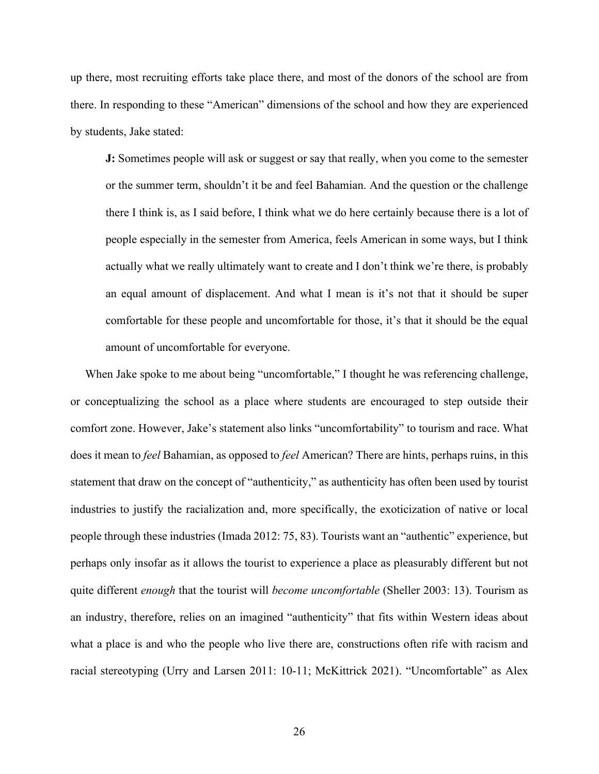up there, most recruiting efforts take place there, and most of the donors of the school are from there. In responding to these "American" dimensions of the school and how they are experienced by students, Jake stated:

**J:** Sometimes people will ask or suggest or say that really, when you come to the semester or the summer term, shouldn't it be and feel Bahamian. And the question or the challenge there I think is, as I said before, I think what we do here certainly because there is a lot of people especially in the semester from America, feels American in some ways, but I think actually what we really ultimately want to create and I don't think we're there, is probably an equal amount of displacement. And what I mean is it's not that it should be super comfortable for these people and uncomfortable for those, it's that it should be the equal amount of uncomfortable for everyone.

 When Jake spoke to me about being "uncomfortable," I thought he was referencing challenge, or conceptualizing the school as a place where students are encouraged to step outside their comfort zone. However, Jake's statement also links "uncomfortability" to tourism and race. What does it mean to *feel* Bahamian, as opposed to *feel* American? There are hints, perhaps ruins, in this statement that draw on the concept of "authenticity," as authenticity has often been used by tourist industries to justify the racialization and, more specifically, the exoticization of native or local people through these industries (Imada 2012: 75, 83). Tourists want an "authentic" experience, but perhaps only insofar as it allows the tourist to experience a place as pleasurably different but not quite different *enough* that the tourist will *become uncomfortable* (Sheller 2003: 13). Tourism as an industry, therefore, relies on an imagined "authenticity" that fits within Western ideas about what a place is and who the people who live there are, constructions often rife with racism and racial stereotyping (Urry and Larsen 2011: 10-11; McKittrick 2021). "Uncomfortable" as Alex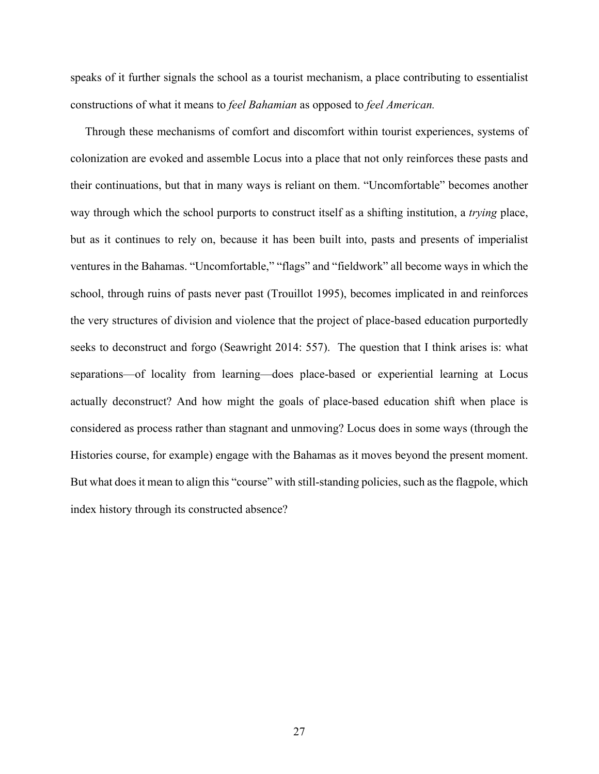speaks of it further signals the school as a tourist mechanism, a place contributing to essentialist constructions of what it means to *feel Bahamian* as opposed to *feel American.* 

Through these mechanisms of comfort and discomfort within tourist experiences, systems of colonization are evoked and assemble Locus into a place that not only reinforces these pasts and their continuations, but that in many ways is reliant on them. "Uncomfortable" becomes another way through which the school purports to construct itself as a shifting institution, a *trying* place, but as it continues to rely on, because it has been built into, pasts and presents of imperialist ventures in the Bahamas. "Uncomfortable," "flags" and "fieldwork" all become ways in which the school, through ruins of pasts never past (Trouillot 1995), becomes implicated in and reinforces the very structures of division and violence that the project of place-based education purportedly seeks to deconstruct and forgo (Seawright 2014: 557). The question that I think arises is: what separations—of locality from learning—does place-based or experiential learning at Locus actually deconstruct? And how might the goals of place-based education shift when place is considered as process rather than stagnant and unmoving? Locus does in some ways (through the Histories course, for example) engage with the Bahamas as it moves beyond the present moment. But what does it mean to align this "course" with still-standing policies, such as the flagpole, which index history through its constructed absence?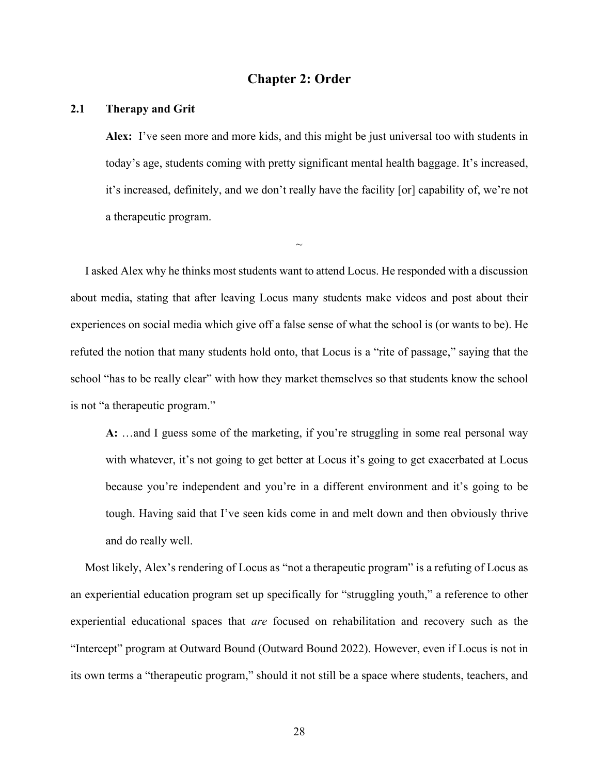## **Chapter 2: Order**

## **2.1 Therapy and Grit**

**Alex:** I've seen more and more kids, and this might be just universal too with students in today's age, students coming with pretty significant mental health baggage. It's increased, it's increased, definitely, and we don't really have the facility [or] capability of, we're not a therapeutic program.

 I asked Alex why he thinks most students want to attend Locus. He responded with a discussion about media, stating that after leaving Locus many students make videos and post about their experiences on social media which give off a false sense of what the school is (or wants to be). He refuted the notion that many students hold onto, that Locus is a "rite of passage," saying that the school "has to be really clear" with how they market themselves so that students know the school is not "a therapeutic program."

 $\sim$ 

**A:** …and I guess some of the marketing, if you're struggling in some real personal way with whatever, it's not going to get better at Locus it's going to get exacerbated at Locus because you're independent and you're in a different environment and it's going to be tough. Having said that I've seen kids come in and melt down and then obviously thrive and do really well.

 Most likely, Alex's rendering of Locus as "not a therapeutic program" is a refuting of Locus as an experiential education program set up specifically for "struggling youth," a reference to other experiential educational spaces that *are* focused on rehabilitation and recovery such as the "Intercept" program at Outward Bound (Outward Bound 2022). However, even if Locus is not in its own terms a "therapeutic program," should it not still be a space where students, teachers, and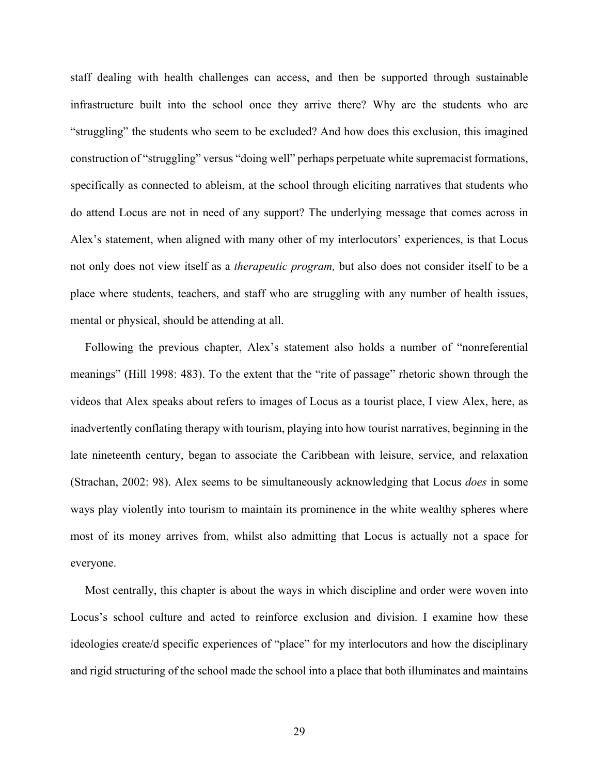staff dealing with health challenges can access, and then be supported through sustainable infrastructure built into the school once they arrive there? Why are the students who are "struggling" the students who seem to be excluded? And how does this exclusion, this imagined construction of "struggling" versus "doing well" perhaps perpetuate white supremacist formations, specifically as connected to ableism, at the school through eliciting narratives that students who do attend Locus are not in need of any support? The underlying message that comes across in Alex's statement, when aligned with many other of my interlocutors' experiences, is that Locus not only does not view itself as a *therapeutic program,* but also does not consider itself to be a place where students, teachers, and staff who are struggling with any number of health issues, mental or physical, should be attending at all.

 Following the previous chapter, Alex's statement also holds a number of "nonreferential meanings" (Hill 1998: 483). To the extent that the "rite of passage" rhetoric shown through the videos that Alex speaks about refers to images of Locus as a tourist place, I view Alex, here, as inadvertently conflating therapy with tourism, playing into how tourist narratives, beginning in the late nineteenth century, began to associate the Caribbean with leisure, service, and relaxation (Strachan, 2002: 98). Alex seems to be simultaneously acknowledging that Locus *does* in some ways play violently into tourism to maintain its prominence in the white wealthy spheres where most of its money arrives from, whilst also admitting that Locus is actually not a space for everyone.

 Most centrally, this chapter is about the ways in which discipline and order were woven into Locus's school culture and acted to reinforce exclusion and division. I examine how these ideologies create/d specific experiences of "place" for my interlocutors and how the disciplinary and rigid structuring of the school made the school into a place that both illuminates and maintains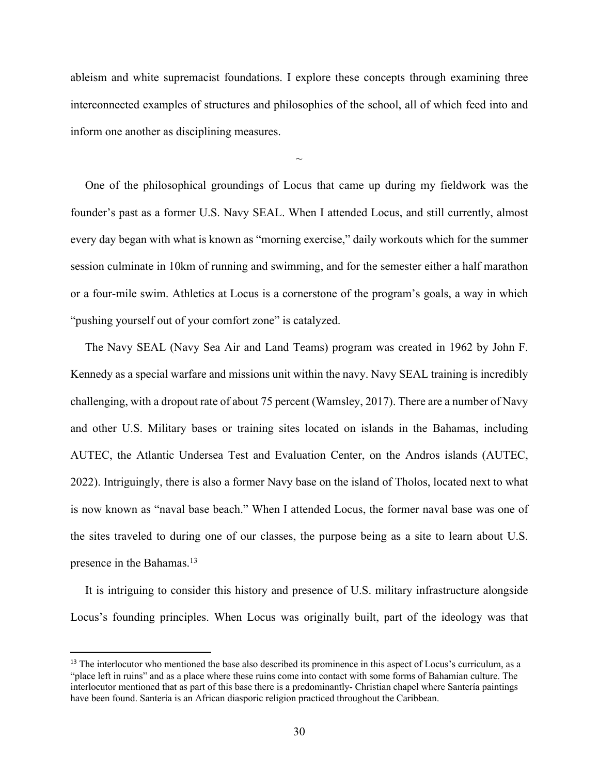ableism and white supremacist foundations. I explore these concepts through examining three interconnected examples of structures and philosophies of the school, all of which feed into and inform one another as disciplining measures.

 $\sim$ 

 One of the philosophical groundings of Locus that came up during my fieldwork was the founder's past as a former U.S. Navy SEAL. When I attended Locus, and still currently, almost every day began with what is known as "morning exercise," daily workouts which for the summer session culminate in 10km of running and swimming, and for the semester either a half marathon or a four-mile swim. Athletics at Locus is a cornerstone of the program's goals, a way in which "pushing yourself out of your comfort zone" is catalyzed.

 The Navy SEAL (Navy Sea Air and Land Teams) program was created in 1962 by John F. Kennedy as a special warfare and missions unit within the navy. Navy SEAL training is incredibly challenging, with a dropout rate of about 75 percent (Wamsley, 2017). There are a number of Navy and other U.S. Military bases or training sites located on islands in the Bahamas, including AUTEC, the Atlantic Undersea Test and Evaluation Center, on the Andros islands (AUTEC, 2022). Intriguingly, there is also a former Navy base on the island of Tholos, located next to what is now known as "naval base beach." When I attended Locus, the former naval base was one of the sites traveled to during one of our classes, the purpose being as a site to learn about U.S. presence in the Bahamas.<sup>13</sup>

 It is intriguing to consider this history and presence of U.S. military infrastructure alongside Locus's founding principles. When Locus was originally built, part of the ideology was that

<sup>&</sup>lt;sup>13</sup> The interlocutor who mentioned the base also described its prominence in this aspect of Locus's curriculum, as a "place left in ruins" and as a place where these ruins come into contact with some forms of Bahamian culture. The interlocutor mentioned that as part of this base there is a predominantly- Christian chapel where Santería paintings have been found. Santería is an African diasporic religion practiced throughout the Caribbean.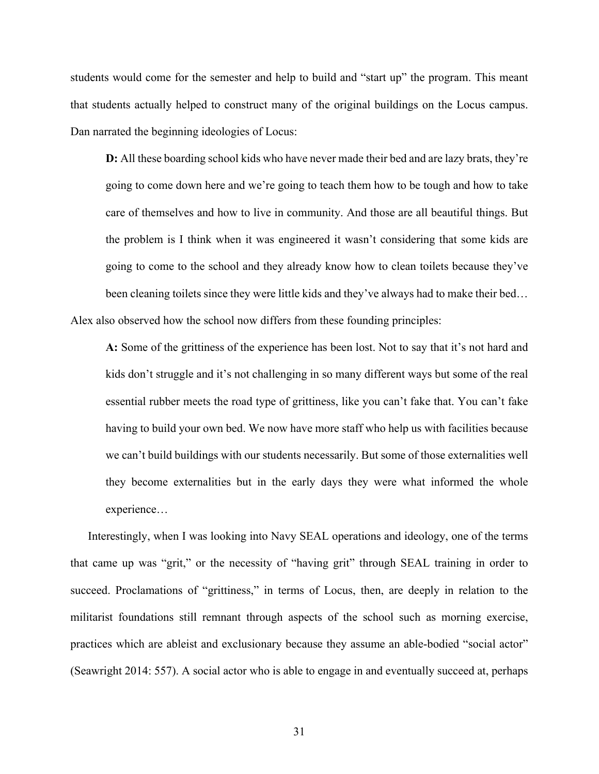students would come for the semester and help to build and "start up" the program. This meant that students actually helped to construct many of the original buildings on the Locus campus. Dan narrated the beginning ideologies of Locus:

**D:** All these boarding school kids who have never made their bed and are lazy brats, they're going to come down here and we're going to teach them how to be tough and how to take care of themselves and how to live in community. And those are all beautiful things. But the problem is I think when it was engineered it wasn't considering that some kids are going to come to the school and they already know how to clean toilets because they've been cleaning toilets since they were little kids and they've always had to make their bed… Alex also observed how the school now differs from these founding principles:

**A:** Some of the grittiness of the experience has been lost. Not to say that it's not hard and kids don't struggle and it's not challenging in so many different ways but some of the real essential rubber meets the road type of grittiness, like you can't fake that. You can't fake having to build your own bed. We now have more staff who help us with facilities because we can't build buildings with our students necessarily. But some of those externalities well they become externalities but in the early days they were what informed the whole experience…

 Interestingly, when I was looking into Navy SEAL operations and ideology, one of the terms that came up was "grit," or the necessity of "having grit" through SEAL training in order to succeed. Proclamations of "grittiness," in terms of Locus, then, are deeply in relation to the militarist foundations still remnant through aspects of the school such as morning exercise, practices which are ableist and exclusionary because they assume an able-bodied "social actor" (Seawright 2014: 557). A social actor who is able to engage in and eventually succeed at, perhaps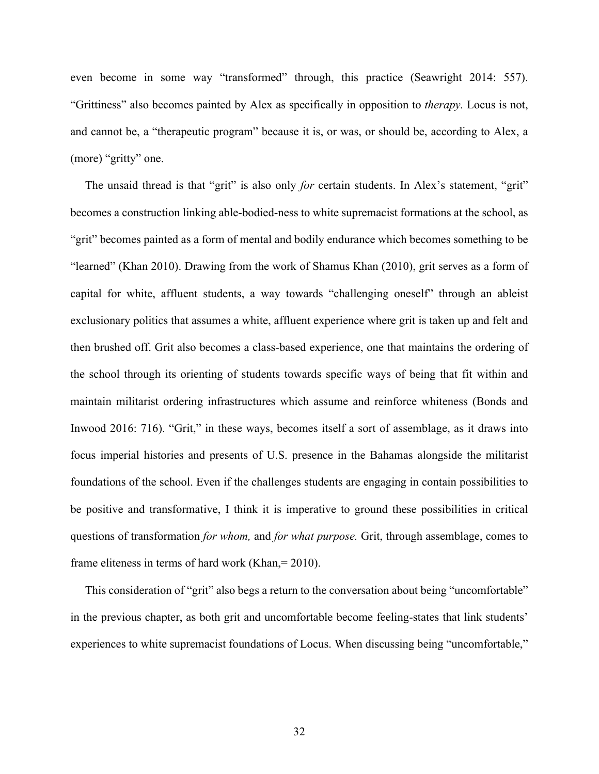even become in some way "transformed" through, this practice (Seawright 2014: 557). "Grittiness" also becomes painted by Alex as specifically in opposition to *therapy.* Locus is not, and cannot be, a "therapeutic program" because it is, or was, or should be, according to Alex, a (more) "gritty" one.

 The unsaid thread is that "grit" is also only *for* certain students. In Alex's statement, "grit" becomes a construction linking able-bodied-ness to white supremacist formations at the school, as "grit" becomes painted as a form of mental and bodily endurance which becomes something to be "learned" (Khan 2010). Drawing from the work of Shamus Khan (2010), grit serves as a form of capital for white, affluent students, a way towards "challenging oneself" through an ableist exclusionary politics that assumes a white, affluent experience where grit is taken up and felt and then brushed off. Grit also becomes a class-based experience, one that maintains the ordering of the school through its orienting of students towards specific ways of being that fit within and maintain militarist ordering infrastructures which assume and reinforce whiteness (Bonds and Inwood 2016: 716). "Grit," in these ways, becomes itself a sort of assemblage, as it draws into focus imperial histories and presents of U.S. presence in the Bahamas alongside the militarist foundations of the school. Even if the challenges students are engaging in contain possibilities to be positive and transformative, I think it is imperative to ground these possibilities in critical questions of transformation *for whom,* and *for what purpose.* Grit, through assemblage, comes to frame eliteness in terms of hard work (Khan, = 2010).

 This consideration of "grit" also begs a return to the conversation about being "uncomfortable" in the previous chapter, as both grit and uncomfortable become feeling-states that link students' experiences to white supremacist foundations of Locus. When discussing being "uncomfortable,"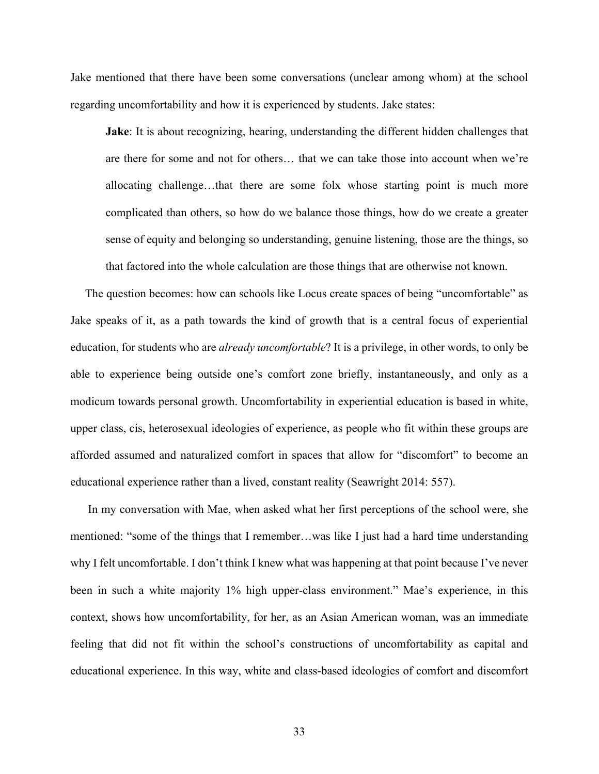Jake mentioned that there have been some conversations (unclear among whom) at the school regarding uncomfortability and how it is experienced by students. Jake states:

**Jake**: It is about recognizing, hearing, understanding the different hidden challenges that are there for some and not for others… that we can take those into account when we're allocating challenge…that there are some folx whose starting point is much more complicated than others, so how do we balance those things, how do we create a greater sense of equity and belonging so understanding, genuine listening, those are the things, so that factored into the whole calculation are those things that are otherwise not known.

 The question becomes: how can schools like Locus create spaces of being "uncomfortable" as Jake speaks of it, as a path towards the kind of growth that is a central focus of experiential education, for students who are *already uncomfortable*? It is a privilege, in other words, to only be able to experience being outside one's comfort zone briefly, instantaneously, and only as a modicum towards personal growth. Uncomfortability in experiential education is based in white, upper class, cis, heterosexual ideologies of experience, as people who fit within these groups are afforded assumed and naturalized comfort in spaces that allow for "discomfort" to become an educational experience rather than a lived, constant reality (Seawright 2014: 557).

 In my conversation with Mae, when asked what her first perceptions of the school were, she mentioned: "some of the things that I remember…was like I just had a hard time understanding why I felt uncomfortable. I don't think I knew what was happening at that point because I've never been in such a white majority 1% high upper-class environment." Mae's experience, in this context, shows how uncomfortability, for her, as an Asian American woman, was an immediate feeling that did not fit within the school's constructions of uncomfortability as capital and educational experience. In this way, white and class-based ideologies of comfort and discomfort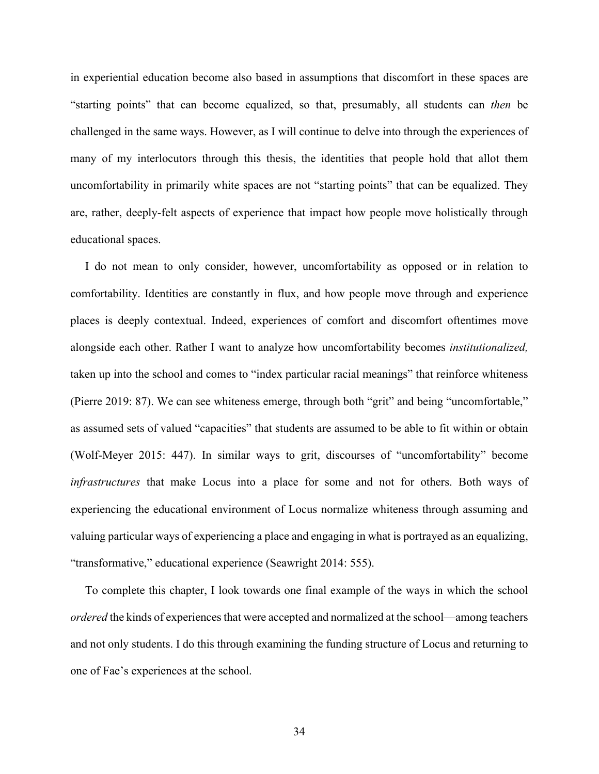in experiential education become also based in assumptions that discomfort in these spaces are "starting points" that can become equalized, so that, presumably, all students can *then* be challenged in the same ways. However, as I will continue to delve into through the experiences of many of my interlocutors through this thesis, the identities that people hold that allot them uncomfortability in primarily white spaces are not "starting points" that can be equalized. They are, rather, deeply-felt aspects of experience that impact how people move holistically through educational spaces.

 I do not mean to only consider, however, uncomfortability as opposed or in relation to comfortability. Identities are constantly in flux, and how people move through and experience places is deeply contextual. Indeed, experiences of comfort and discomfort oftentimes move alongside each other. Rather I want to analyze how uncomfortability becomes *institutionalized,*  taken up into the school and comes to "index particular racial meanings" that reinforce whiteness (Pierre 2019: 87). We can see whiteness emerge, through both "grit" and being "uncomfortable," as assumed sets of valued "capacities" that students are assumed to be able to fit within or obtain (Wolf-Meyer 2015: 447). In similar ways to grit, discourses of "uncomfortability" become *infrastructures* that make Locus into a place for some and not for others. Both ways of experiencing the educational environment of Locus normalize whiteness through assuming and valuing particular ways of experiencing a place and engaging in what is portrayed as an equalizing, "transformative," educational experience (Seawright 2014: 555).

 To complete this chapter, I look towards one final example of the ways in which the school *ordered* the kinds of experiences that were accepted and normalized at the school—among teachers and not only students. I do this through examining the funding structure of Locus and returning to one of Fae's experiences at the school.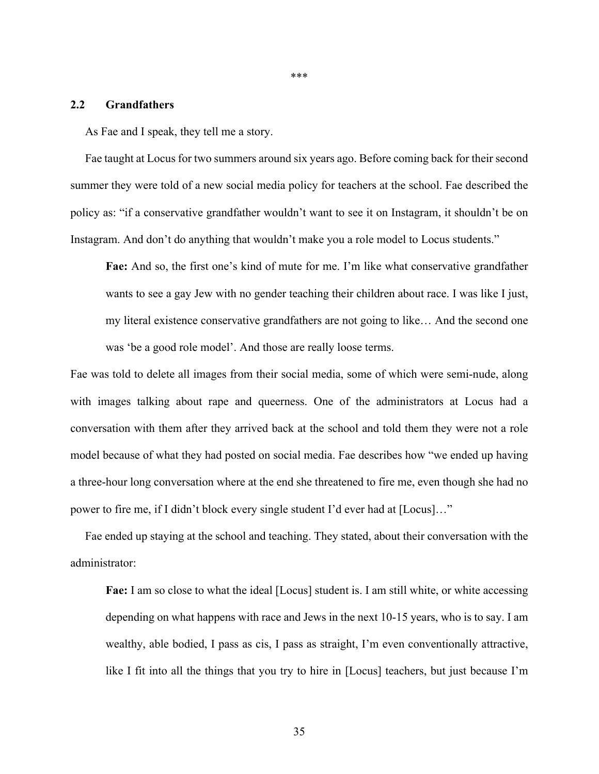## **2.2 Grandfathers**

As Fae and I speak, they tell me a story.

 Fae taught at Locus for two summers around six years ago. Before coming back for their second summer they were told of a new social media policy for teachers at the school. Fae described the policy as: "if a conservative grandfather wouldn't want to see it on Instagram, it shouldn't be on Instagram. And don't do anything that wouldn't make you a role model to Locus students."

**Fae:** And so, the first one's kind of mute for me. I'm like what conservative grandfather wants to see a gay Jew with no gender teaching their children about race. I was like I just, my literal existence conservative grandfathers are not going to like… And the second one was 'be a good role model'. And those are really loose terms.

Fae was told to delete all images from their social media, some of which were semi-nude, along with images talking about rape and queerness. One of the administrators at Locus had a conversation with them after they arrived back at the school and told them they were not a role model because of what they had posted on social media. Fae describes how "we ended up having a three-hour long conversation where at the end she threatened to fire me, even though she had no power to fire me, if I didn't block every single student I'd ever had at [Locus]…"

 Fae ended up staying at the school and teaching. They stated, about their conversation with the administrator:

**Fae:** I am so close to what the ideal [Locus] student is. I am still white, or white accessing depending on what happens with race and Jews in the next 10-15 years, who is to say. I am wealthy, able bodied, I pass as cis, I pass as straight, I'm even conventionally attractive, like I fit into all the things that you try to hire in [Locus] teachers, but just because I'm

\*\*\*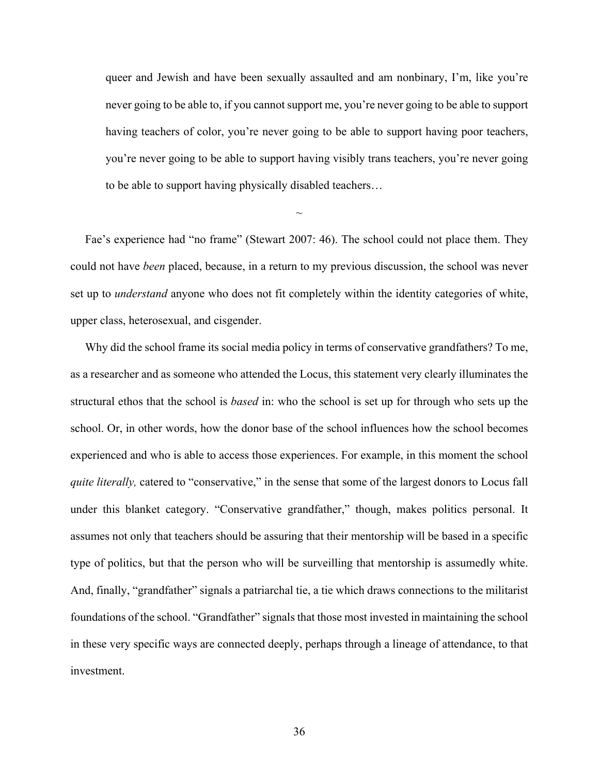queer and Jewish and have been sexually assaulted and am nonbinary, I'm, like you're never going to be able to, if you cannot support me, you're never going to be able to support having teachers of color, you're never going to be able to support having poor teachers, you're never going to be able to support having visibly trans teachers, you're never going to be able to support having physically disabled teachers…

 Fae's experience had "no frame" (Stewart 2007: 46). The school could not place them. They could not have *been* placed, because, in a return to my previous discussion, the school was never set up to *understand* anyone who does not fit completely within the identity categories of white, upper class, heterosexual, and cisgender.

 $\sim$ 

 Why did the school frame its social media policy in terms of conservative grandfathers? To me, as a researcher and as someone who attended the Locus, this statement very clearly illuminates the structural ethos that the school is *based* in: who the school is set up for through who sets up the school. Or, in other words, how the donor base of the school influences how the school becomes experienced and who is able to access those experiences. For example, in this moment the school *quite literally, catered to "conservative," in the sense that some of the largest donors to Locus fall* under this blanket category. "Conservative grandfather," though, makes politics personal. It assumes not only that teachers should be assuring that their mentorship will be based in a specific type of politics, but that the person who will be surveilling that mentorship is assumedly white. And, finally, "grandfather" signals a patriarchal tie, a tie which draws connections to the militarist foundations of the school. "Grandfather" signals that those most invested in maintaining the school in these very specific ways are connected deeply, perhaps through a lineage of attendance, to that investment.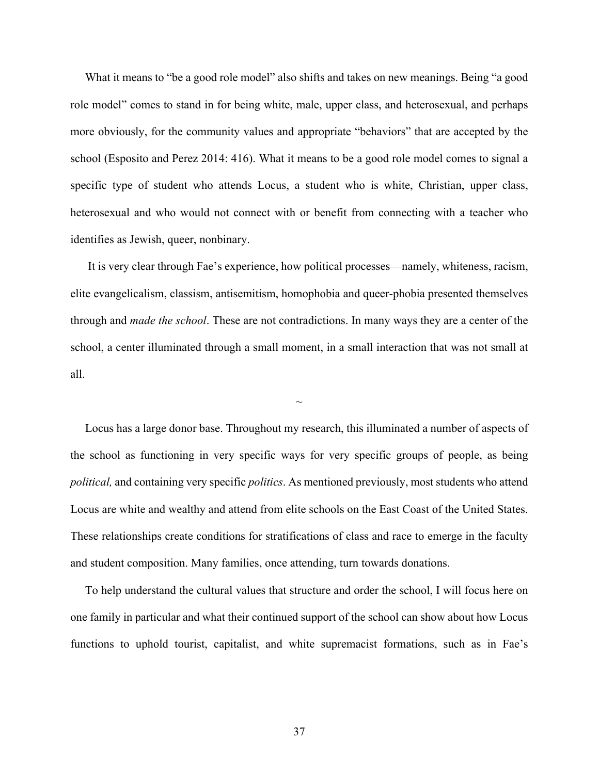What it means to "be a good role model" also shifts and takes on new meanings. Being "a good role model" comes to stand in for being white, male, upper class, and heterosexual, and perhaps more obviously, for the community values and appropriate "behaviors" that are accepted by the school (Esposito and Perez 2014: 416). What it means to be a good role model comes to signal a specific type of student who attends Locus, a student who is white, Christian, upper class, heterosexual and who would not connect with or benefit from connecting with a teacher who identifies as Jewish, queer, nonbinary.

 It is very clear through Fae's experience, how political processes—namely, whiteness, racism, elite evangelicalism, classism, antisemitism, homophobia and queer-phobia presented themselves through and *made the school*. These are not contradictions. In many ways they are a center of the school, a center illuminated through a small moment, in a small interaction that was not small at all.

 $\sim$ 

 Locus has a large donor base. Throughout my research, this illuminated a number of aspects of the school as functioning in very specific ways for very specific groups of people, as being *political,* and containing very specific *politics*. As mentioned previously, most students who attend Locus are white and wealthy and attend from elite schools on the East Coast of the United States. These relationships create conditions for stratifications of class and race to emerge in the faculty and student composition. Many families, once attending, turn towards donations.

 To help understand the cultural values that structure and order the school, I will focus here on one family in particular and what their continued support of the school can show about how Locus functions to uphold tourist, capitalist, and white supremacist formations, such as in Fae's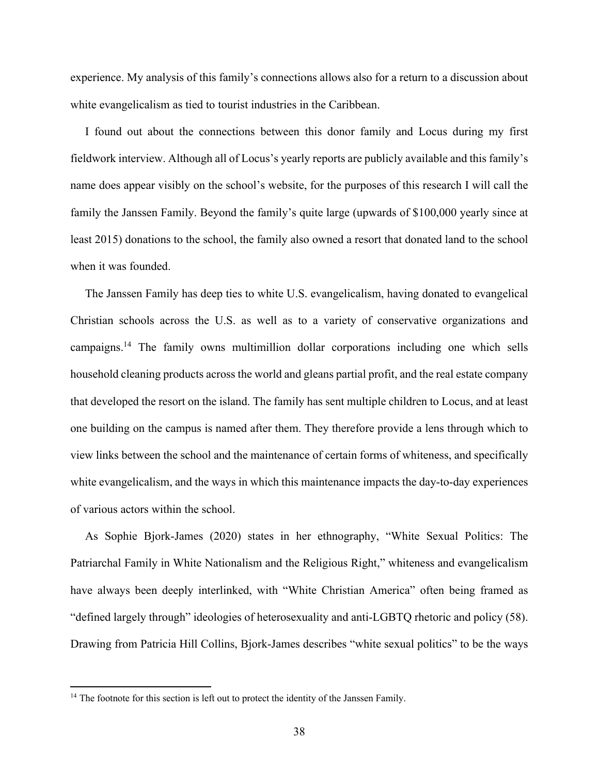experience. My analysis of this family's connections allows also for a return to a discussion about white evangelicalism as tied to tourist industries in the Caribbean.

 I found out about the connections between this donor family and Locus during my first fieldwork interview. Although all of Locus's yearly reports are publicly available and this family's name does appear visibly on the school's website, for the purposes of this research I will call the family the Janssen Family. Beyond the family's quite large (upwards of \$100,000 yearly since at least 2015) donations to the school, the family also owned a resort that donated land to the school when it was founded.

 The Janssen Family has deep ties to white U.S. evangelicalism, having donated to evangelical Christian schools across the U.S. as well as to a variety of conservative organizations and campaigns.14 The family owns multimillion dollar corporations including one which sells household cleaning products across the world and gleans partial profit, and the real estate company that developed the resort on the island. The family has sent multiple children to Locus, and at least one building on the campus is named after them. They therefore provide a lens through which to view links between the school and the maintenance of certain forms of whiteness, and specifically white evangelicalism, and the ways in which this maintenance impacts the day-to-day experiences of various actors within the school.

 As Sophie Bjork-James (2020) states in her ethnography, "White Sexual Politics: The Patriarchal Family in White Nationalism and the Religious Right," whiteness and evangelicalism have always been deeply interlinked, with "White Christian America" often being framed as "defined largely through" ideologies of heterosexuality and anti-LGBTQ rhetoric and policy (58). Drawing from Patricia Hill Collins, Bjork-James describes "white sexual politics" to be the ways

<sup>&</sup>lt;sup>14</sup> The footnote for this section is left out to protect the identity of the Janssen Family.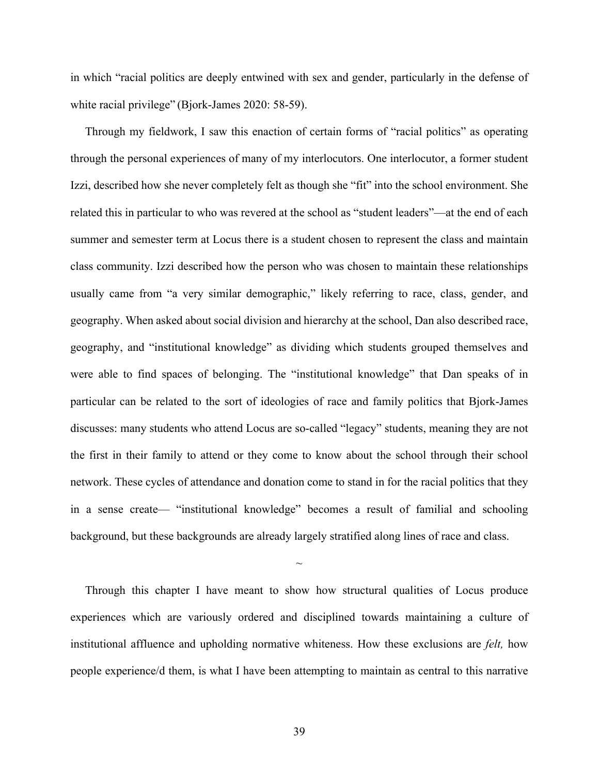in which "racial politics are deeply entwined with sex and gender, particularly in the defense of white racial privilege" (Bjork-James 2020: 58-59).

 Through my fieldwork, I saw this enaction of certain forms of "racial politics" as operating through the personal experiences of many of my interlocutors. One interlocutor, a former student Izzi, described how she never completely felt as though she "fit" into the school environment. She related this in particular to who was revered at the school as "student leaders"—at the end of each summer and semester term at Locus there is a student chosen to represent the class and maintain class community. Izzi described how the person who was chosen to maintain these relationships usually came from "a very similar demographic," likely referring to race, class, gender, and geography. When asked about social division and hierarchy at the school, Dan also described race, geography, and "institutional knowledge" as dividing which students grouped themselves and were able to find spaces of belonging. The "institutional knowledge" that Dan speaks of in particular can be related to the sort of ideologies of race and family politics that Bjork-James discusses: many students who attend Locus are so-called "legacy" students, meaning they are not the first in their family to attend or they come to know about the school through their school network. These cycles of attendance and donation come to stand in for the racial politics that they in a sense create— "institutional knowledge" becomes a result of familial and schooling background, but these backgrounds are already largely stratified along lines of race and class.

 Through this chapter I have meant to show how structural qualities of Locus produce experiences which are variously ordered and disciplined towards maintaining a culture of institutional affluence and upholding normative whiteness. How these exclusions are *felt,* how people experience/d them, is what I have been attempting to maintain as central to this narrative

 $\sim$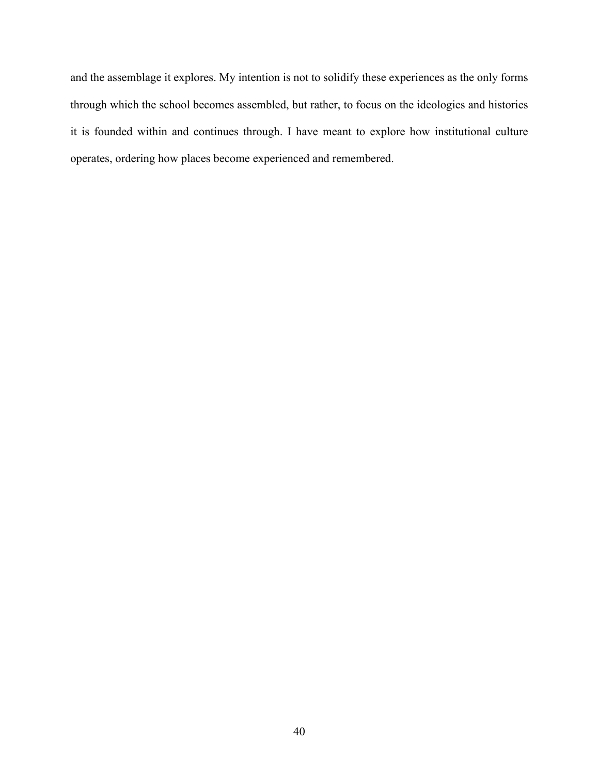and the assemblage it explores. My intention is not to solidify these experiences as the only forms through which the school becomes assembled, but rather, to focus on the ideologies and histories it is founded within and continues through. I have meant to explore how institutional culture operates, ordering how places become experienced and remembered.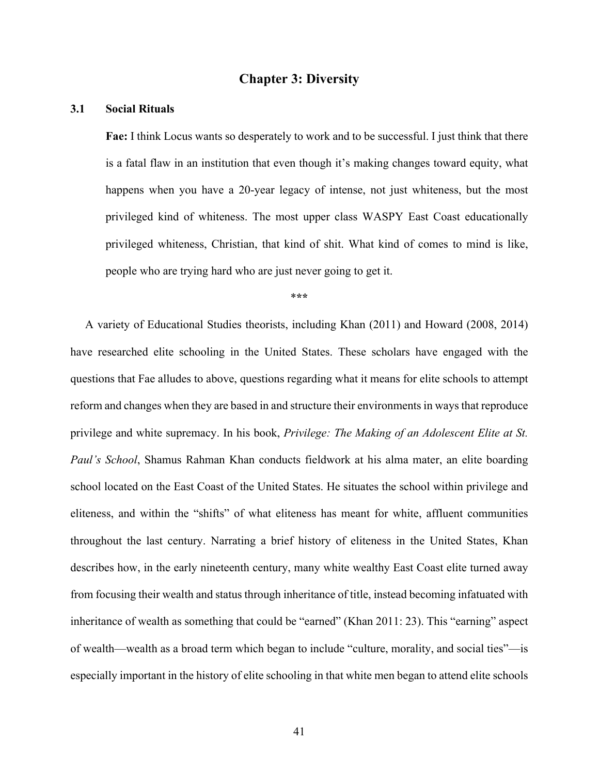# **Chapter 3: Diversity**

## **3.1 Social Rituals**

**Fae:** I think Locus wants so desperately to work and to be successful. I just think that there is a fatal flaw in an institution that even though it's making changes toward equity, what happens when you have a 20-year legacy of intense, not just whiteness, but the most privileged kind of whiteness. The most upper class WASPY East Coast educationally privileged whiteness, Christian, that kind of shit. What kind of comes to mind is like, people who are trying hard who are just never going to get it.

\***\*\***

 A variety of Educational Studies theorists, including Khan (2011) and Howard (2008, 2014) have researched elite schooling in the United States. These scholars have engaged with the questions that Fae alludes to above, questions regarding what it means for elite schools to attempt reform and changes when they are based in and structure their environments in ways that reproduce privilege and white supremacy. In his book, *Privilege: The Making of an Adolescent Elite at St. Paul's School*, Shamus Rahman Khan conducts fieldwork at his alma mater, an elite boarding school located on the East Coast of the United States. He situates the school within privilege and eliteness, and within the "shifts" of what eliteness has meant for white, affluent communities throughout the last century. Narrating a brief history of eliteness in the United States, Khan describes how, in the early nineteenth century, many white wealthy East Coast elite turned away from focusing their wealth and status through inheritance of title, instead becoming infatuated with inheritance of wealth as something that could be "earned" (Khan 2011: 23). This "earning" aspect of wealth—wealth as a broad term which began to include "culture, morality, and social ties"—is especially important in the history of elite schooling in that white men began to attend elite schools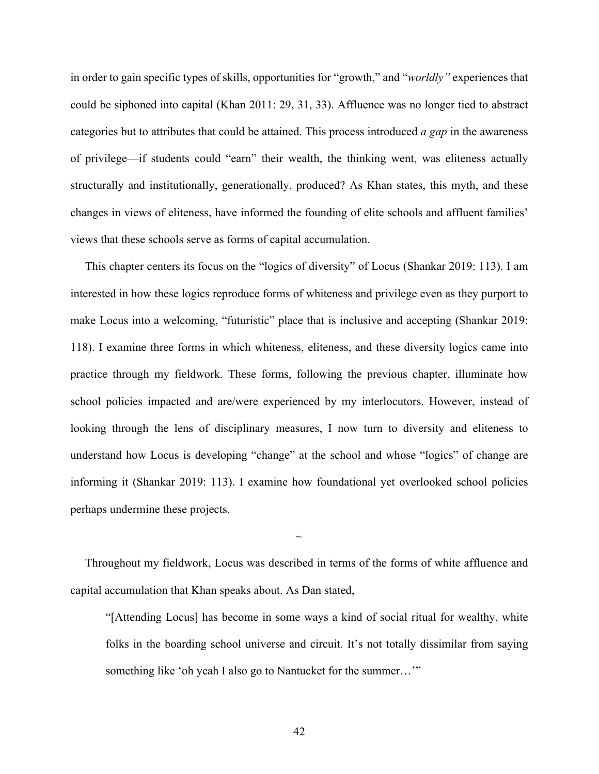in order to gain specific types of skills, opportunities for "growth," and "*worldly"* experiences that could be siphoned into capital (Khan 2011: 29, 31, 33). Affluence was no longer tied to abstract categories but to attributes that could be attained. This process introduced *a gap* in the awareness of privilege—if students could "earn" their wealth, the thinking went, was eliteness actually structurally and institutionally, generationally, produced? As Khan states, this myth, and these changes in views of eliteness, have informed the founding of elite schools and affluent families' views that these schools serve as forms of capital accumulation.

 This chapter centers its focus on the "logics of diversity" of Locus (Shankar 2019: 113). I am interested in how these logics reproduce forms of whiteness and privilege even as they purport to make Locus into a welcoming, "futuristic" place that is inclusive and accepting (Shankar 2019: 118). I examine three forms in which whiteness, eliteness, and these diversity logics came into practice through my fieldwork. These forms, following the previous chapter, illuminate how school policies impacted and are/were experienced by my interlocutors. However, instead of looking through the lens of disciplinary measures, I now turn to diversity and eliteness to understand how Locus is developing "change" at the school and whose "logics" of change are informing it (Shankar 2019: 113). I examine how foundational yet overlooked school policies perhaps undermine these projects.

 Throughout my fieldwork, Locus was described in terms of the forms of white affluence and capital accumulation that Khan speaks about. As Dan stated,

 $\sim$ 

"[Attending Locus] has become in some ways a kind of social ritual for wealthy, white folks in the boarding school universe and circuit. It's not totally dissimilar from saying something like 'oh yeah I also go to Nantucket for the summer..."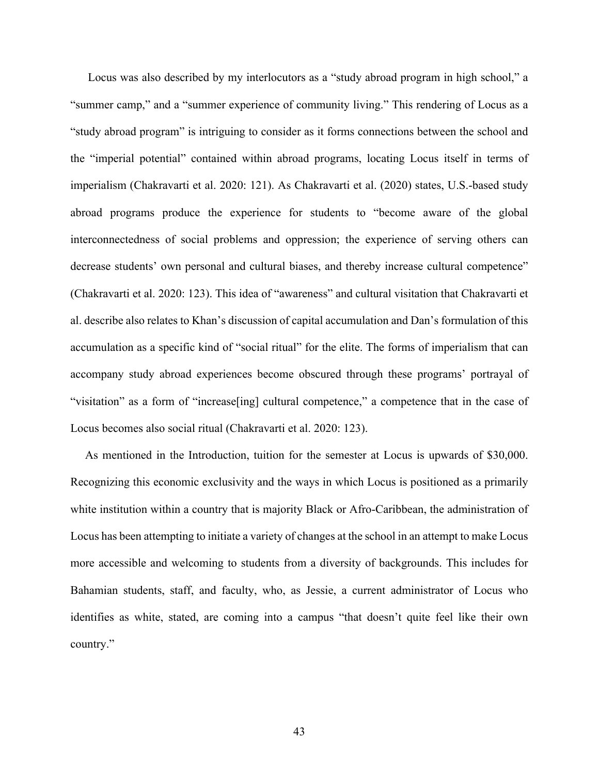Locus was also described by my interlocutors as a "study abroad program in high school," a "summer camp," and a "summer experience of community living." This rendering of Locus as a "study abroad program" is intriguing to consider as it forms connections between the school and the "imperial potential" contained within abroad programs, locating Locus itself in terms of imperialism (Chakravarti et al. 2020: 121). As Chakravarti et al. (2020) states, U.S.-based study abroad programs produce the experience for students to "become aware of the global interconnectedness of social problems and oppression; the experience of serving others can decrease students' own personal and cultural biases, and thereby increase cultural competence" (Chakravarti et al. 2020: 123). This idea of "awareness" and cultural visitation that Chakravarti et al. describe also relates to Khan's discussion of capital accumulation and Dan's formulation of this accumulation as a specific kind of "social ritual" for the elite. The forms of imperialism that can accompany study abroad experiences become obscured through these programs' portrayal of "visitation" as a form of "increase[ing] cultural competence," a competence that in the case of Locus becomes also social ritual (Chakravarti et al. 2020: 123).

 As mentioned in the Introduction, tuition for the semester at Locus is upwards of \$30,000. Recognizing this economic exclusivity and the ways in which Locus is positioned as a primarily white institution within a country that is majority Black or Afro-Caribbean, the administration of Locus has been attempting to initiate a variety of changes at the school in an attempt to make Locus more accessible and welcoming to students from a diversity of backgrounds. This includes for Bahamian students, staff, and faculty, who, as Jessie, a current administrator of Locus who identifies as white, stated, are coming into a campus "that doesn't quite feel like their own country."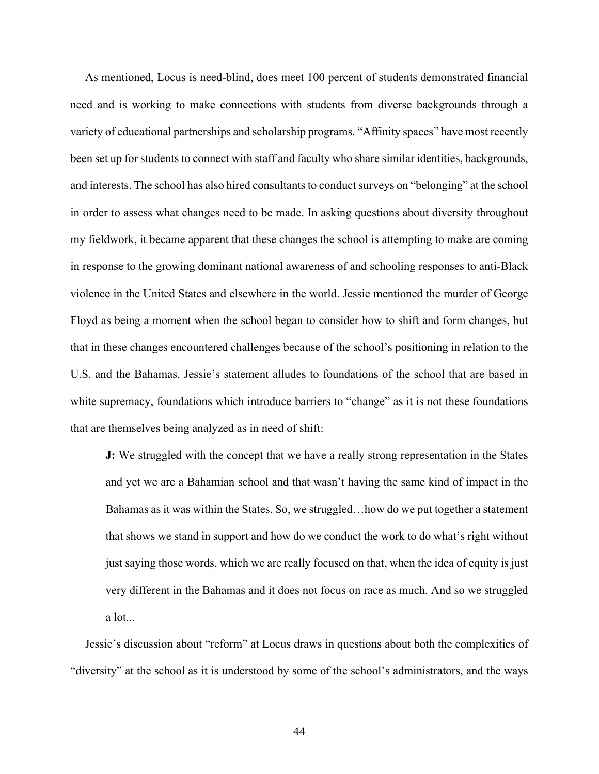As mentioned, Locus is need-blind, does meet 100 percent of students demonstrated financial need and is working to make connections with students from diverse backgrounds through a variety of educational partnerships and scholarship programs. "Affinity spaces" have most recently been set up for students to connect with staff and faculty who share similar identities, backgrounds, and interests. The school has also hired consultants to conduct surveys on "belonging" at the school in order to assess what changes need to be made. In asking questions about diversity throughout my fieldwork, it became apparent that these changes the school is attempting to make are coming in response to the growing dominant national awareness of and schooling responses to anti-Black violence in the United States and elsewhere in the world. Jessie mentioned the murder of George Floyd as being a moment when the school began to consider how to shift and form changes, but that in these changes encountered challenges because of the school's positioning in relation to the U.S. and the Bahamas. Jessie's statement alludes to foundations of the school that are based in white supremacy, foundations which introduce barriers to "change" as it is not these foundations that are themselves being analyzed as in need of shift:

**J:** We struggled with the concept that we have a really strong representation in the States and yet we are a Bahamian school and that wasn't having the same kind of impact in the Bahamas as it was within the States. So, we struggled…how do we put together a statement that shows we stand in support and how do we conduct the work to do what's right without just saying those words, which we are really focused on that, when the idea of equity is just very different in the Bahamas and it does not focus on race as much. And so we struggled a lot...

 Jessie's discussion about "reform" at Locus draws in questions about both the complexities of "diversity" at the school as it is understood by some of the school's administrators, and the ways

44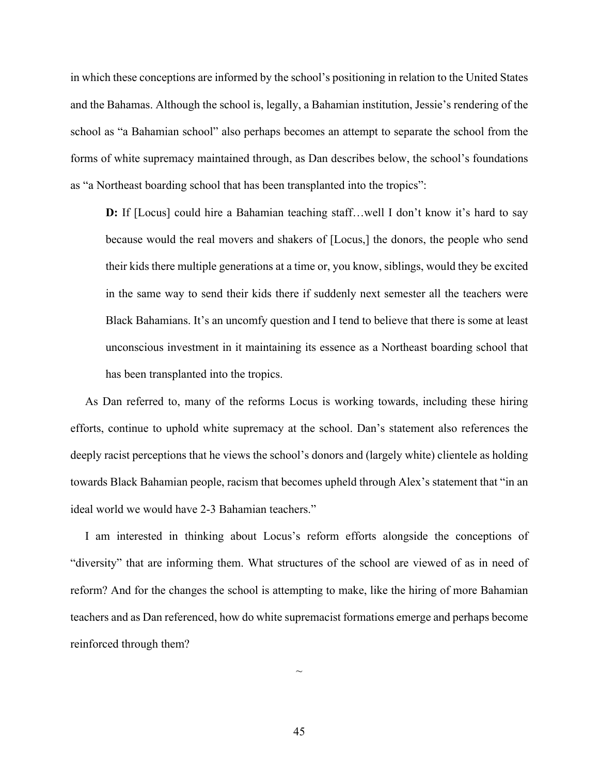in which these conceptions are informed by the school's positioning in relation to the United States and the Bahamas. Although the school is, legally, a Bahamian institution, Jessie's rendering of the school as "a Bahamian school" also perhaps becomes an attempt to separate the school from the forms of white supremacy maintained through, as Dan describes below, the school's foundations as "a Northeast boarding school that has been transplanted into the tropics":

**D:** If [Locus] could hire a Bahamian teaching staff...well I don't know it's hard to say because would the real movers and shakers of [Locus,] the donors, the people who send their kids there multiple generations at a time or, you know, siblings, would they be excited in the same way to send their kids there if suddenly next semester all the teachers were Black Bahamians. It's an uncomfy question and I tend to believe that there is some at least unconscious investment in it maintaining its essence as a Northeast boarding school that has been transplanted into the tropics.

 As Dan referred to, many of the reforms Locus is working towards, including these hiring efforts, continue to uphold white supremacy at the school. Dan's statement also references the deeply racist perceptions that he views the school's donors and (largely white) clientele as holding towards Black Bahamian people, racism that becomes upheld through Alex's statement that "in an ideal world we would have 2-3 Bahamian teachers."

 I am interested in thinking about Locus's reform efforts alongside the conceptions of "diversity" that are informing them. What structures of the school are viewed of as in need of reform? And for the changes the school is attempting to make, like the hiring of more Bahamian teachers and as Dan referenced, how do white supremacist formations emerge and perhaps become reinforced through them?

 $\sim$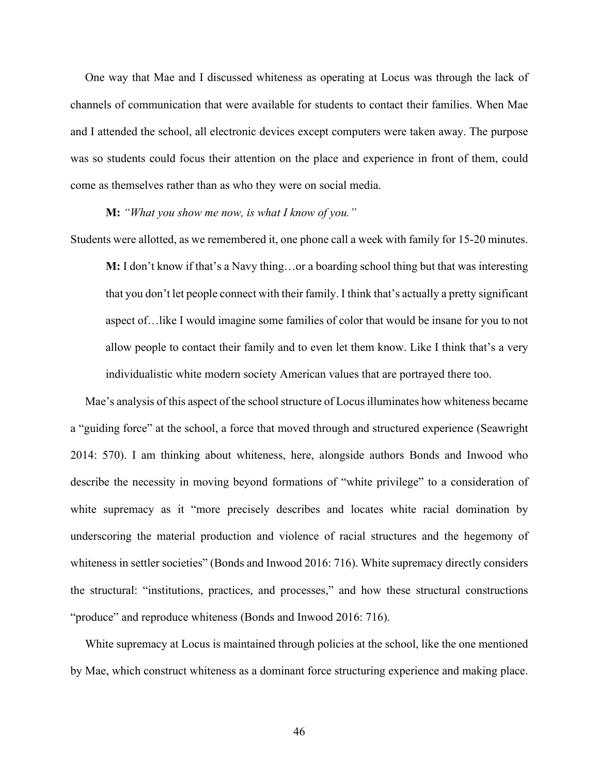One way that Mae and I discussed whiteness as operating at Locus was through the lack of channels of communication that were available for students to contact their families. When Mae and I attended the school, all electronic devices except computers were taken away. The purpose was so students could focus their attention on the place and experience in front of them, could come as themselves rather than as who they were on social media.

**M:** *"What you show me now, is what I know of you."*

Students were allotted, as we remembered it, one phone call a week with family for 15-20 minutes.

**M:** I don't know if that's a Navy thing…or a boarding school thing but that was interesting that you don't let people connect with their family. I think that's actually a pretty significant aspect of…like I would imagine some families of color that would be insane for you to not allow people to contact their family and to even let them know. Like I think that's a very individualistic white modern society American values that are portrayed there too.

 Mae's analysis of this aspect of the school structure of Locus illuminates how whiteness became a "guiding force" at the school, a force that moved through and structured experience (Seawright 2014: 570). I am thinking about whiteness, here, alongside authors Bonds and Inwood who describe the necessity in moving beyond formations of "white privilege" to a consideration of white supremacy as it "more precisely describes and locates white racial domination by underscoring the material production and violence of racial structures and the hegemony of whiteness in settler societies" (Bonds and Inwood 2016: 716). White supremacy directly considers the structural: "institutions, practices, and processes," and how these structural constructions "produce" and reproduce whiteness (Bonds and Inwood 2016: 716).

 White supremacy at Locus is maintained through policies at the school, like the one mentioned by Mae, which construct whiteness as a dominant force structuring experience and making place.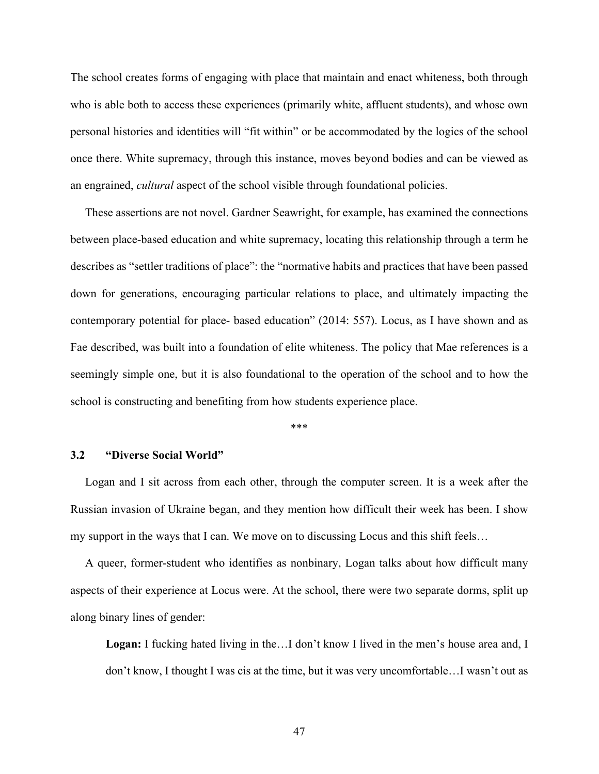The school creates forms of engaging with place that maintain and enact whiteness, both through who is able both to access these experiences (primarily white, affluent students), and whose own personal histories and identities will "fit within" or be accommodated by the logics of the school once there. White supremacy, through this instance, moves beyond bodies and can be viewed as an engrained, *cultural* aspect of the school visible through foundational policies.

 These assertions are not novel. Gardner Seawright, for example, has examined the connections between place-based education and white supremacy, locating this relationship through a term he describes as "settler traditions of place": the "normative habits and practices that have been passed down for generations, encouraging particular relations to place, and ultimately impacting the contemporary potential for place- based education" (2014: 557). Locus, as I have shown and as Fae described, was built into a foundation of elite whiteness. The policy that Mae references is a seemingly simple one, but it is also foundational to the operation of the school and to how the school is constructing and benefiting from how students experience place.

\*\*\*

### **3.2 "Diverse Social World"**

 Logan and I sit across from each other, through the computer screen. It is a week after the Russian invasion of Ukraine began, and they mention how difficult their week has been. I show my support in the ways that I can. We move on to discussing Locus and this shift feels…

 A queer, former-student who identifies as nonbinary, Logan talks about how difficult many aspects of their experience at Locus were. At the school, there were two separate dorms, split up along binary lines of gender:

**Logan:** I fucking hated living in the…I don't know I lived in the men's house area and, I don't know, I thought I was cis at the time, but it was very uncomfortable…I wasn't out as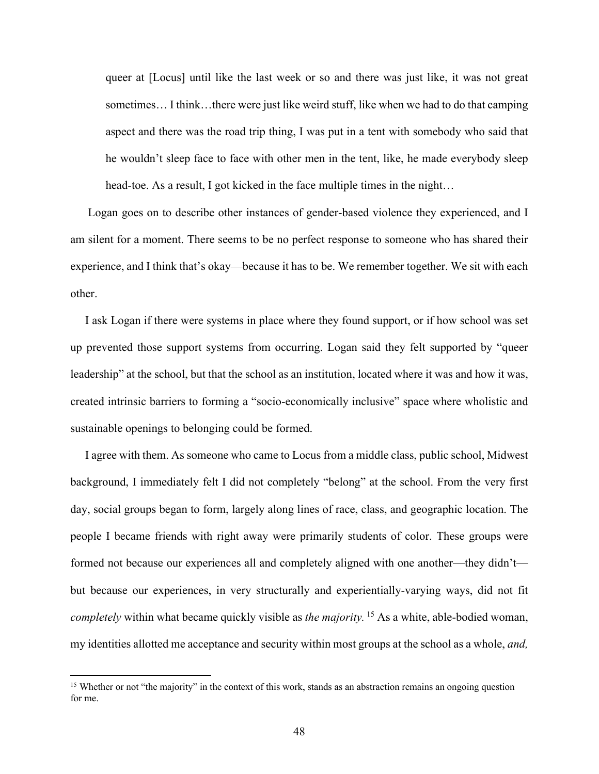queer at [Locus] until like the last week or so and there was just like, it was not great sometimes… I think…there were just like weird stuff, like when we had to do that camping aspect and there was the road trip thing, I was put in a tent with somebody who said that he wouldn't sleep face to face with other men in the tent, like, he made everybody sleep head-toe. As a result, I got kicked in the face multiple times in the night…

 Logan goes on to describe other instances of gender-based violence they experienced, and I am silent for a moment. There seems to be no perfect response to someone who has shared their experience, and I think that's okay—because it has to be. We remember together. We sit with each other.

 I ask Logan if there were systems in place where they found support, or if how school was set up prevented those support systems from occurring. Logan said they felt supported by "queer leadership" at the school, but that the school as an institution, located where it was and how it was, created intrinsic barriers to forming a "socio-economically inclusive" space where wholistic and sustainable openings to belonging could be formed.

 I agree with them. As someone who came to Locus from a middle class, public school, Midwest background, I immediately felt I did not completely "belong" at the school. From the very first day, social groups began to form, largely along lines of race, class, and geographic location. The people I became friends with right away were primarily students of color. These groups were formed not because our experiences all and completely aligned with one another—they didn't but because our experiences, in very structurally and experientially-varying ways, did not fit *completely* within what became quickly visible as *the majority.* <sup>15</sup> As a white, able-bodied woman, my identities allotted me acceptance and security within most groups at the school as a whole, *and,* 

<sup>&</sup>lt;sup>15</sup> Whether or not "the majority" in the context of this work, stands as an abstraction remains an ongoing question for me.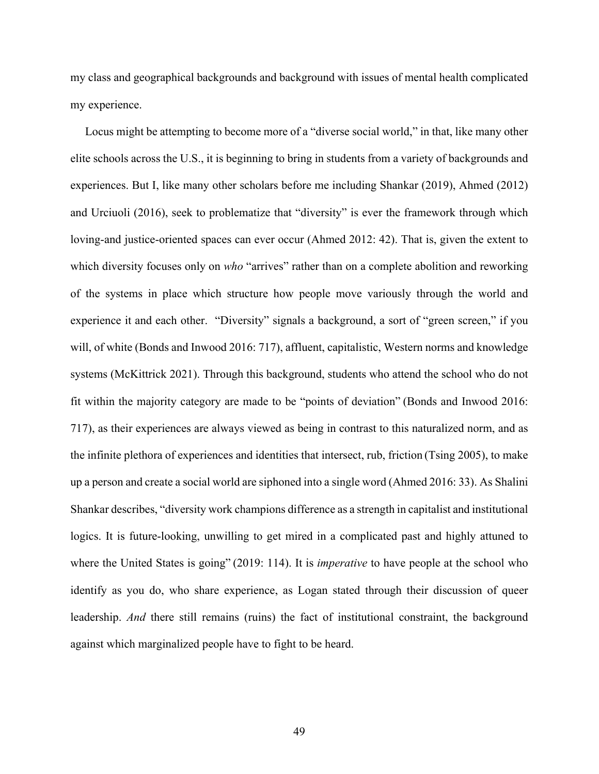my class and geographical backgrounds and background with issues of mental health complicated my experience.

 Locus might be attempting to become more of a "diverse social world," in that, like many other elite schools across the U.S., it is beginning to bring in students from a variety of backgrounds and experiences. But I, like many other scholars before me including Shankar (2019), Ahmed (2012) and Urciuoli (2016), seek to problematize that "diversity" is ever the framework through which loving-and justice-oriented spaces can ever occur (Ahmed 2012: 42). That is, given the extent to which diversity focuses only on *who* "arrives" rather than on a complete abolition and reworking of the systems in place which structure how people move variously through the world and experience it and each other. "Diversity" signals a background, a sort of "green screen," if you will, of white (Bonds and Inwood 2016: 717), affluent, capitalistic, Western norms and knowledge systems (McKittrick 2021). Through this background, students who attend the school who do not fit within the majority category are made to be "points of deviation" (Bonds and Inwood 2016: 717), as their experiences are always viewed as being in contrast to this naturalized norm, and as the infinite plethora of experiences and identities that intersect, rub, friction (Tsing 2005), to make up a person and create a social world are siphoned into a single word (Ahmed 2016: 33). As Shalini Shankar describes, "diversity work champions difference as a strength in capitalist and institutional logics. It is future-looking, unwilling to get mired in a complicated past and highly attuned to where the United States is going" (2019: 114). It is *imperative* to have people at the school who identify as you do, who share experience, as Logan stated through their discussion of queer leadership. *And* there still remains (ruins) the fact of institutional constraint, the background against which marginalized people have to fight to be heard.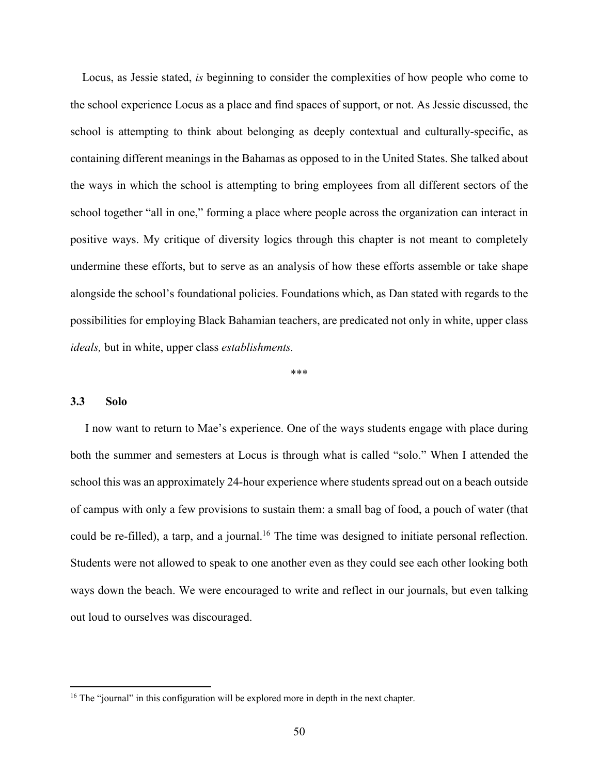Locus, as Jessie stated, *is* beginning to consider the complexities of how people who come to the school experience Locus as a place and find spaces of support, or not. As Jessie discussed, the school is attempting to think about belonging as deeply contextual and culturally-specific, as containing different meanings in the Bahamas as opposed to in the United States. She talked about the ways in which the school is attempting to bring employees from all different sectors of the school together "all in one," forming a place where people across the organization can interact in positive ways. My critique of diversity logics through this chapter is not meant to completely undermine these efforts, but to serve as an analysis of how these efforts assemble or take shape alongside the school's foundational policies. Foundations which, as Dan stated with regards to the possibilities for employing Black Bahamian teachers, are predicated not only in white, upper class *ideals,* but in white, upper class *establishments.* 

\*\*\*

#### **3.3 Solo**

 I now want to return to Mae's experience. One of the ways students engage with place during both the summer and semesters at Locus is through what is called "solo." When I attended the school this was an approximately 24-hour experience where students spread out on a beach outside of campus with only a few provisions to sustain them: a small bag of food, a pouch of water (that could be re-filled), a tarp, and a journal.<sup>16</sup> The time was designed to initiate personal reflection. Students were not allowed to speak to one another even as they could see each other looking both ways down the beach. We were encouraged to write and reflect in our journals, but even talking out loud to ourselves was discouraged.

<sup>&</sup>lt;sup>16</sup> The "journal" in this configuration will be explored more in depth in the next chapter.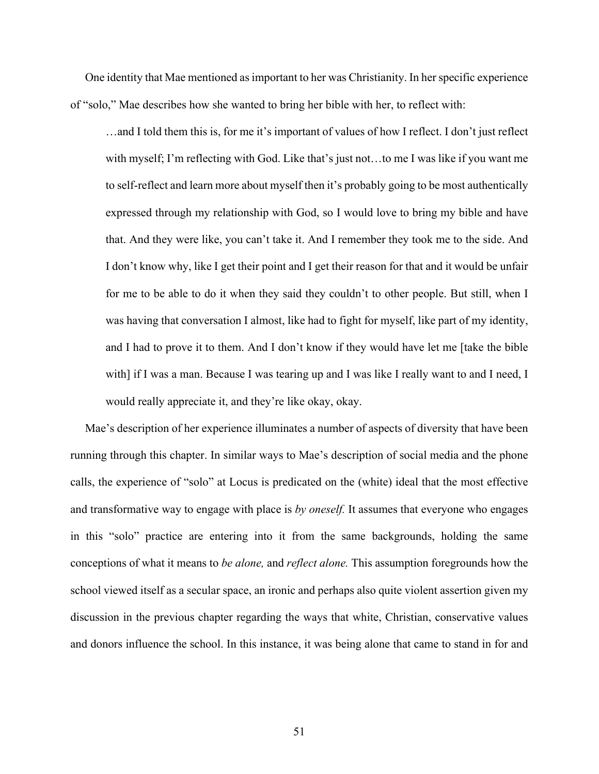One identity that Mae mentioned as important to her was Christianity. In her specific experience of "solo," Mae describes how she wanted to bring her bible with her, to reflect with:

…and I told them this is, for me it's important of values of how I reflect. I don't just reflect with myself; I'm reflecting with God. Like that's just not…to me I was like if you want me to self-reflect and learn more about myself then it's probably going to be most authentically expressed through my relationship with God, so I would love to bring my bible and have that. And they were like, you can't take it. And I remember they took me to the side. And I don't know why, like I get their point and I get their reason for that and it would be unfair for me to be able to do it when they said they couldn't to other people. But still, when I was having that conversation I almost, like had to fight for myself, like part of my identity, and I had to prove it to them. And I don't know if they would have let me [take the bible with] if I was a man. Because I was tearing up and I was like I really want to and I need, I would really appreciate it, and they're like okay, okay.

 Mae's description of her experience illuminates a number of aspects of diversity that have been running through this chapter. In similar ways to Mae's description of social media and the phone calls, the experience of "solo" at Locus is predicated on the (white) ideal that the most effective and transformative way to engage with place is *by oneself.* It assumes that everyone who engages in this "solo" practice are entering into it from the same backgrounds, holding the same conceptions of what it means to *be alone,* and *reflect alone.* This assumption foregrounds how the school viewed itself as a secular space, an ironic and perhaps also quite violent assertion given my discussion in the previous chapter regarding the ways that white, Christian, conservative values and donors influence the school. In this instance, it was being alone that came to stand in for and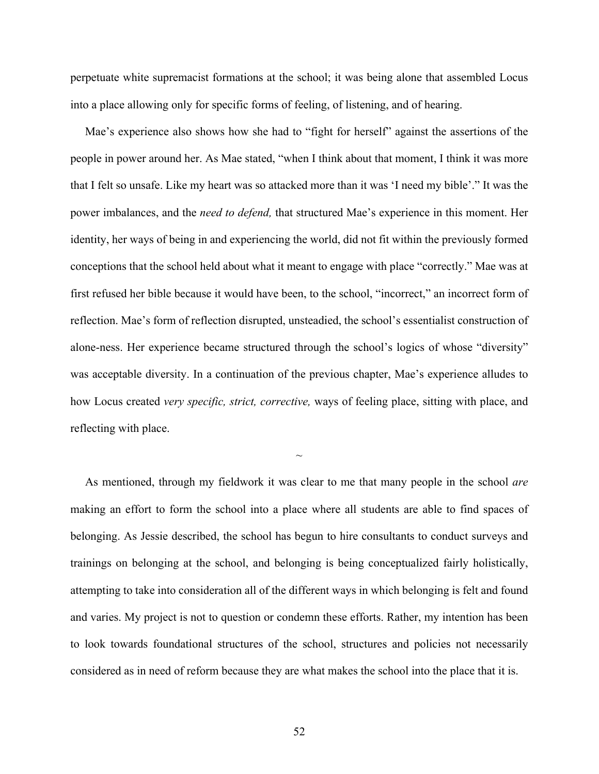perpetuate white supremacist formations at the school; it was being alone that assembled Locus into a place allowing only for specific forms of feeling, of listening, and of hearing.

 Mae's experience also shows how she had to "fight for herself" against the assertions of the people in power around her. As Mae stated, "when I think about that moment, I think it was more that I felt so unsafe. Like my heart was so attacked more than it was 'I need my bible'." It was the power imbalances, and the *need to defend,* that structured Mae's experience in this moment. Her identity, her ways of being in and experiencing the world, did not fit within the previously formed conceptions that the school held about what it meant to engage with place "correctly." Mae was at first refused her bible because it would have been, to the school, "incorrect," an incorrect form of reflection. Mae's form of reflection disrupted, unsteadied, the school's essentialist construction of alone-ness. Her experience became structured through the school's logics of whose "diversity" was acceptable diversity. In a continuation of the previous chapter, Mae's experience alludes to how Locus created *very specific, strict, corrective,* ways of feeling place, sitting with place, and reflecting with place.

 As mentioned, through my fieldwork it was clear to me that many people in the school *are*  making an effort to form the school into a place where all students are able to find spaces of belonging. As Jessie described, the school has begun to hire consultants to conduct surveys and trainings on belonging at the school, and belonging is being conceptualized fairly holistically, attempting to take into consideration all of the different ways in which belonging is felt and found and varies. My project is not to question or condemn these efforts. Rather, my intention has been to look towards foundational structures of the school, structures and policies not necessarily considered as in need of reform because they are what makes the school into the place that it is.

 $\sim$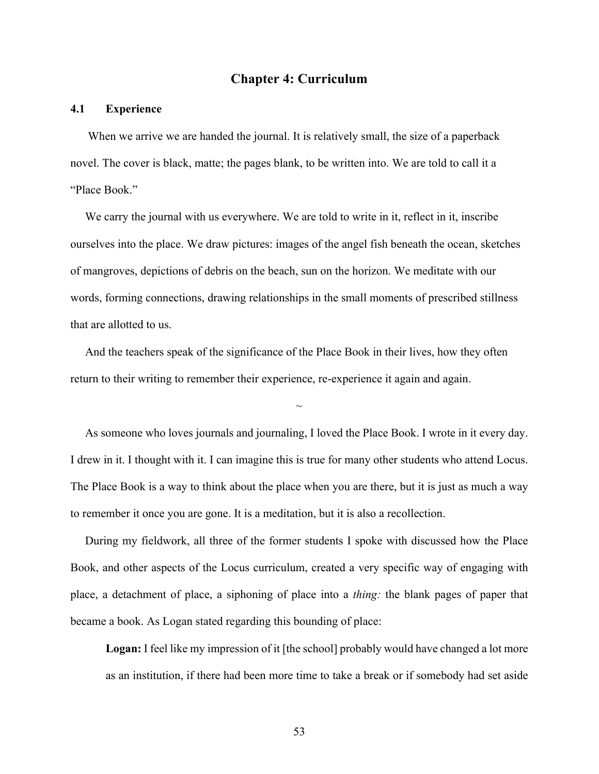# **Chapter 4: Curriculum**

## **4.1 Experience**

When we arrive we are handed the journal. It is relatively small, the size of a paperback novel. The cover is black, matte; the pages blank, to be written into. We are told to call it a "Place Book."

We carry the journal with us everywhere. We are told to write in it, reflect in it, inscribe ourselves into the place. We draw pictures: images of the angel fish beneath the ocean, sketches of mangroves, depictions of debris on the beach, sun on the horizon. We meditate with our words, forming connections, drawing relationships in the small moments of prescribed stillness that are allotted to us.

 And the teachers speak of the significance of the Place Book in their lives, how they often return to their writing to remember their experience, re-experience it again and again.

 As someone who loves journals and journaling, I loved the Place Book. I wrote in it every day. I drew in it. I thought with it. I can imagine this is true for many other students who attend Locus. The Place Book is a way to think about the place when you are there, but it is just as much a way to remember it once you are gone. It is a meditation, but it is also a recollection.

 $\sim$ 

 During my fieldwork, all three of the former students I spoke with discussed how the Place Book, and other aspects of the Locus curriculum, created a very specific way of engaging with place, a detachment of place, a siphoning of place into a *thing:* the blank pages of paper that became a book. As Logan stated regarding this bounding of place:

**Logan:** I feel like my impression of it [the school] probably would have changed a lot more as an institution, if there had been more time to take a break or if somebody had set aside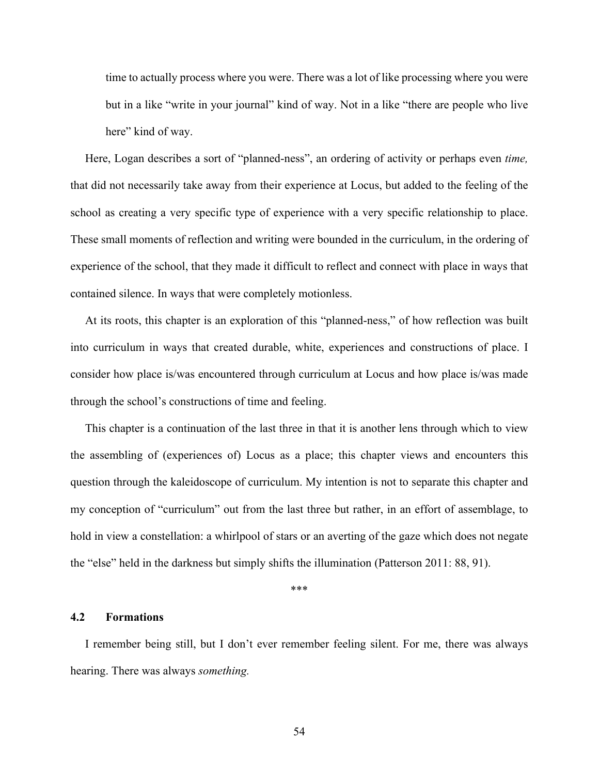time to actually process where you were. There was a lot of like processing where you were but in a like "write in your journal" kind of way. Not in a like "there are people who live here" kind of way.

 Here, Logan describes a sort of "planned-ness", an ordering of activity or perhaps even *time,* that did not necessarily take away from their experience at Locus, but added to the feeling of the school as creating a very specific type of experience with a very specific relationship to place. These small moments of reflection and writing were bounded in the curriculum, in the ordering of experience of the school, that they made it difficult to reflect and connect with place in ways that contained silence. In ways that were completely motionless.

 At its roots, this chapter is an exploration of this "planned-ness," of how reflection was built into curriculum in ways that created durable, white, experiences and constructions of place. I consider how place is/was encountered through curriculum at Locus and how place is/was made through the school's constructions of time and feeling.

 This chapter is a continuation of the last three in that it is another lens through which to view the assembling of (experiences of) Locus as a place; this chapter views and encounters this question through the kaleidoscope of curriculum. My intention is not to separate this chapter and my conception of "curriculum" out from the last three but rather, in an effort of assemblage, to hold in view a constellation: a whirlpool of stars or an averting of the gaze which does not negate the "else" held in the darkness but simply shifts the illumination (Patterson 2011: 88, 91).

\*\*\*

#### **4.2 Formations**

 I remember being still, but I don't ever remember feeling silent. For me, there was always hearing. There was always *something.*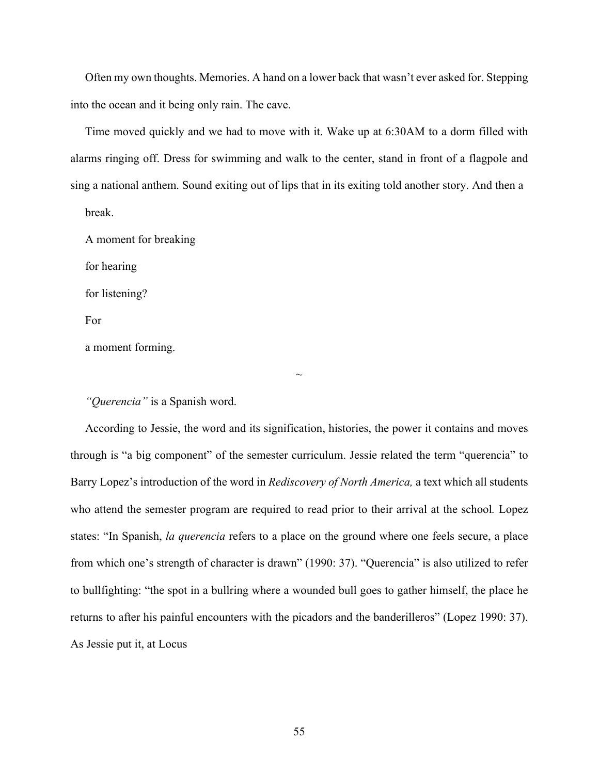Often my own thoughts. Memories. A hand on a lower back that wasn't ever asked for. Stepping into the ocean and it being only rain. The cave.

 Time moved quickly and we had to move with it. Wake up at 6:30AM to a dorm filled with alarms ringing off. Dress for swimming and walk to the center, stand in front of a flagpole and sing a national anthem. Sound exiting out of lips that in its exiting told another story. And then a

break.

A moment for breaking

for hearing

for listening?

For

a moment forming.

*"Querencia"* is a Spanish word.

 According to Jessie, the word and its signification, histories, the power it contains and moves through is "a big component" of the semester curriculum. Jessie related the term "querencia" to Barry Lopez's introduction of the word in *Rediscovery of North America,* a text which all students who attend the semester program are required to read prior to their arrival at the school*.* Lopez states: "In Spanish, *la querencia* refers to a place on the ground where one feels secure, a place from which one's strength of character is drawn" (1990: 37). "Querencia" is also utilized to refer to bullfighting: "the spot in a bullring where a wounded bull goes to gather himself, the place he returns to after his painful encounters with the picadors and the banderilleros" (Lopez 1990: 37). As Jessie put it, at Locus

 $\sim$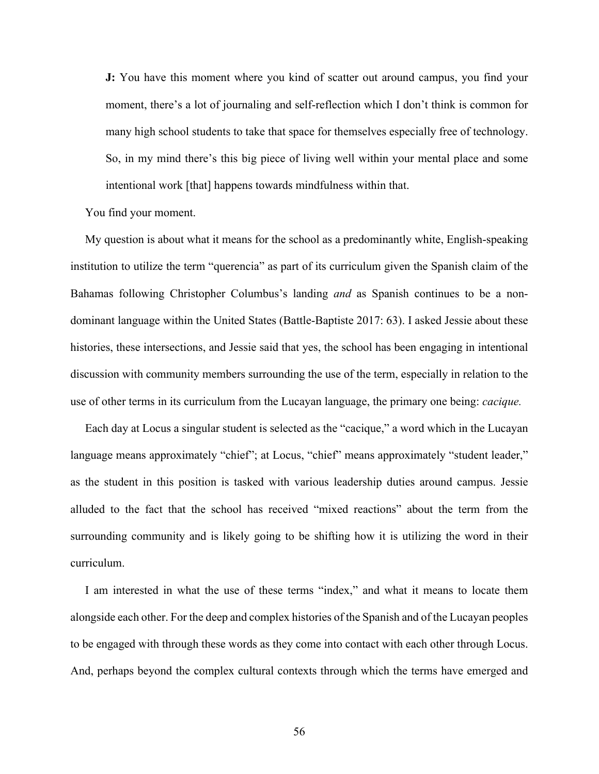**J:** You have this moment where you kind of scatter out around campus, you find your moment, there's a lot of journaling and self-reflection which I don't think is common for many high school students to take that space for themselves especially free of technology. So, in my mind there's this big piece of living well within your mental place and some intentional work [that] happens towards mindfulness within that.

You find your moment.

 My question is about what it means for the school as a predominantly white, English-speaking institution to utilize the term "querencia" as part of its curriculum given the Spanish claim of the Bahamas following Christopher Columbus's landing *and* as Spanish continues to be a nondominant language within the United States (Battle-Baptiste 2017: 63). I asked Jessie about these histories, these intersections, and Jessie said that yes, the school has been engaging in intentional discussion with community members surrounding the use of the term, especially in relation to the use of other terms in its curriculum from the Lucayan language, the primary one being: *cacique.*

 Each day at Locus a singular student is selected as the "cacique," a word which in the Lucayan language means approximately "chief"; at Locus, "chief" means approximately "student leader," as the student in this position is tasked with various leadership duties around campus. Jessie alluded to the fact that the school has received "mixed reactions" about the term from the surrounding community and is likely going to be shifting how it is utilizing the word in their curriculum.

 I am interested in what the use of these terms "index," and what it means to locate them alongside each other. For the deep and complex histories of the Spanish and of the Lucayan peoples to be engaged with through these words as they come into contact with each other through Locus. And, perhaps beyond the complex cultural contexts through which the terms have emerged and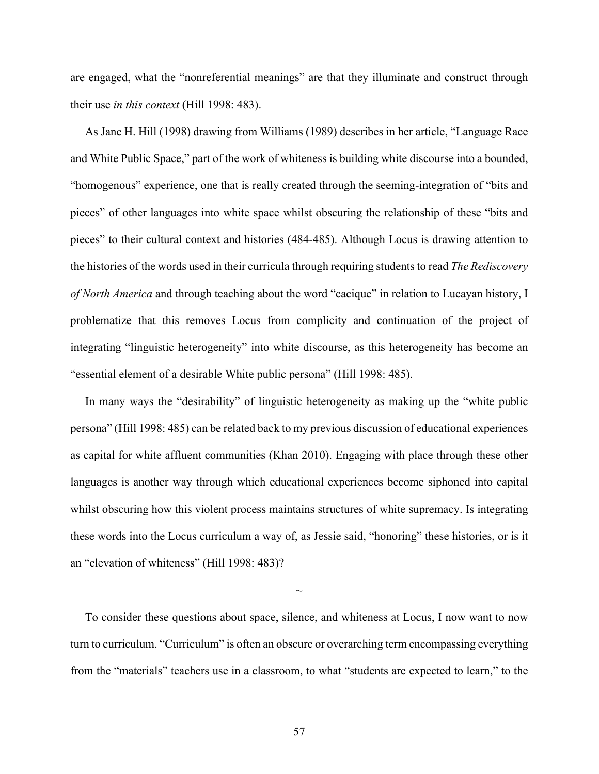are engaged, what the "nonreferential meanings" are that they illuminate and construct through their use *in this context* (Hill 1998: 483).

As Jane H. Hill (1998) drawing from Williams (1989) describes in her article, "Language Race and White Public Space," part of the work of whiteness is building white discourse into a bounded, "homogenous" experience, one that is really created through the seeming-integration of "bits and pieces" of other languages into white space whilst obscuring the relationship of these "bits and pieces" to their cultural context and histories (484-485). Although Locus is drawing attention to the histories of the words used in their curricula through requiring students to read *The Rediscovery of North America* and through teaching about the word "cacique" in relation to Lucayan history, I problematize that this removes Locus from complicity and continuation of the project of integrating "linguistic heterogeneity" into white discourse, as this heterogeneity has become an "essential element of a desirable White public persona" (Hill 1998: 485).

 In many ways the "desirability" of linguistic heterogeneity as making up the "white public persona" (Hill 1998: 485) can be related back to my previous discussion of educational experiences as capital for white affluent communities (Khan 2010). Engaging with place through these other languages is another way through which educational experiences become siphoned into capital whilst obscuring how this violent process maintains structures of white supremacy. Is integrating these words into the Locus curriculum a way of, as Jessie said, "honoring" these histories, or is it an "elevation of whiteness" (Hill 1998: 483)?

 To consider these questions about space, silence, and whiteness at Locus, I now want to now turn to curriculum. "Curriculum" is often an obscure or overarching term encompassing everything from the "materials" teachers use in a classroom, to what "students are expected to learn," to the

 $\sim$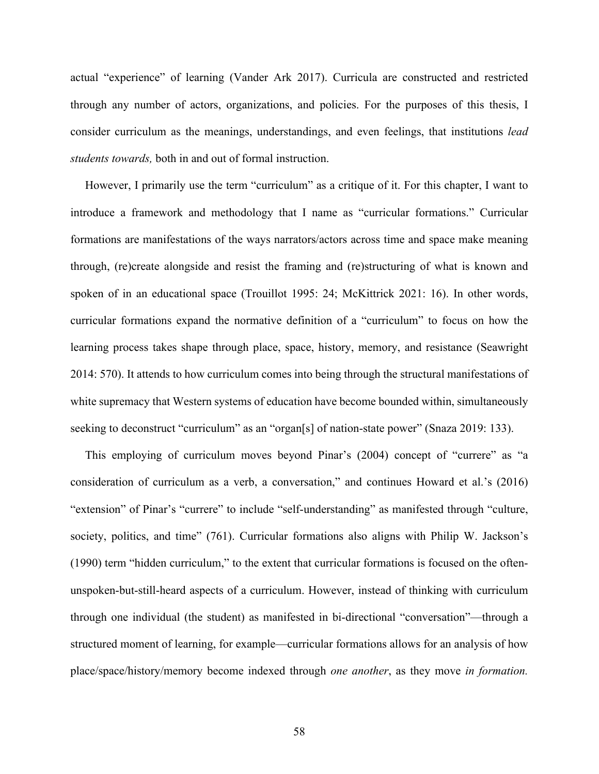actual "experience" of learning (Vander Ark 2017). Curricula are constructed and restricted through any number of actors, organizations, and policies. For the purposes of this thesis, I consider curriculum as the meanings, understandings, and even feelings, that institutions *lead students towards,* both in and out of formal instruction.

 However, I primarily use the term "curriculum" as a critique of it. For this chapter, I want to introduce a framework and methodology that I name as "curricular formations." Curricular formations are manifestations of the ways narrators/actors across time and space make meaning through, (re)create alongside and resist the framing and (re)structuring of what is known and spoken of in an educational space (Trouillot 1995: 24; McKittrick 2021: 16). In other words, curricular formations expand the normative definition of a "curriculum" to focus on how the learning process takes shape through place, space, history, memory, and resistance (Seawright 2014: 570). It attends to how curriculum comes into being through the structural manifestations of white supremacy that Western systems of education have become bounded within, simultaneously seeking to deconstruct "curriculum" as an "organ[s] of nation-state power" (Snaza 2019: 133).

 This employing of curriculum moves beyond Pinar's (2004) concept of "currere" as "a consideration of curriculum as a verb, a conversation," and continues Howard et al.'s (2016) "extension" of Pinar's "currere" to include "self-understanding" as manifested through "culture, society, politics, and time" (761). Curricular formations also aligns with Philip W. Jackson's (1990) term "hidden curriculum," to the extent that curricular formations is focused on the oftenunspoken-but-still-heard aspects of a curriculum. However, instead of thinking with curriculum through one individual (the student) as manifested in bi-directional "conversation"—through a structured moment of learning, for example—curricular formations allows for an analysis of how place/space/history/memory become indexed through *one another*, as they move *in formation.*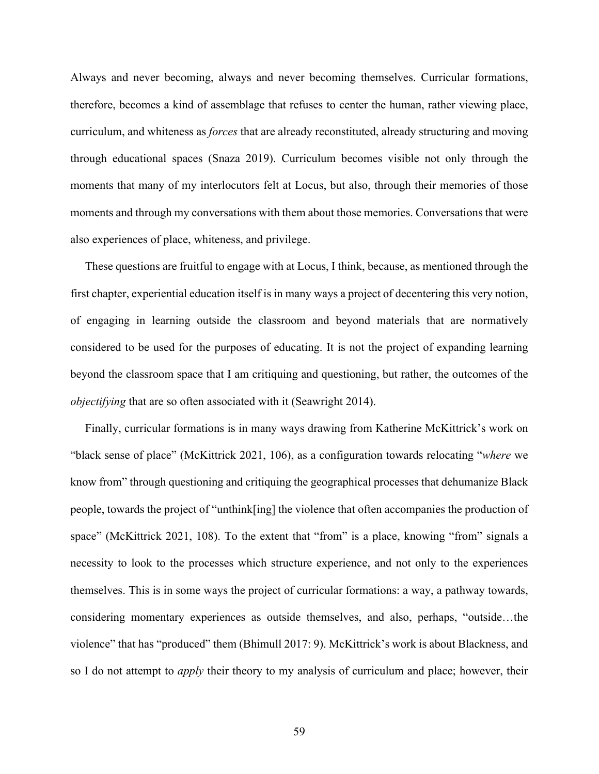Always and never becoming, always and never becoming themselves. Curricular formations, therefore, becomes a kind of assemblage that refuses to center the human, rather viewing place, curriculum, and whiteness as *forces* that are already reconstituted, already structuring and moving through educational spaces (Snaza 2019). Curriculum becomes visible not only through the moments that many of my interlocutors felt at Locus, but also, through their memories of those moments and through my conversations with them about those memories. Conversations that were also experiences of place, whiteness, and privilege.

 These questions are fruitful to engage with at Locus, I think, because, as mentioned through the first chapter, experiential education itself is in many ways a project of decentering this very notion, of engaging in learning outside the classroom and beyond materials that are normatively considered to be used for the purposes of educating. It is not the project of expanding learning beyond the classroom space that I am critiquing and questioning, but rather, the outcomes of the *objectifying* that are so often associated with it (Seawright 2014).

 Finally, curricular formations is in many ways drawing from Katherine McKittrick's work on "black sense of place" (McKittrick 2021, 106), as a configuration towards relocating "*where* we know from" through questioning and critiquing the geographical processes that dehumanize Black people, towards the project of "unthink[ing] the violence that often accompanies the production of space" (McKittrick 2021, 108). To the extent that "from" is a place, knowing "from" signals a necessity to look to the processes which structure experience, and not only to the experiences themselves. This is in some ways the project of curricular formations: a way, a pathway towards, considering momentary experiences as outside themselves, and also, perhaps, "outside…the violence" that has "produced" them (Bhimull 2017: 9). McKittrick's work is about Blackness, and so I do not attempt to *apply* their theory to my analysis of curriculum and place; however, their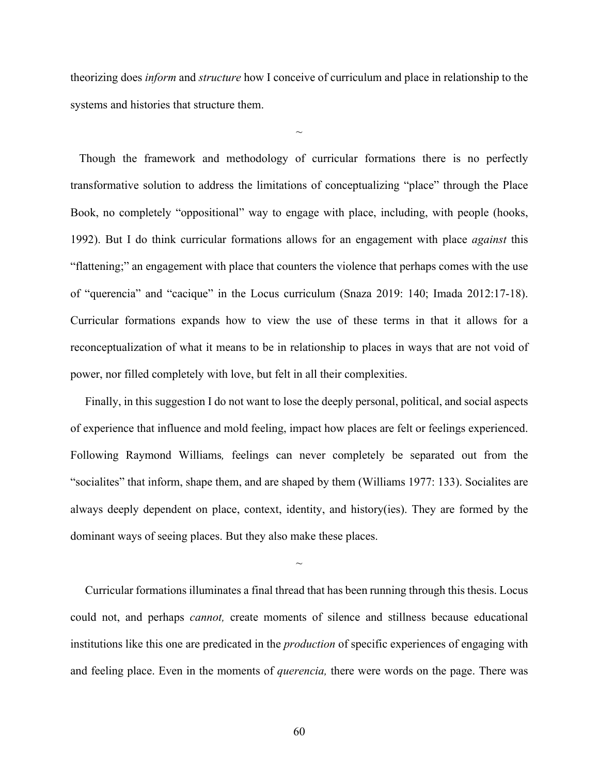theorizing does *inform* and *structure* how I conceive of curriculum and place in relationship to the systems and histories that structure them.

 $\sim$ 

 Though the framework and methodology of curricular formations there is no perfectly transformative solution to address the limitations of conceptualizing "place" through the Place Book, no completely "oppositional" way to engage with place, including, with people (hooks, 1992). But I do think curricular formations allows for an engagement with place *against* this "flattening;" an engagement with place that counters the violence that perhaps comes with the use of "querencia" and "cacique" in the Locus curriculum (Snaza 2019: 140; Imada 2012:17-18). Curricular formations expands how to view the use of these terms in that it allows for a reconceptualization of what it means to be in relationship to places in ways that are not void of power, nor filled completely with love, but felt in all their complexities.

 Finally, in this suggestion I do not want to lose the deeply personal, political, and social aspects of experience that influence and mold feeling, impact how places are felt or feelings experienced. Following Raymond Williams*,* feelings can never completely be separated out from the "socialites" that inform, shape them, and are shaped by them (Williams 1977: 133). Socialites are always deeply dependent on place, context, identity, and history(ies). They are formed by the dominant ways of seeing places. But they also make these places.

 Curricular formations illuminates a final thread that has been running through this thesis. Locus could not, and perhaps *cannot,* create moments of silence and stillness because educational institutions like this one are predicated in the *production* of specific experiences of engaging with and feeling place. Even in the moments of *querencia,* there were words on the page. There was

 $\sim$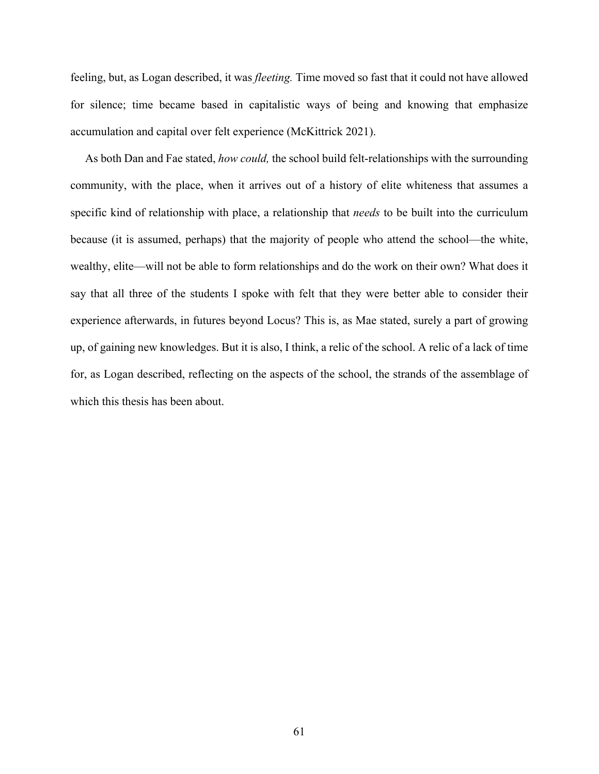feeling, but, as Logan described, it was *fleeting.* Time moved so fast that it could not have allowed for silence; time became based in capitalistic ways of being and knowing that emphasize accumulation and capital over felt experience (McKittrick 2021).

 As both Dan and Fae stated, *how could,* the school build felt-relationships with the surrounding community, with the place, when it arrives out of a history of elite whiteness that assumes a specific kind of relationship with place, a relationship that *needs* to be built into the curriculum because (it is assumed, perhaps) that the majority of people who attend the school—the white, wealthy, elite—will not be able to form relationships and do the work on their own? What does it say that all three of the students I spoke with felt that they were better able to consider their experience afterwards, in futures beyond Locus? This is, as Mae stated, surely a part of growing up, of gaining new knowledges. But it is also, I think, a relic of the school. A relic of a lack of time for, as Logan described, reflecting on the aspects of the school, the strands of the assemblage of which this thesis has been about.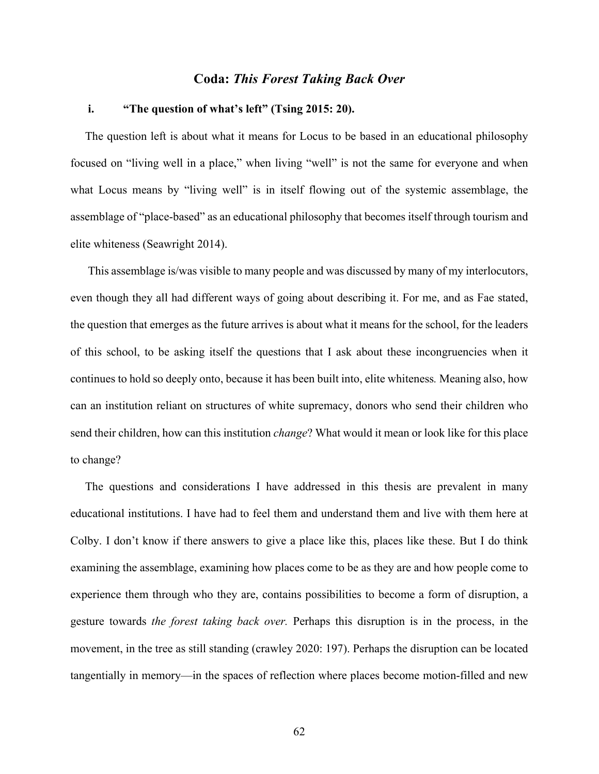## **Coda:** *This Forest Taking Back Over*

## **i. "The question of what's left" (Tsing 2015: 20).**

 The question left is about what it means for Locus to be based in an educational philosophy focused on "living well in a place," when living "well" is not the same for everyone and when what Locus means by "living well" is in itself flowing out of the systemic assemblage, the assemblage of "place-based" as an educational philosophy that becomes itself through tourism and elite whiteness (Seawright 2014).

 This assemblage is/was visible to many people and was discussed by many of my interlocutors, even though they all had different ways of going about describing it. For me, and as Fae stated, the question that emerges as the future arrives is about what it means for the school, for the leaders of this school, to be asking itself the questions that I ask about these incongruencies when it continues to hold so deeply onto, because it has been built into, elite whiteness*.* Meaning also, how can an institution reliant on structures of white supremacy, donors who send their children who send their children, how can this institution *change*? What would it mean or look like for this place to change?

 The questions and considerations I have addressed in this thesis are prevalent in many educational institutions. I have had to feel them and understand them and live with them here at Colby. I don't know if there answers to give a place like this, places like these. But I do think examining the assemblage, examining how places come to be as they are and how people come to experience them through who they are, contains possibilities to become a form of disruption, a gesture towards *the forest taking back over.* Perhaps this disruption is in the process, in the movement, in the tree as still standing (crawley 2020: 197). Perhaps the disruption can be located tangentially in memory—in the spaces of reflection where places become motion-filled and new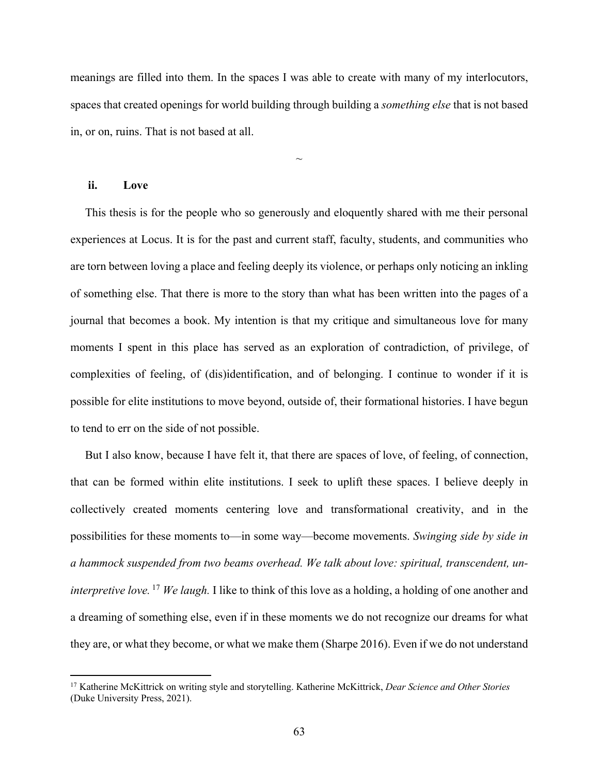meanings are filled into them. In the spaces I was able to create with many of my interlocutors, spaces that created openings for world building through building a *something else* that is not based in, or on, ruins. That is not based at all.

 $\sim$ 

### **ii. Love**

 This thesis is for the people who so generously and eloquently shared with me their personal experiences at Locus. It is for the past and current staff, faculty, students, and communities who are torn between loving a place and feeling deeply its violence, or perhaps only noticing an inkling of something else. That there is more to the story than what has been written into the pages of a journal that becomes a book. My intention is that my critique and simultaneous love for many moments I spent in this place has served as an exploration of contradiction, of privilege, of complexities of feeling, of (dis)identification, and of belonging. I continue to wonder if it is possible for elite institutions to move beyond, outside of, their formational histories. I have begun to tend to err on the side of not possible.

 But I also know, because I have felt it, that there are spaces of love, of feeling, of connection, that can be formed within elite institutions. I seek to uplift these spaces. I believe deeply in collectively created moments centering love and transformational creativity, and in the possibilities for these moments to—in some way—become movements. *Swinging side by side in a hammock suspended from two beams overhead. We talk about love: spiritual, transcendent, uninterpretive love.* <sup>17</sup> *We laugh.* I like to think of this love as a holding, a holding of one another and a dreaming of something else, even if in these moments we do not recognize our dreams for what they are, or what they become, or what we make them (Sharpe 2016). Even if we do not understand

<sup>17</sup> Katherine McKittrick on writing style and storytelling. Katherine McKittrick, *Dear Science and Other Stories*  (Duke University Press, 2021).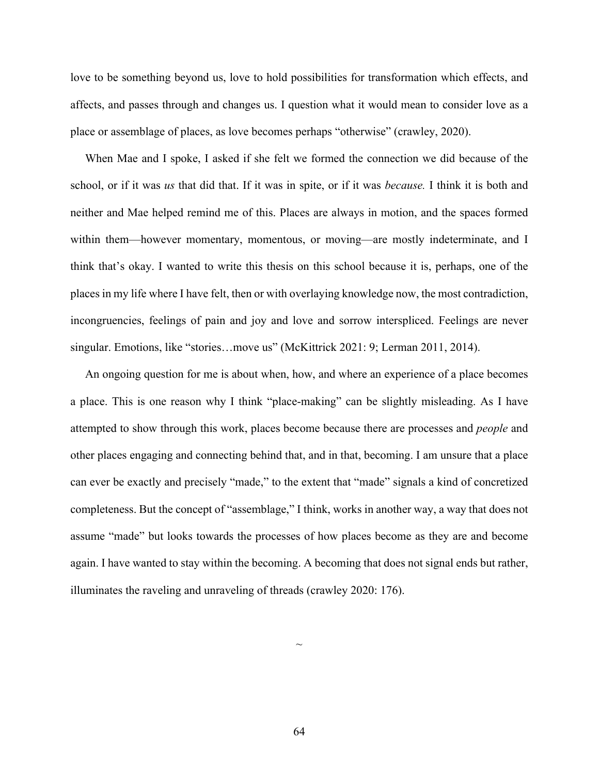love to be something beyond us, love to hold possibilities for transformation which effects, and affects, and passes through and changes us. I question what it would mean to consider love as a place or assemblage of places, as love becomes perhaps "otherwise" (crawley, 2020).

 When Mae and I spoke, I asked if she felt we formed the connection we did because of the school, or if it was *us* that did that. If it was in spite, or if it was *because.* I think it is both and neither and Mae helped remind me of this. Places are always in motion, and the spaces formed within them—however momentary, momentous, or moving—are mostly indeterminate, and I think that's okay. I wanted to write this thesis on this school because it is, perhaps, one of the places in my life where I have felt, then or with overlaying knowledge now, the most contradiction, incongruencies, feelings of pain and joy and love and sorrow interspliced. Feelings are never singular. Emotions, like "stories…move us" (McKittrick 2021: 9; Lerman 2011, 2014).

 An ongoing question for me is about when, how, and where an experience of a place becomes a place. This is one reason why I think "place-making" can be slightly misleading. As I have attempted to show through this work, places become because there are processes and *people* and other places engaging and connecting behind that, and in that, becoming. I am unsure that a place can ever be exactly and precisely "made," to the extent that "made" signals a kind of concretized completeness. But the concept of "assemblage," I think, works in another way, a way that does not assume "made" but looks towards the processes of how places become as they are and become again. I have wanted to stay within the becoming. A becoming that does not signal ends but rather, illuminates the raveling and unraveling of threads (crawley 2020: 176).

64

 $\sim$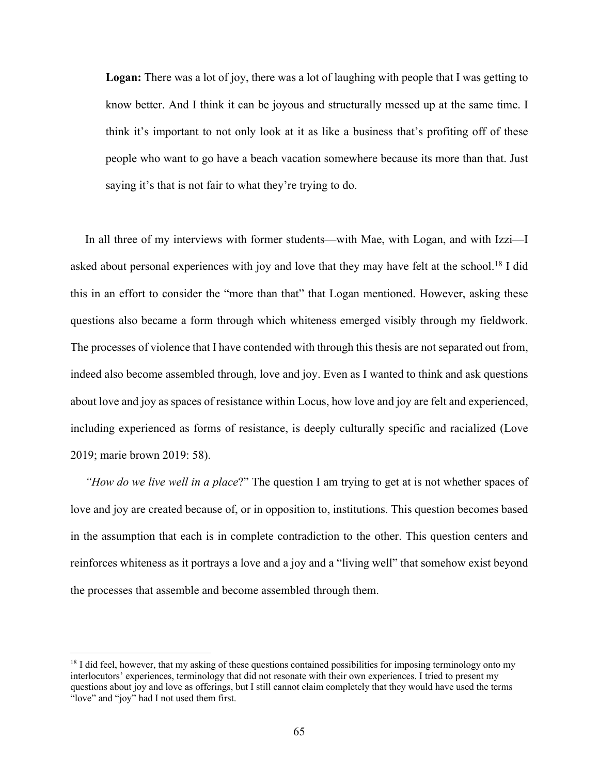**Logan:** There was a lot of joy, there was a lot of laughing with people that I was getting to know better. And I think it can be joyous and structurally messed up at the same time. I think it's important to not only look at it as like a business that's profiting off of these people who want to go have a beach vacation somewhere because its more than that. Just saying it's that is not fair to what they're trying to do.

In all three of my interviews with former students—with Mae, with Logan, and with Izzi—I asked about personal experiences with joy and love that they may have felt at the school.18 I did this in an effort to consider the "more than that" that Logan mentioned. However, asking these questions also became a form through which whiteness emerged visibly through my fieldwork. The processes of violence that I have contended with through this thesis are not separated out from, indeed also become assembled through, love and joy. Even as I wanted to think and ask questions about love and joy as spaces of resistance within Locus, how love and joy are felt and experienced, including experienced as forms of resistance, is deeply culturally specific and racialized (Love 2019; marie brown 2019: 58).

 *"How do we live well in a place*?" The question I am trying to get at is not whether spaces of love and joy are created because of, or in opposition to, institutions. This question becomes based in the assumption that each is in complete contradiction to the other. This question centers and reinforces whiteness as it portrays a love and a joy and a "living well" that somehow exist beyond the processes that assemble and become assembled through them.

<sup>&</sup>lt;sup>18</sup> I did feel, however, that my asking of these questions contained possibilities for imposing terminology onto my interlocutors' experiences, terminology that did not resonate with their own experiences. I tried to present my questions about joy and love as offerings, but I still cannot claim completely that they would have used the terms "love" and "joy" had I not used them first.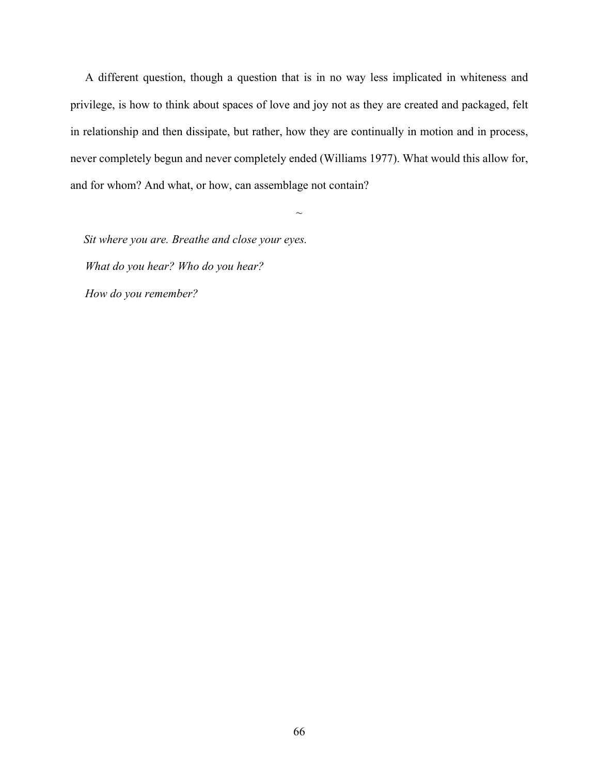A different question, though a question that is in no way less implicated in whiteness and privilege, is how to think about spaces of love and joy not as they are created and packaged, felt in relationship and then dissipate, but rather, how they are continually in motion and in process, never completely begun and never completely ended (Williams 1977). What would this allow for, and for whom? And what, or how, can assemblage not contain?

 $\sim$ 

 *Sit where you are. Breathe and close your eyes. What do you hear? Who do you hear? How do you remember?*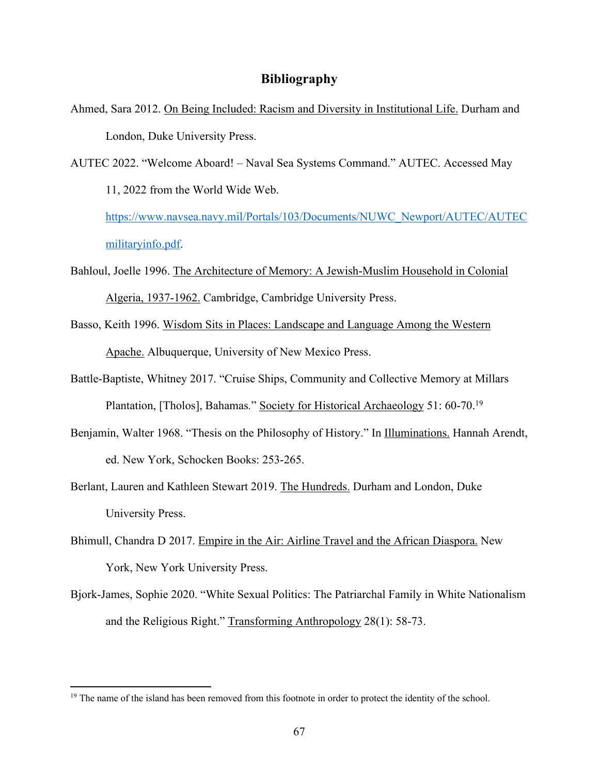# **Bibliography**

- Ahmed, Sara 2012. On Being Included: Racism and Diversity in Institutional Life. Durham and London, Duke University Press.
- AUTEC 2022. "Welcome Aboard! Naval Sea Systems Command." AUTEC. Accessed May 11, 2022 from the World Wide Web. https://www.navsea.navy.mil/Portals/103/Documents/NUWC\_Newport/AUTEC/AUTEC

militaryinfo.pdf.

- Bahloul, Joelle 1996. The Architecture of Memory: A Jewish-Muslim Household in Colonial Algeria, 1937-1962. Cambridge, Cambridge University Press.
- Basso, Keith 1996. Wisdom Sits in Places: Landscape and Language Among the Western Apache. Albuquerque, University of New Mexico Press.
- Battle-Baptiste, Whitney 2017. "Cruise Ships, Community and Collective Memory at Millars Plantation, [Tholos], Bahamas*.*" Society for Historical Archaeology 51: 60-70.19
- Benjamin, Walter 1968. "Thesis on the Philosophy of History." In Illuminations. Hannah Arendt, ed. New York, Schocken Books: 253-265.
- Berlant, Lauren and Kathleen Stewart 2019. The Hundreds. Durham and London, Duke University Press.
- Bhimull, Chandra D 2017. Empire in the Air: Airline Travel and the African Diaspora. New York, New York University Press.
- Bjork-James, Sophie 2020. "White Sexual Politics: The Patriarchal Family in White Nationalism and the Religious Right." Transforming Anthropology 28(1): 58-73.

<sup>&</sup>lt;sup>19</sup> The name of the island has been removed from this footnote in order to protect the identity of the school.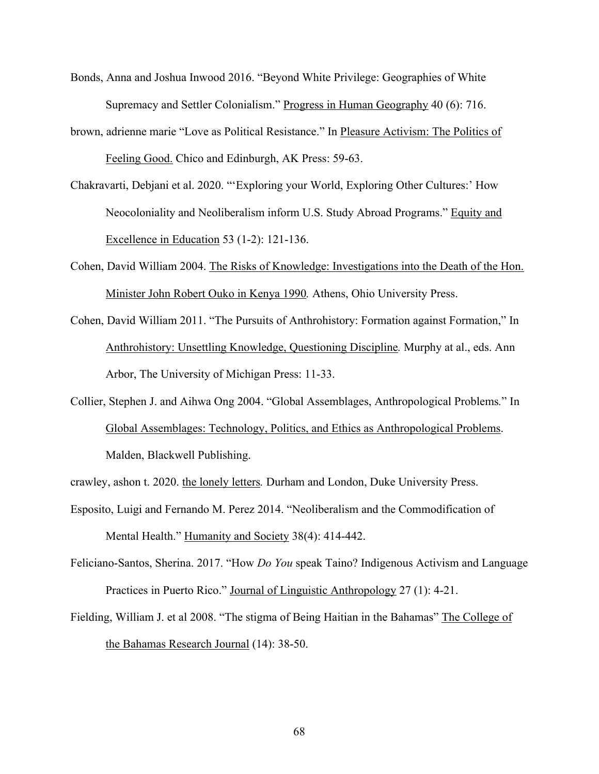- Bonds, Anna and Joshua Inwood 2016. "Beyond White Privilege: Geographies of White Supremacy and Settler Colonialism." Progress in Human Geography 40 (6): 716.
- brown, adrienne marie "Love as Political Resistance." In Pleasure Activism: The Politics of Feeling Good. Chico and Edinburgh, AK Press: 59-63.
- Chakravarti, Debjani et al. 2020. "'Exploring your World, Exploring Other Cultures:' How Neocoloniality and Neoliberalism inform U.S. Study Abroad Programs." Equity and Excellence in Education 53 (1-2): 121-136.
- Cohen, David William 2004. The Risks of Knowledge: Investigations into the Death of the Hon. Minister John Robert Ouko in Kenya 1990*.* Athens, Ohio University Press.
- Cohen, David William 2011. "The Pursuits of Anthrohistory: Formation against Formation," In Anthrohistory: Unsettling Knowledge, Questioning Discipline*.* Murphy at al., eds. Ann Arbor, The University of Michigan Press: 11-33.
- Collier, Stephen J. and Aihwa Ong 2004. "Global Assemblages, Anthropological Problems*.*" In Global Assemblages: Technology, Politics, and Ethics as Anthropological Problems. Malden, Blackwell Publishing.
- crawley, ashon t. 2020. the lonely letters*.* Durham and London, Duke University Press.
- Esposito, Luigi and Fernando M. Perez 2014. "Neoliberalism and the Commodification of Mental Health." Humanity and Society 38(4): 414-442.
- Feliciano-Santos, Sherina. 2017. "How *Do You* speak Taino? Indigenous Activism and Language Practices in Puerto Rico." Journal of Linguistic Anthropology 27 (1): 4-21.
- Fielding, William J. et al 2008. "The stigma of Being Haitian in the Bahamas" The College of the Bahamas Research Journal (14): 38-50.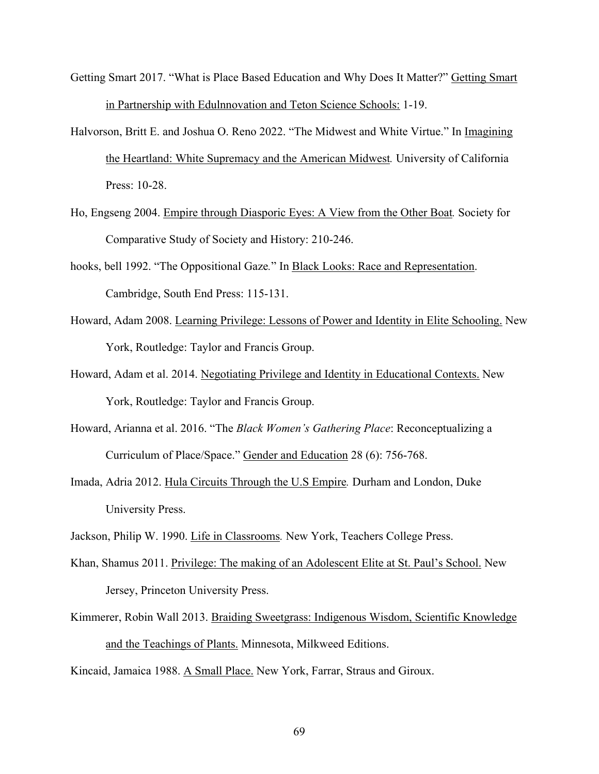- Getting Smart 2017. "What is Place Based Education and Why Does It Matter?" Getting Smart in Partnership with Edulnnovation and Teton Science Schools: 1-19.
- Halvorson, Britt E. and Joshua O. Reno 2022. "The Midwest and White Virtue." In Imagining the Heartland: White Supremacy and the American Midwest*.* University of California Press: 10-28.
- Ho, Engseng 2004. Empire through Diasporic Eyes: A View from the Other Boat*.* Society for Comparative Study of Society and History: 210-246.
- hooks, bell 1992. "The Oppositional Gaze*.*" In Black Looks: Race and Representation. Cambridge, South End Press: 115-131.
- Howard, Adam 2008. Learning Privilege: Lessons of Power and Identity in Elite Schooling. New York, Routledge: Taylor and Francis Group.
- Howard, Adam et al. 2014. Negotiating Privilege and Identity in Educational Contexts. New York, Routledge: Taylor and Francis Group.
- Howard, Arianna et al. 2016. "The *Black Women's Gathering Place*: Reconceptualizing a Curriculum of Place/Space." Gender and Education 28 (6): 756-768.
- Imada, Adria 2012. Hula Circuits Through the U.S Empire*.* Durham and London, Duke University Press.
- Jackson, Philip W. 1990. Life in Classrooms*.* New York, Teachers College Press.
- Khan, Shamus 2011. Privilege: The making of an Adolescent Elite at St. Paul's School. New Jersey, Princeton University Press.
- Kimmerer, Robin Wall 2013. Braiding Sweetgrass: Indigenous Wisdom, Scientific Knowledge and the Teachings of Plants. Minnesota, Milkweed Editions.

Kincaid, Jamaica 1988. A Small Place. New York, Farrar, Straus and Giroux.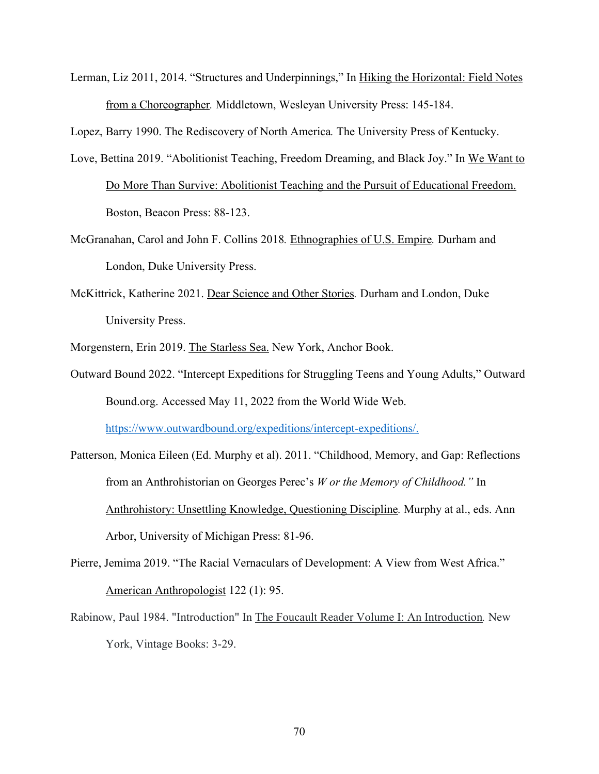Lerman, Liz 2011, 2014. "Structures and Underpinnings," In Hiking the Horizontal: Field Notes from a Choreographer*.* Middletown, Wesleyan University Press: 145-184.

Lopez, Barry 1990. The Rediscovery of North America*.* The University Press of Kentucky.

- Love, Bettina 2019. "Abolitionist Teaching, Freedom Dreaming, and Black Joy." In We Want to Do More Than Survive: Abolitionist Teaching and the Pursuit of Educational Freedom. Boston, Beacon Press: 88-123.
- McGranahan, Carol and John F. Collins 2018*.* Ethnographies of U.S. Empire*.* Durham and London, Duke University Press.
- McKittrick, Katherine 2021. Dear Science and Other Stories*.* Durham and London, Duke University Press.
- Morgenstern, Erin 2019. The Starless Sea. New York, Anchor Book.
- Outward Bound 2022. "Intercept Expeditions for Struggling Teens and Young Adults," Outward Bound.org. Accessed May 11, 2022 from the World Wide Web.

https://www.outwardbound.org/expeditions/intercept-expeditions/.

- Patterson, Monica Eileen (Ed. Murphy et al). 2011. "Childhood, Memory, and Gap: Reflections from an Anthrohistorian on Georges Perec's *W or the Memory of Childhood."* In Anthrohistory: Unsettling Knowledge, Questioning Discipline*.* Murphy at al., eds. Ann Arbor, University of Michigan Press: 81-96.
- Pierre, Jemima 2019. "The Racial Vernaculars of Development: A View from West Africa." American Anthropologist 122 (1): 95.
- Rabinow, Paul 1984. "Introduction" In The Foucault Reader Volume I: An Introduction*.* New York, Vintage Books: 3-29.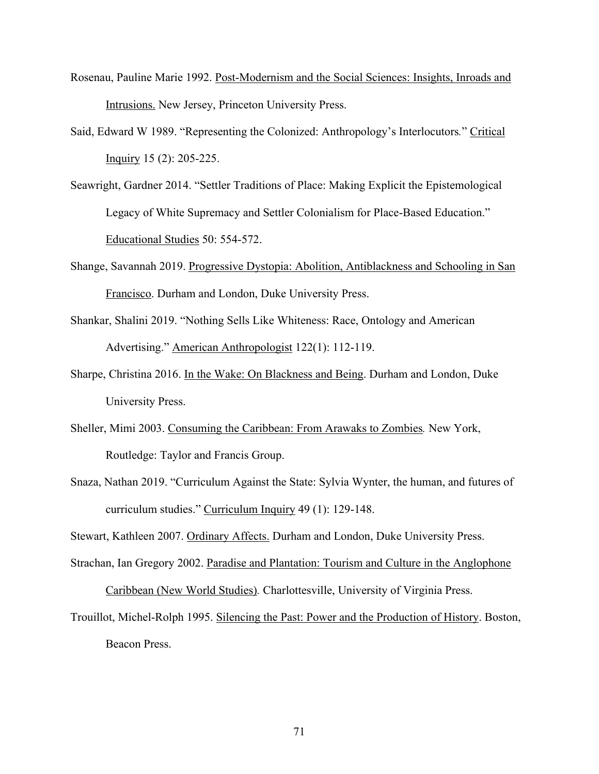- Rosenau, Pauline Marie 1992. Post-Modernism and the Social Sciences: Insights, Inroads and Intrusions. New Jersey, Princeton University Press.
- Said, Edward W 1989. "Representing the Colonized: Anthropology's Interlocutors*.*" Critical Inquiry 15 (2): 205-225.
- Seawright, Gardner 2014. "Settler Traditions of Place: Making Explicit the Epistemological Legacy of White Supremacy and Settler Colonialism for Place-Based Education." Educational Studies 50: 554-572.
- Shange, Savannah 2019. Progressive Dystopia: Abolition, Antiblackness and Schooling in San Francisco. Durham and London, Duke University Press.
- Shankar, Shalini 2019. "Nothing Sells Like Whiteness: Race, Ontology and American Advertising." American Anthropologist 122(1): 112-119.
- Sharpe, Christina 2016. In the Wake: On Blackness and Being. Durham and London, Duke University Press.
- Sheller, Mimi 2003. Consuming the Caribbean: From Arawaks to Zombies*.* New York, Routledge: Taylor and Francis Group.
- Snaza, Nathan 2019. "Curriculum Against the State: Sylvia Wynter, the human, and futures of curriculum studies." Curriculum Inquiry 49 (1): 129-148.

Stewart, Kathleen 2007. Ordinary Affects. Durham and London, Duke University Press.

Strachan, Ian Gregory 2002. Paradise and Plantation: Tourism and Culture in the Anglophone Caribbean (New World Studies)*.* Charlottesville, University of Virginia Press.

Trouillot, Michel-Rolph 1995. Silencing the Past: Power and the Production of History. Boston, Beacon Press.